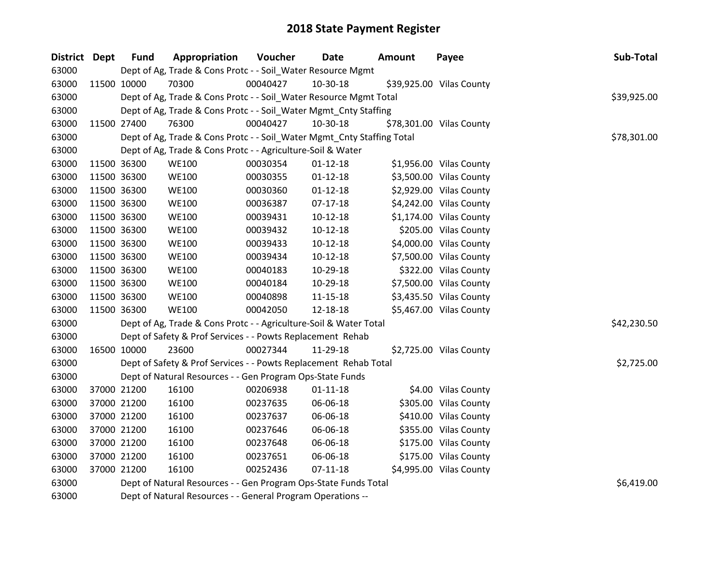| District Dept | <b>Fund</b> | Appropriation                                                          | Voucher  | <b>Date</b>    | Amount | Payee                    | Sub-Total   |
|---------------|-------------|------------------------------------------------------------------------|----------|----------------|--------|--------------------------|-------------|
| 63000         |             | Dept of Ag, Trade & Cons Protc - - Soil_Water Resource Mgmt            |          |                |        |                          |             |
| 63000         | 11500 10000 | 70300                                                                  | 00040427 | 10-30-18       |        | \$39,925.00 Vilas County |             |
| 63000         |             | Dept of Ag, Trade & Cons Protc - - Soil_Water Resource Mgmt Total      |          |                |        |                          | \$39,925.00 |
| 63000         |             | Dept of Ag, Trade & Cons Protc - - Soil_Water Mgmt_Cnty Staffing       |          |                |        |                          |             |
| 63000         | 11500 27400 | 76300                                                                  | 00040427 | 10-30-18       |        | \$78,301.00 Vilas County |             |
| 63000         |             | Dept of Ag, Trade & Cons Protc - - Soil_Water Mgmt_Cnty Staffing Total |          |                |        |                          | \$78,301.00 |
| 63000         |             | Dept of Ag, Trade & Cons Protc - - Agriculture-Soil & Water            |          |                |        |                          |             |
| 63000         | 11500 36300 | <b>WE100</b>                                                           | 00030354 | $01 - 12 - 18$ |        | \$1,956.00 Vilas County  |             |
| 63000         | 11500 36300 | <b>WE100</b>                                                           | 00030355 | $01 - 12 - 18$ |        | \$3,500.00 Vilas County  |             |
| 63000         | 11500 36300 | <b>WE100</b>                                                           | 00030360 | $01 - 12 - 18$ |        | \$2,929.00 Vilas County  |             |
| 63000         | 11500 36300 | <b>WE100</b>                                                           | 00036387 | $07-17-18$     |        | \$4,242.00 Vilas County  |             |
| 63000         | 11500 36300 | <b>WE100</b>                                                           | 00039431 | $10-12-18$     |        | \$1,174.00 Vilas County  |             |
| 63000         | 11500 36300 | <b>WE100</b>                                                           | 00039432 | $10-12-18$     |        | \$205.00 Vilas County    |             |
| 63000         | 11500 36300 | <b>WE100</b>                                                           | 00039433 | $10-12-18$     |        | \$4,000.00 Vilas County  |             |
| 63000         | 11500 36300 | <b>WE100</b>                                                           | 00039434 | $10-12-18$     |        | \$7,500.00 Vilas County  |             |
| 63000         | 11500 36300 | <b>WE100</b>                                                           | 00040183 | 10-29-18       |        | \$322.00 Vilas County    |             |
| 63000         | 11500 36300 | <b>WE100</b>                                                           | 00040184 | 10-29-18       |        | \$7,500.00 Vilas County  |             |
| 63000         | 11500 36300 | <b>WE100</b>                                                           | 00040898 | $11 - 15 - 18$ |        | \$3,435.50 Vilas County  |             |
| 63000         | 11500 36300 | <b>WE100</b>                                                           | 00042050 | 12-18-18       |        | \$5,467.00 Vilas County  |             |
| 63000         |             | Dept of Ag, Trade & Cons Protc - - Agriculture-Soil & Water Total      |          |                |        |                          | \$42,230.50 |
| 63000         |             | Dept of Safety & Prof Services - - Powts Replacement Rehab             |          |                |        |                          |             |
| 63000         | 16500 10000 | 23600                                                                  | 00027344 | 11-29-18       |        | \$2,725.00 Vilas County  |             |
| 63000         |             | Dept of Safety & Prof Services - - Powts Replacement Rehab Total       |          |                |        |                          | \$2,725.00  |
| 63000         |             | Dept of Natural Resources - - Gen Program Ops-State Funds              |          |                |        |                          |             |
| 63000         | 37000 21200 | 16100                                                                  | 00206938 | $01 - 11 - 18$ |        | \$4.00 Vilas County      |             |
| 63000         | 37000 21200 | 16100                                                                  | 00237635 | 06-06-18       |        | \$305.00 Vilas County    |             |
| 63000         | 37000 21200 | 16100                                                                  | 00237637 | 06-06-18       |        | \$410.00 Vilas County    |             |
| 63000         | 37000 21200 | 16100                                                                  | 00237646 | 06-06-18       |        | \$355.00 Vilas County    |             |
| 63000         | 37000 21200 | 16100                                                                  | 00237648 | 06-06-18       |        | \$175.00 Vilas County    |             |
| 63000         | 37000 21200 | 16100                                                                  | 00237651 | 06-06-18       |        | \$175.00 Vilas County    |             |
| 63000         | 37000 21200 | 16100                                                                  | 00252436 | $07-11-18$     |        | \$4,995.00 Vilas County  |             |
| 63000         |             | Dept of Natural Resources - - Gen Program Ops-State Funds Total        |          |                |        |                          | \$6,419.00  |
| 63000         |             | Dept of Natural Resources - - General Program Operations --            |          |                |        |                          |             |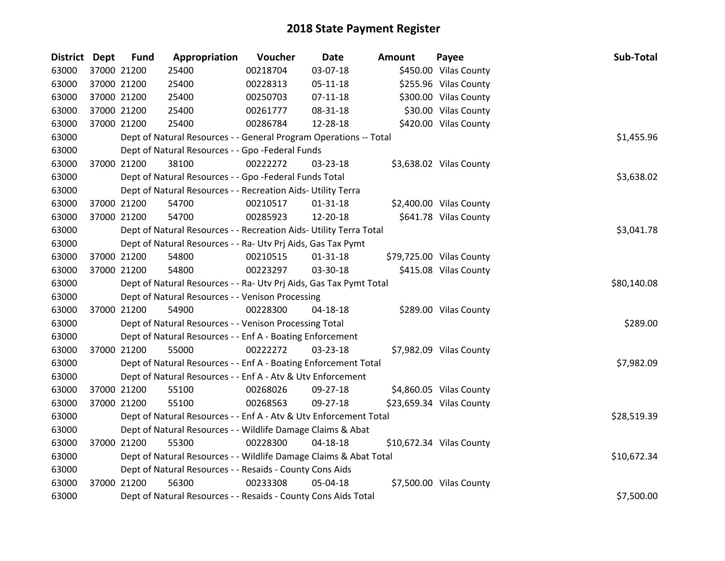| <b>District Dept</b> | <b>Fund</b> | Appropriation                                                      | Voucher  | <b>Date</b>    | <b>Amount</b> | Payee                    | Sub-Total   |
|----------------------|-------------|--------------------------------------------------------------------|----------|----------------|---------------|--------------------------|-------------|
| 63000                | 37000 21200 | 25400                                                              | 00218704 | 03-07-18       |               | \$450.00 Vilas County    |             |
| 63000                | 37000 21200 | 25400                                                              | 00228313 | $05 - 11 - 18$ |               | \$255.96 Vilas County    |             |
| 63000                | 37000 21200 | 25400                                                              | 00250703 | $07-11-18$     |               | \$300.00 Vilas County    |             |
| 63000                | 37000 21200 | 25400                                                              | 00261777 | 08-31-18       |               | \$30.00 Vilas County     |             |
| 63000                | 37000 21200 | 25400                                                              | 00286784 | 12-28-18       |               | \$420.00 Vilas County    |             |
| 63000                |             | Dept of Natural Resources - - General Program Operations -- Total  |          |                |               |                          | \$1,455.96  |
| 63000                |             | Dept of Natural Resources - - Gpo -Federal Funds                   |          |                |               |                          |             |
| 63000                | 37000 21200 | 38100                                                              | 00222272 | 03-23-18       |               | \$3,638.02 Vilas County  |             |
| 63000                |             | Dept of Natural Resources - - Gpo -Federal Funds Total             |          |                |               |                          | \$3,638.02  |
| 63000                |             | Dept of Natural Resources - - Recreation Aids- Utility Terra       |          |                |               |                          |             |
| 63000                | 37000 21200 | 54700                                                              | 00210517 | $01 - 31 - 18$ |               | \$2,400.00 Vilas County  |             |
| 63000                | 37000 21200 | 54700                                                              | 00285923 | 12-20-18       |               | \$641.78 Vilas County    |             |
| 63000                |             | Dept of Natural Resources - - Recreation Aids- Utility Terra Total |          |                |               |                          | \$3,041.78  |
| 63000                |             | Dept of Natural Resources - - Ra- Utv Prj Aids, Gas Tax Pymt       |          |                |               |                          |             |
| 63000                | 37000 21200 | 54800                                                              | 00210515 | $01 - 31 - 18$ |               | \$79,725.00 Vilas County |             |
| 63000                | 37000 21200 | 54800                                                              | 00223297 | 03-30-18       |               | \$415.08 Vilas County    |             |
| 63000                |             | Dept of Natural Resources - - Ra- Utv Prj Aids, Gas Tax Pymt Total |          |                |               |                          | \$80,140.08 |
| 63000                |             | Dept of Natural Resources - - Venison Processing                   |          |                |               |                          |             |
| 63000                | 37000 21200 | 54900                                                              | 00228300 | $04 - 18 - 18$ |               | \$289.00 Vilas County    |             |
| 63000                |             | Dept of Natural Resources - - Venison Processing Total             |          |                |               |                          | \$289.00    |
| 63000                |             | Dept of Natural Resources - - Enf A - Boating Enforcement          |          |                |               |                          |             |
| 63000                | 37000 21200 | 55000                                                              | 00222272 | 03-23-18       |               | \$7,982.09 Vilas County  |             |
| 63000                |             | Dept of Natural Resources - - Enf A - Boating Enforcement Total    |          |                |               |                          | \$7,982.09  |
| 63000                |             | Dept of Natural Resources - - Enf A - Atv & Utv Enforcement        |          |                |               |                          |             |
| 63000                | 37000 21200 | 55100                                                              | 00268026 | 09-27-18       |               | \$4,860.05 Vilas County  |             |
| 63000                | 37000 21200 | 55100                                                              | 00268563 | 09-27-18       |               | \$23,659.34 Vilas County |             |
| 63000                |             | Dept of Natural Resources - - Enf A - Atv & Utv Enforcement Total  |          |                |               |                          | \$28,519.39 |
| 63000                |             | Dept of Natural Resources - - Wildlife Damage Claims & Abat        |          |                |               |                          |             |
| 63000                | 37000 21200 | 55300                                                              | 00228300 | $04 - 18 - 18$ |               | \$10,672.34 Vilas County |             |
| 63000                |             | Dept of Natural Resources - - Wildlife Damage Claims & Abat Total  |          |                |               |                          | \$10,672.34 |
| 63000                |             | Dept of Natural Resources - - Resaids - County Cons Aids           |          |                |               |                          |             |
| 63000                | 37000 21200 | 56300                                                              | 00233308 | 05-04-18       |               | \$7,500.00 Vilas County  |             |
| 63000                |             | Dept of Natural Resources - - Resaids - County Cons Aids Total     |          |                |               |                          | \$7,500.00  |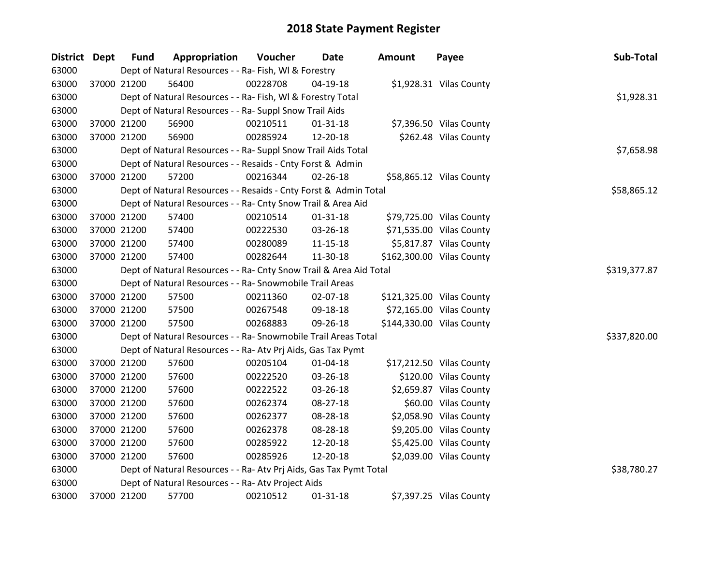| District Dept | <b>Fund</b> | Appropriation                                                      | Voucher  | <b>Date</b>    | <b>Amount</b> | Payee                     | Sub-Total    |
|---------------|-------------|--------------------------------------------------------------------|----------|----------------|---------------|---------------------------|--------------|
| 63000         |             | Dept of Natural Resources - - Ra- Fish, WI & Forestry              |          |                |               |                           |              |
| 63000         | 37000 21200 | 56400                                                              | 00228708 | $04-19-18$     |               | \$1,928.31 Vilas County   |              |
| 63000         |             | Dept of Natural Resources - - Ra- Fish, WI & Forestry Total        |          |                |               |                           | \$1,928.31   |
| 63000         |             | Dept of Natural Resources - - Ra- Suppl Snow Trail Aids            |          |                |               |                           |              |
| 63000         | 37000 21200 | 56900                                                              | 00210511 | $01 - 31 - 18$ |               | \$7,396.50 Vilas County   |              |
| 63000         | 37000 21200 | 56900                                                              | 00285924 | 12-20-18       |               | \$262.48 Vilas County     |              |
| 63000         |             | Dept of Natural Resources - - Ra- Suppl Snow Trail Aids Total      |          |                |               |                           | \$7,658.98   |
| 63000         |             | Dept of Natural Resources - - Resaids - Cnty Forst & Admin         |          |                |               |                           |              |
| 63000         | 37000 21200 | 57200                                                              | 00216344 | 02-26-18       |               | \$58,865.12 Vilas County  |              |
| 63000         |             | Dept of Natural Resources - - Resaids - Cnty Forst & Admin Total   |          |                |               |                           | \$58,865.12  |
| 63000         |             | Dept of Natural Resources - - Ra- Cnty Snow Trail & Area Aid       |          |                |               |                           |              |
| 63000         | 37000 21200 | 57400                                                              | 00210514 | $01 - 31 - 18$ |               | \$79,725.00 Vilas County  |              |
| 63000         | 37000 21200 | 57400                                                              | 00222530 | 03-26-18       |               | \$71,535.00 Vilas County  |              |
| 63000         | 37000 21200 | 57400                                                              | 00280089 | 11-15-18       |               | \$5,817.87 Vilas County   |              |
| 63000         | 37000 21200 | 57400                                                              | 00282644 | 11-30-18       |               | \$162,300.00 Vilas County |              |
| 63000         |             | Dept of Natural Resources - - Ra- Cnty Snow Trail & Area Aid Total |          |                |               |                           | \$319,377.87 |
| 63000         |             | Dept of Natural Resources - - Ra- Snowmobile Trail Areas           |          |                |               |                           |              |
| 63000         | 37000 21200 | 57500                                                              | 00211360 | 02-07-18       |               | \$121,325.00 Vilas County |              |
| 63000         | 37000 21200 | 57500                                                              | 00267548 | 09-18-18       |               | \$72,165.00 Vilas County  |              |
| 63000         | 37000 21200 | 57500                                                              | 00268883 | 09-26-18       |               | \$144,330.00 Vilas County |              |
| 63000         |             | Dept of Natural Resources - - Ra- Snowmobile Trail Areas Total     |          |                |               |                           | \$337,820.00 |
| 63000         |             | Dept of Natural Resources - - Ra- Atv Prj Aids, Gas Tax Pymt       |          |                |               |                           |              |
| 63000         | 37000 21200 | 57600                                                              | 00205104 | $01 - 04 - 18$ |               | \$17,212.50 Vilas County  |              |
| 63000         | 37000 21200 | 57600                                                              | 00222520 | 03-26-18       |               | \$120.00 Vilas County     |              |
| 63000         | 37000 21200 | 57600                                                              | 00222522 | 03-26-18       |               | \$2,659.87 Vilas County   |              |
| 63000         | 37000 21200 | 57600                                                              | 00262374 | 08-27-18       |               | \$60.00 Vilas County      |              |
| 63000         | 37000 21200 | 57600                                                              | 00262377 | 08-28-18       |               | \$2,058.90 Vilas County   |              |
| 63000         | 37000 21200 | 57600                                                              | 00262378 | 08-28-18       |               | \$9,205.00 Vilas County   |              |
| 63000         | 37000 21200 | 57600                                                              | 00285922 | 12-20-18       |               | \$5,425.00 Vilas County   |              |
| 63000         | 37000 21200 | 57600                                                              | 00285926 | 12-20-18       |               | \$2,039.00 Vilas County   |              |
| 63000         |             | Dept of Natural Resources - - Ra- Atv Prj Aids, Gas Tax Pymt Total |          |                |               |                           | \$38,780.27  |
| 63000         |             | Dept of Natural Resources - - Ra- Atv Project Aids                 |          |                |               |                           |              |
| 63000         | 37000 21200 | 57700                                                              | 00210512 | $01 - 31 - 18$ |               | \$7,397.25 Vilas County   |              |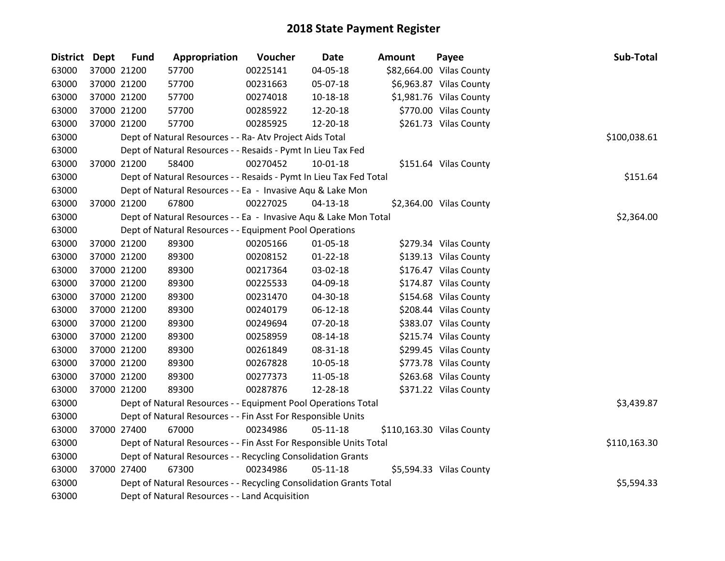| District Dept | <b>Fund</b> | Appropriation                                                      | Voucher  | <b>Date</b>    | Amount | Payee                     | Sub-Total    |
|---------------|-------------|--------------------------------------------------------------------|----------|----------------|--------|---------------------------|--------------|
| 63000         | 37000 21200 | 57700                                                              | 00225141 | 04-05-18       |        | \$82,664.00 Vilas County  |              |
| 63000         | 37000 21200 | 57700                                                              | 00231663 | 05-07-18       |        | \$6,963.87 Vilas County   |              |
| 63000         | 37000 21200 | 57700                                                              | 00274018 | 10-18-18       |        | \$1,981.76 Vilas County   |              |
| 63000         | 37000 21200 | 57700                                                              | 00285922 | 12-20-18       |        | \$770.00 Vilas County     |              |
| 63000         | 37000 21200 | 57700                                                              | 00285925 | 12-20-18       |        | \$261.73 Vilas County     |              |
| 63000         |             | Dept of Natural Resources - - Ra- Atv Project Aids Total           |          |                |        |                           | \$100,038.61 |
| 63000         |             | Dept of Natural Resources - - Resaids - Pymt In Lieu Tax Fed       |          |                |        |                           |              |
| 63000         | 37000 21200 | 58400                                                              | 00270452 | $10-01-18$     |        | \$151.64 Vilas County     |              |
| 63000         |             | Dept of Natural Resources - - Resaids - Pymt In Lieu Tax Fed Total |          |                |        |                           | \$151.64     |
| 63000         |             | Dept of Natural Resources - - Ea - Invasive Aqu & Lake Mon         |          |                |        |                           |              |
| 63000         | 37000 21200 | 67800                                                              | 00227025 | $04 - 13 - 18$ |        | \$2,364.00 Vilas County   |              |
| 63000         |             | Dept of Natural Resources - - Ea - Invasive Aqu & Lake Mon Total   |          |                |        |                           | \$2,364.00   |
| 63000         |             | Dept of Natural Resources - - Equipment Pool Operations            |          |                |        |                           |              |
| 63000         | 37000 21200 | 89300                                                              | 00205166 | 01-05-18       |        | \$279.34 Vilas County     |              |
| 63000         | 37000 21200 | 89300                                                              | 00208152 | $01 - 22 - 18$ |        | \$139.13 Vilas County     |              |
| 63000         | 37000 21200 | 89300                                                              | 00217364 | 03-02-18       |        | \$176.47 Vilas County     |              |
| 63000         | 37000 21200 | 89300                                                              | 00225533 | 04-09-18       |        | \$174.87 Vilas County     |              |
| 63000         | 37000 21200 | 89300                                                              | 00231470 | 04-30-18       |        | \$154.68 Vilas County     |              |
| 63000         | 37000 21200 | 89300                                                              | 00240179 | 06-12-18       |        | \$208.44 Vilas County     |              |
| 63000         | 37000 21200 | 89300                                                              | 00249694 | 07-20-18       |        | \$383.07 Vilas County     |              |
| 63000         | 37000 21200 | 89300                                                              | 00258959 | 08-14-18       |        | \$215.74 Vilas County     |              |
| 63000         | 37000 21200 | 89300                                                              | 00261849 | 08-31-18       |        | \$299.45 Vilas County     |              |
| 63000         | 37000 21200 | 89300                                                              | 00267828 | 10-05-18       |        | \$773.78 Vilas County     |              |
| 63000         | 37000 21200 | 89300                                                              | 00277373 | 11-05-18       |        | \$263.68 Vilas County     |              |
| 63000         | 37000 21200 | 89300                                                              | 00287876 | 12-28-18       |        | \$371.22 Vilas County     |              |
| 63000         |             | Dept of Natural Resources - - Equipment Pool Operations Total      |          |                |        |                           | \$3,439.87   |
| 63000         |             | Dept of Natural Resources - - Fin Asst For Responsible Units       |          |                |        |                           |              |
| 63000         | 37000 27400 | 67000                                                              | 00234986 | 05-11-18       |        | \$110,163.30 Vilas County |              |
| 63000         |             | Dept of Natural Resources - - Fin Asst For Responsible Units Total |          |                |        |                           | \$110,163.30 |
| 63000         |             | Dept of Natural Resources - - Recycling Consolidation Grants       |          |                |        |                           |              |
| 63000         | 37000 27400 | 67300                                                              | 00234986 | $05 - 11 - 18$ |        | \$5,594.33 Vilas County   |              |
| 63000         |             | Dept of Natural Resources - - Recycling Consolidation Grants Total |          |                |        |                           | \$5,594.33   |
| 63000         |             | Dept of Natural Resources - - Land Acquisition                     |          |                |        |                           |              |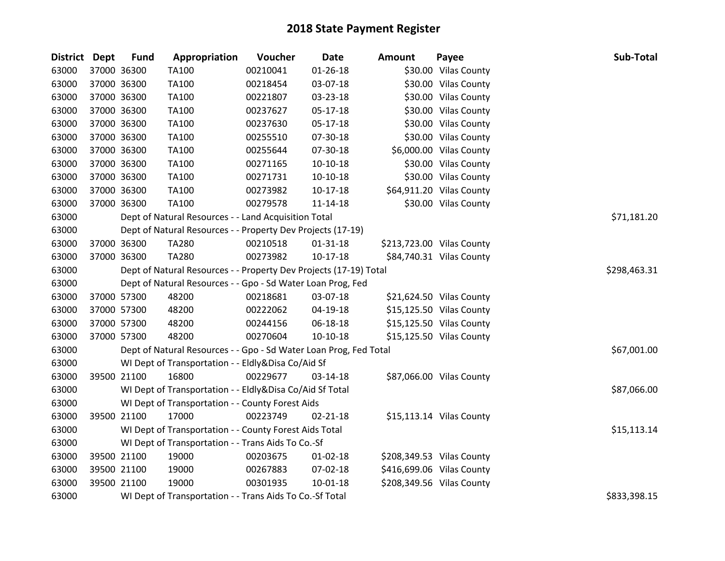| District Dept | <b>Fund</b> | Appropriation                                                     | Voucher  | <b>Date</b>    | <b>Amount</b> | Payee                     | Sub-Total    |
|---------------|-------------|-------------------------------------------------------------------|----------|----------------|---------------|---------------------------|--------------|
| 63000         | 37000 36300 | TA100                                                             | 00210041 | $01 - 26 - 18$ |               | \$30.00 Vilas County      |              |
| 63000         | 37000 36300 | TA100                                                             | 00218454 | 03-07-18       |               | \$30.00 Vilas County      |              |
| 63000         | 37000 36300 | TA100                                                             | 00221807 | 03-23-18       |               | \$30.00 Vilas County      |              |
| 63000         | 37000 36300 | <b>TA100</b>                                                      | 00237627 | 05-17-18       |               | \$30.00 Vilas County      |              |
| 63000         | 37000 36300 | <b>TA100</b>                                                      | 00237630 | 05-17-18       |               | \$30.00 Vilas County      |              |
| 63000         | 37000 36300 | TA100                                                             | 00255510 | 07-30-18       |               | \$30.00 Vilas County      |              |
| 63000         | 37000 36300 | TA100                                                             | 00255644 | 07-30-18       |               | \$6,000.00 Vilas County   |              |
| 63000         | 37000 36300 | TA100                                                             | 00271165 | $10-10-18$     |               | \$30.00 Vilas County      |              |
| 63000         | 37000 36300 | TA100                                                             | 00271731 | $10-10-18$     |               | \$30.00 Vilas County      |              |
| 63000         | 37000 36300 | TA100                                                             | 00273982 | $10-17-18$     |               | \$64,911.20 Vilas County  |              |
| 63000         | 37000 36300 | TA100                                                             | 00279578 | 11-14-18       |               | \$30.00 Vilas County      |              |
| 63000         |             | Dept of Natural Resources - - Land Acquisition Total              |          |                |               |                           | \$71,181.20  |
| 63000         |             | Dept of Natural Resources - - Property Dev Projects (17-19)       |          |                |               |                           |              |
| 63000         | 37000 36300 | TA280                                                             | 00210518 | 01-31-18       |               | \$213,723.00 Vilas County |              |
| 63000         | 37000 36300 | <b>TA280</b>                                                      | 00273982 | $10-17-18$     |               | \$84,740.31 Vilas County  |              |
| 63000         |             | Dept of Natural Resources - - Property Dev Projects (17-19) Total |          |                |               |                           | \$298,463.31 |
| 63000         |             | Dept of Natural Resources - - Gpo - Sd Water Loan Prog, Fed       |          |                |               |                           |              |
| 63000         | 37000 57300 | 48200                                                             | 00218681 | 03-07-18       |               | \$21,624.50 Vilas County  |              |
| 63000         | 37000 57300 | 48200                                                             | 00222062 | 04-19-18       |               | \$15,125.50 Vilas County  |              |
| 63000         | 37000 57300 | 48200                                                             | 00244156 | 06-18-18       |               | \$15,125.50 Vilas County  |              |
| 63000         | 37000 57300 | 48200                                                             | 00270604 | $10-10-18$     |               | \$15,125.50 Vilas County  |              |
| 63000         |             | Dept of Natural Resources - - Gpo - Sd Water Loan Prog, Fed Total |          |                |               |                           | \$67,001.00  |
| 63000         |             | WI Dept of Transportation - - Eldly&Disa Co/Aid Sf                |          |                |               |                           |              |
| 63000         | 39500 21100 | 16800                                                             | 00229677 | 03-14-18       |               | \$87,066.00 Vilas County  |              |
| 63000         |             | WI Dept of Transportation - - Eldly&Disa Co/Aid Sf Total          |          |                |               |                           | \$87,066.00  |
| 63000         |             | WI Dept of Transportation - - County Forest Aids                  |          |                |               |                           |              |
| 63000         | 39500 21100 | 17000                                                             | 00223749 | $02 - 21 - 18$ |               | \$15,113.14 Vilas County  |              |
| 63000         |             | WI Dept of Transportation - - County Forest Aids Total            |          |                |               |                           | \$15,113.14  |
| 63000         |             | WI Dept of Transportation - - Trans Aids To Co.-Sf                |          |                |               |                           |              |
| 63000         | 39500 21100 | 19000                                                             | 00203675 | 01-02-18       |               | \$208,349.53 Vilas County |              |
| 63000         | 39500 21100 | 19000                                                             | 00267883 | 07-02-18       |               | \$416,699.06 Vilas County |              |
| 63000         | 39500 21100 | 19000                                                             | 00301935 | $10-01-18$     |               | \$208,349.56 Vilas County |              |
| 63000         |             | WI Dept of Transportation - - Trans Aids To Co.-Sf Total          |          |                |               |                           | \$833,398.15 |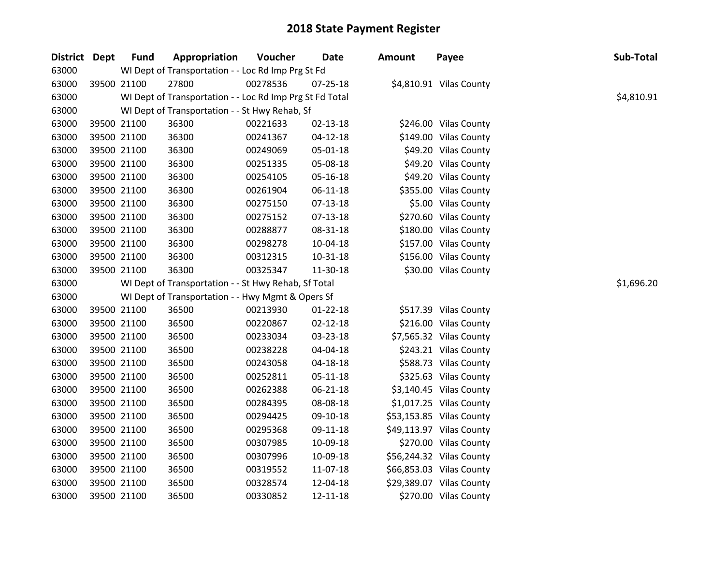| District Dept | <b>Fund</b> | Appropriation                                            | <b>Voucher</b> | Date           | Amount | Payee                    | Sub-Total  |
|---------------|-------------|----------------------------------------------------------|----------------|----------------|--------|--------------------------|------------|
| 63000         |             | WI Dept of Transportation - - Loc Rd Imp Prg St Fd       |                |                |        |                          |            |
| 63000         | 39500 21100 | 27800                                                    | 00278536       | 07-25-18       |        | \$4,810.91 Vilas County  |            |
| 63000         |             | WI Dept of Transportation - - Loc Rd Imp Prg St Fd Total |                |                |        |                          | \$4,810.91 |
| 63000         |             | WI Dept of Transportation - - St Hwy Rehab, Sf           |                |                |        |                          |            |
| 63000         | 39500 21100 | 36300                                                    | 00221633       | $02 - 13 - 18$ |        | \$246.00 Vilas County    |            |
| 63000         | 39500 21100 | 36300                                                    | 00241367       | 04-12-18       |        | \$149.00 Vilas County    |            |
| 63000         | 39500 21100 | 36300                                                    | 00249069       | 05-01-18       |        | \$49.20 Vilas County     |            |
| 63000         | 39500 21100 | 36300                                                    | 00251335       | 05-08-18       |        | \$49.20 Vilas County     |            |
| 63000         | 39500 21100 | 36300                                                    | 00254105       | 05-16-18       |        | \$49.20 Vilas County     |            |
| 63000         | 39500 21100 | 36300                                                    | 00261904       | 06-11-18       |        | \$355.00 Vilas County    |            |
| 63000         | 39500 21100 | 36300                                                    | 00275150       | 07-13-18       |        | \$5.00 Vilas County      |            |
| 63000         | 39500 21100 | 36300                                                    | 00275152       | 07-13-18       |        | \$270.60 Vilas County    |            |
| 63000         | 39500 21100 | 36300                                                    | 00288877       | 08-31-18       |        | \$180.00 Vilas County    |            |
| 63000         | 39500 21100 | 36300                                                    | 00298278       | 10-04-18       |        | \$157.00 Vilas County    |            |
| 63000         | 39500 21100 | 36300                                                    | 00312315       | $10 - 31 - 18$ |        | \$156.00 Vilas County    |            |
| 63000         | 39500 21100 | 36300                                                    | 00325347       | 11-30-18       |        | \$30.00 Vilas County     |            |
| 63000         |             | WI Dept of Transportation - - St Hwy Rehab, Sf Total     |                |                |        |                          | \$1,696.20 |
| 63000         |             | WI Dept of Transportation - - Hwy Mgmt & Opers Sf        |                |                |        |                          |            |
| 63000         | 39500 21100 | 36500                                                    | 00213930       | $01 - 22 - 18$ |        | \$517.39 Vilas County    |            |
| 63000         | 39500 21100 | 36500                                                    | 00220867       | 02-12-18       |        | \$216.00 Vilas County    |            |
| 63000         | 39500 21100 | 36500                                                    | 00233034       | 03-23-18       |        | \$7,565.32 Vilas County  |            |
| 63000         | 39500 21100 | 36500                                                    | 00238228       | 04-04-18       |        | \$243.21 Vilas County    |            |
| 63000         | 39500 21100 | 36500                                                    | 00243058       | 04-18-18       |        | \$588.73 Vilas County    |            |
| 63000         | 39500 21100 | 36500                                                    | 00252811       | 05-11-18       |        | \$325.63 Vilas County    |            |
| 63000         | 39500 21100 | 36500                                                    | 00262388       | 06-21-18       |        | \$3,140.45 Vilas County  |            |
| 63000         | 39500 21100 | 36500                                                    | 00284395       | 08-08-18       |        | \$1,017.25 Vilas County  |            |
| 63000         | 39500 21100 | 36500                                                    | 00294425       | 09-10-18       |        | \$53,153.85 Vilas County |            |
| 63000         | 39500 21100 | 36500                                                    | 00295368       | 09-11-18       |        | \$49,113.97 Vilas County |            |
| 63000         | 39500 21100 | 36500                                                    | 00307985       | 10-09-18       |        | \$270.00 Vilas County    |            |
| 63000         | 39500 21100 | 36500                                                    | 00307996       | 10-09-18       |        | \$56,244.32 Vilas County |            |
| 63000         | 39500 21100 | 36500                                                    | 00319552       | 11-07-18       |        | \$66,853.03 Vilas County |            |
| 63000         | 39500 21100 | 36500                                                    | 00328574       | 12-04-18       |        | \$29,389.07 Vilas County |            |
| 63000         | 39500 21100 | 36500                                                    | 00330852       | 12-11-18       |        | \$270.00 Vilas County    |            |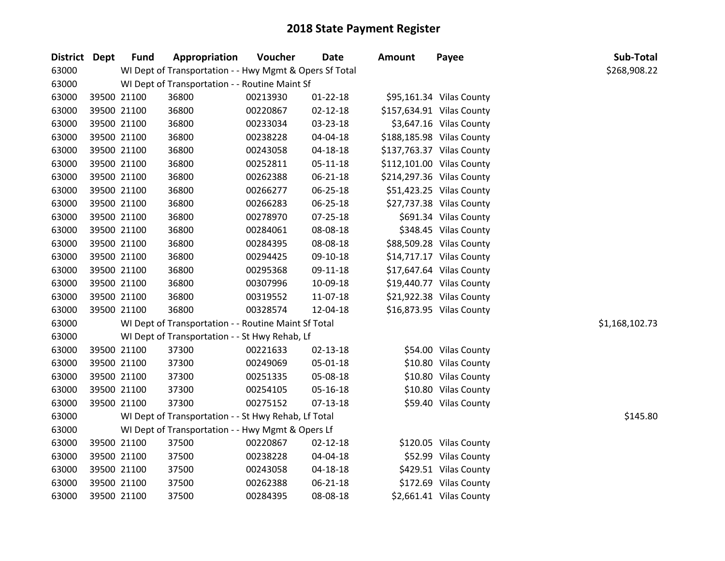| District Dept | <b>Fund</b> | Appropriation                                           | Voucher  | <b>Date</b>    | <b>Amount</b> | Payee                     | Sub-Total      |
|---------------|-------------|---------------------------------------------------------|----------|----------------|---------------|---------------------------|----------------|
| 63000         |             | WI Dept of Transportation - - Hwy Mgmt & Opers Sf Total |          |                |               |                           | \$268,908.22   |
| 63000         |             | WI Dept of Transportation - - Routine Maint Sf          |          |                |               |                           |                |
| 63000         | 39500 21100 | 36800                                                   | 00213930 | $01 - 22 - 18$ |               | \$95,161.34 Vilas County  |                |
| 63000         | 39500 21100 | 36800                                                   | 00220867 | $02 - 12 - 18$ |               | \$157,634.91 Vilas County |                |
| 63000         | 39500 21100 | 36800                                                   | 00233034 | 03-23-18       |               | \$3,647.16 Vilas County   |                |
| 63000         | 39500 21100 | 36800                                                   | 00238228 | 04-04-18       |               | \$188,185.98 Vilas County |                |
| 63000         | 39500 21100 | 36800                                                   | 00243058 | 04-18-18       |               | \$137,763.37 Vilas County |                |
| 63000         | 39500 21100 | 36800                                                   | 00252811 | $05 - 11 - 18$ |               | \$112,101.00 Vilas County |                |
| 63000         | 39500 21100 | 36800                                                   | 00262388 | 06-21-18       |               | \$214,297.36 Vilas County |                |
| 63000         | 39500 21100 | 36800                                                   | 00266277 | 06-25-18       |               | \$51,423.25 Vilas County  |                |
| 63000         | 39500 21100 | 36800                                                   | 00266283 | 06-25-18       |               | \$27,737.38 Vilas County  |                |
| 63000         | 39500 21100 | 36800                                                   | 00278970 | 07-25-18       |               | \$691.34 Vilas County     |                |
| 63000         | 39500 21100 | 36800                                                   | 00284061 | 08-08-18       |               | \$348.45 Vilas County     |                |
| 63000         | 39500 21100 | 36800                                                   | 00284395 | 08-08-18       |               | \$88,509.28 Vilas County  |                |
| 63000         | 39500 21100 | 36800                                                   | 00294425 | 09-10-18       |               | \$14,717.17 Vilas County  |                |
| 63000         | 39500 21100 | 36800                                                   | 00295368 | 09-11-18       |               | \$17,647.64 Vilas County  |                |
| 63000         | 39500 21100 | 36800                                                   | 00307996 | 10-09-18       |               | \$19,440.77 Vilas County  |                |
| 63000         | 39500 21100 | 36800                                                   | 00319552 | 11-07-18       |               | \$21,922.38 Vilas County  |                |
| 63000         | 39500 21100 | 36800                                                   | 00328574 | 12-04-18       |               | \$16,873.95 Vilas County  |                |
| 63000         |             | WI Dept of Transportation - - Routine Maint Sf Total    |          |                |               |                           | \$1,168,102.73 |
| 63000         |             | WI Dept of Transportation - - St Hwy Rehab, Lf          |          |                |               |                           |                |
| 63000         | 39500 21100 | 37300                                                   | 00221633 | 02-13-18       |               | \$54.00 Vilas County      |                |
| 63000         | 39500 21100 | 37300                                                   | 00249069 | 05-01-18       |               | \$10.80 Vilas County      |                |
| 63000         | 39500 21100 | 37300                                                   | 00251335 | 05-08-18       |               | \$10.80 Vilas County      |                |
| 63000         | 39500 21100 | 37300                                                   | 00254105 | 05-16-18       |               | \$10.80 Vilas County      |                |
| 63000         | 39500 21100 | 37300                                                   | 00275152 | 07-13-18       |               | \$59.40 Vilas County      |                |
| 63000         |             | WI Dept of Transportation - - St Hwy Rehab, Lf Total    |          |                |               |                           | \$145.80       |
| 63000         |             | WI Dept of Transportation - - Hwy Mgmt & Opers Lf       |          |                |               |                           |                |
| 63000         | 39500 21100 | 37500                                                   | 00220867 | $02 - 12 - 18$ |               | \$120.05 Vilas County     |                |
| 63000         | 39500 21100 | 37500                                                   | 00238228 | 04-04-18       |               | \$52.99 Vilas County      |                |
| 63000         | 39500 21100 | 37500                                                   | 00243058 | 04-18-18       |               | \$429.51 Vilas County     |                |
| 63000         | 39500 21100 | 37500                                                   | 00262388 | 06-21-18       |               | \$172.69 Vilas County     |                |
| 63000         | 39500 21100 | 37500                                                   | 00284395 | 08-08-18       |               | \$2,661.41 Vilas County   |                |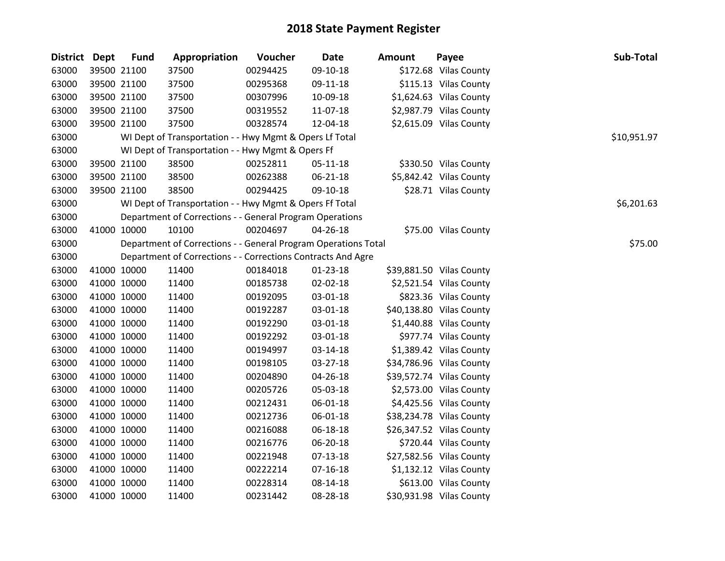| <b>District Dept</b> | <b>Fund</b> | Appropriation                                                  | Voucher  | <b>Date</b>    | <b>Amount</b> | Payee                    | Sub-Total   |
|----------------------|-------------|----------------------------------------------------------------|----------|----------------|---------------|--------------------------|-------------|
| 63000                | 39500 21100 | 37500                                                          | 00294425 | 09-10-18       |               | \$172.68 Vilas County    |             |
| 63000                | 39500 21100 | 37500                                                          | 00295368 | 09-11-18       |               | \$115.13 Vilas County    |             |
| 63000                | 39500 21100 | 37500                                                          | 00307996 | 10-09-18       |               | \$1,624.63 Vilas County  |             |
| 63000                | 39500 21100 | 37500                                                          | 00319552 | 11-07-18       |               | \$2,987.79 Vilas County  |             |
| 63000                | 39500 21100 | 37500                                                          | 00328574 | 12-04-18       |               | \$2,615.09 Vilas County  |             |
| 63000                |             | WI Dept of Transportation - - Hwy Mgmt & Opers Lf Total        |          |                |               |                          | \$10,951.97 |
| 63000                |             | WI Dept of Transportation - - Hwy Mgmt & Opers Ff              |          |                |               |                          |             |
| 63000                | 39500 21100 | 38500                                                          | 00252811 | 05-11-18       |               | \$330.50 Vilas County    |             |
| 63000                | 39500 21100 | 38500                                                          | 00262388 | 06-21-18       |               | \$5,842.42 Vilas County  |             |
| 63000                | 39500 21100 | 38500                                                          | 00294425 | 09-10-18       |               | \$28.71 Vilas County     |             |
| 63000                |             | WI Dept of Transportation - - Hwy Mgmt & Opers Ff Total        |          |                |               |                          | \$6,201.63  |
| 63000                |             | Department of Corrections - - General Program Operations       |          |                |               |                          |             |
| 63000                | 41000 10000 | 10100                                                          | 00204697 | 04-26-18       |               | \$75.00 Vilas County     |             |
| 63000                |             | Department of Corrections - - General Program Operations Total |          |                |               |                          | \$75.00     |
| 63000                |             | Department of Corrections - - Corrections Contracts And Agre   |          |                |               |                          |             |
| 63000                | 41000 10000 | 11400                                                          | 00184018 | $01-23-18$     |               | \$39,881.50 Vilas County |             |
| 63000                | 41000 10000 | 11400                                                          | 00185738 | 02-02-18       |               | \$2,521.54 Vilas County  |             |
| 63000                | 41000 10000 | 11400                                                          | 00192095 | 03-01-18       |               | \$823.36 Vilas County    |             |
| 63000                | 41000 10000 | 11400                                                          | 00192287 | 03-01-18       |               | \$40,138.80 Vilas County |             |
| 63000                | 41000 10000 | 11400                                                          | 00192290 | 03-01-18       |               | \$1,440.88 Vilas County  |             |
| 63000                | 41000 10000 | 11400                                                          | 00192292 | 03-01-18       |               | \$977.74 Vilas County    |             |
| 63000                | 41000 10000 | 11400                                                          | 00194997 | 03-14-18       |               | \$1,389.42 Vilas County  |             |
| 63000                | 41000 10000 | 11400                                                          | 00198105 | 03-27-18       |               | \$34,786.96 Vilas County |             |
| 63000                | 41000 10000 | 11400                                                          | 00204890 | 04-26-18       |               | \$39,572.74 Vilas County |             |
| 63000                | 41000 10000 | 11400                                                          | 00205726 | 05-03-18       |               | \$2,573.00 Vilas County  |             |
| 63000                | 41000 10000 | 11400                                                          | 00212431 | 06-01-18       |               | \$4,425.56 Vilas County  |             |
| 63000                | 41000 10000 | 11400                                                          | 00212736 | 06-01-18       |               | \$38,234.78 Vilas County |             |
| 63000                | 41000 10000 | 11400                                                          | 00216088 | 06-18-18       |               | \$26,347.52 Vilas County |             |
| 63000                | 41000 10000 | 11400                                                          | 00216776 | 06-20-18       |               | \$720.44 Vilas County    |             |
| 63000                | 41000 10000 | 11400                                                          | 00221948 | 07-13-18       |               | \$27,582.56 Vilas County |             |
| 63000                | 41000 10000 | 11400                                                          | 00222214 | $07 - 16 - 18$ |               | \$1,132.12 Vilas County  |             |
| 63000                | 41000 10000 | 11400                                                          | 00228314 | 08-14-18       |               | \$613.00 Vilas County    |             |
| 63000                | 41000 10000 | 11400                                                          | 00231442 | 08-28-18       |               | \$30,931.98 Vilas County |             |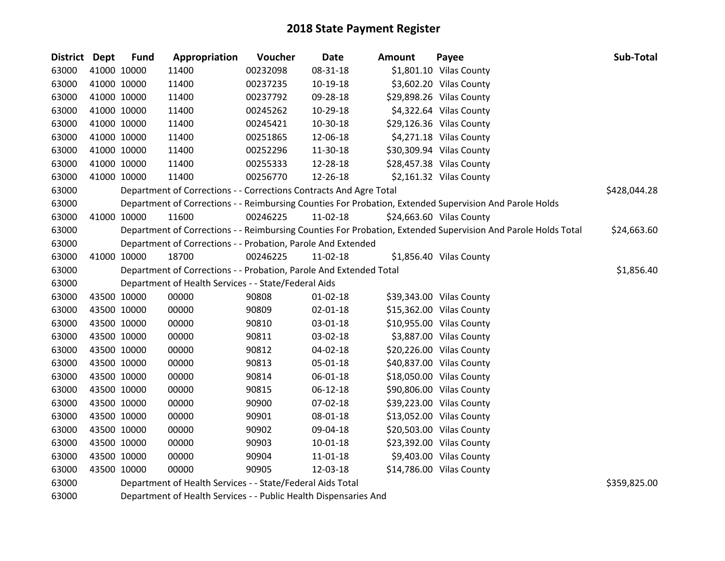| <b>District</b> | Dept        | <b>Fund</b> | Appropriation                                                      | Voucher  | Date           | <b>Amount</b> | Payee                                                                                                         | Sub-Total    |
|-----------------|-------------|-------------|--------------------------------------------------------------------|----------|----------------|---------------|---------------------------------------------------------------------------------------------------------------|--------------|
| 63000           |             | 41000 10000 | 11400                                                              | 00232098 | 08-31-18       |               | \$1,801.10 Vilas County                                                                                       |              |
| 63000           |             | 41000 10000 | 11400                                                              | 00237235 | 10-19-18       |               | \$3,602.20 Vilas County                                                                                       |              |
| 63000           |             | 41000 10000 | 11400                                                              | 00237792 | 09-28-18       |               | \$29,898.26 Vilas County                                                                                      |              |
| 63000           |             | 41000 10000 | 11400                                                              | 00245262 | 10-29-18       |               | \$4,322.64 Vilas County                                                                                       |              |
| 63000           |             | 41000 10000 | 11400                                                              | 00245421 | 10-30-18       |               | \$29,126.36 Vilas County                                                                                      |              |
| 63000           |             | 41000 10000 | 11400                                                              | 00251865 | 12-06-18       |               | \$4,271.18 Vilas County                                                                                       |              |
| 63000           |             | 41000 10000 | 11400                                                              | 00252296 | 11-30-18       |               | \$30,309.94 Vilas County                                                                                      |              |
| 63000           |             | 41000 10000 | 11400                                                              | 00255333 | 12-28-18       |               | \$28,457.38 Vilas County                                                                                      |              |
| 63000           |             | 41000 10000 | 11400                                                              | 00256770 | 12-26-18       |               | \$2,161.32 Vilas County                                                                                       |              |
| 63000           |             |             | Department of Corrections - - Corrections Contracts And Agre Total |          |                |               |                                                                                                               | \$428,044.28 |
| 63000           |             |             |                                                                    |          |                |               | Department of Corrections - - Reimbursing Counties For Probation, Extended Supervision And Parole Holds       |              |
| 63000           |             | 41000 10000 | 11600                                                              | 00246225 | 11-02-18       |               | \$24,663.60 Vilas County                                                                                      |              |
| 63000           |             |             |                                                                    |          |                |               | Department of Corrections - - Reimbursing Counties For Probation, Extended Supervision And Parole Holds Total | \$24,663.60  |
| 63000           |             |             | Department of Corrections - - Probation, Parole And Extended       |          |                |               |                                                                                                               |              |
| 63000           |             | 41000 10000 | 18700                                                              | 00246225 | 11-02-18       |               | \$1,856.40 Vilas County                                                                                       |              |
| 63000           |             |             | Department of Corrections - - Probation, Parole And Extended Total |          |                |               |                                                                                                               | \$1,856.40   |
| 63000           |             |             | Department of Health Services - - State/Federal Aids               |          |                |               |                                                                                                               |              |
| 63000           |             | 43500 10000 | 00000                                                              | 90808    | 01-02-18       |               | \$39,343.00 Vilas County                                                                                      |              |
| 63000           |             | 43500 10000 | 00000                                                              | 90809    | $02 - 01 - 18$ |               | \$15,362.00 Vilas County                                                                                      |              |
| 63000           |             | 43500 10000 | 00000                                                              | 90810    | 03-01-18       |               | \$10,955.00 Vilas County                                                                                      |              |
| 63000           |             | 43500 10000 | 00000                                                              | 90811    | 03-02-18       |               | \$3,887.00 Vilas County                                                                                       |              |
| 63000           |             | 43500 10000 | 00000                                                              | 90812    | 04-02-18       |               | \$20,226.00 Vilas County                                                                                      |              |
| 63000           |             | 43500 10000 | 00000                                                              | 90813    | 05-01-18       |               | \$40,837.00 Vilas County                                                                                      |              |
| 63000           | 43500 10000 |             | 00000                                                              | 90814    | 06-01-18       |               | \$18,050.00 Vilas County                                                                                      |              |
| 63000           |             | 43500 10000 | 00000                                                              | 90815    | 06-12-18       |               | \$90,806.00 Vilas County                                                                                      |              |
| 63000           |             | 43500 10000 | 00000                                                              | 90900    | 07-02-18       |               | \$39,223.00 Vilas County                                                                                      |              |
| 63000           |             | 43500 10000 | 00000                                                              | 90901    | 08-01-18       |               | \$13,052.00 Vilas County                                                                                      |              |
| 63000           | 43500 10000 |             | 00000                                                              | 90902    | 09-04-18       |               | \$20,503.00 Vilas County                                                                                      |              |
| 63000           |             | 43500 10000 | 00000                                                              | 90903    | 10-01-18       |               | \$23,392.00 Vilas County                                                                                      |              |
| 63000           |             | 43500 10000 | 00000                                                              | 90904    | 11-01-18       |               | \$9,403.00 Vilas County                                                                                       |              |
| 63000           |             | 43500 10000 | 00000                                                              | 90905    | 12-03-18       |               | \$14,786.00 Vilas County                                                                                      |              |
| 63000           |             |             | Department of Health Services - - State/Federal Aids Total         |          |                |               |                                                                                                               | \$359,825.00 |

Department of Health Services - - Public Health Dispensaries And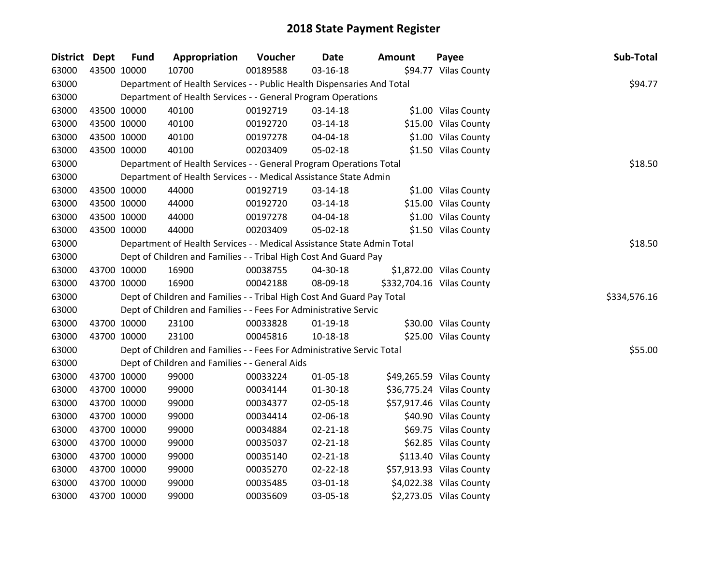| District Dept |             | <b>Fund</b> | Appropriation                                                          | Voucher  | Date           | <b>Amount</b> | Payee                     | Sub-Total    |
|---------------|-------------|-------------|------------------------------------------------------------------------|----------|----------------|---------------|---------------------------|--------------|
| 63000         | 43500 10000 |             | 10700                                                                  | 00189588 | 03-16-18       |               | \$94.77 Vilas County      |              |
| 63000         |             |             | Department of Health Services - - Public Health Dispensaries And Total |          |                |               |                           | \$94.77      |
| 63000         |             |             | Department of Health Services - - General Program Operations           |          |                |               |                           |              |
| 63000         | 43500 10000 |             | 40100                                                                  | 00192719 | 03-14-18       |               | \$1.00 Vilas County       |              |
| 63000         | 43500 10000 |             | 40100                                                                  | 00192720 | 03-14-18       |               | \$15.00 Vilas County      |              |
| 63000         | 43500 10000 |             | 40100                                                                  | 00197278 | 04-04-18       |               | \$1.00 Vilas County       |              |
| 63000         |             | 43500 10000 | 40100                                                                  | 00203409 | 05-02-18       |               | \$1.50 Vilas County       |              |
| 63000         |             |             | Department of Health Services - - General Program Operations Total     |          |                |               |                           | \$18.50      |
| 63000         |             |             | Department of Health Services - - Medical Assistance State Admin       |          |                |               |                           |              |
| 63000         | 43500 10000 |             | 44000                                                                  | 00192719 | 03-14-18       |               | \$1.00 Vilas County       |              |
| 63000         | 43500 10000 |             | 44000                                                                  | 00192720 | 03-14-18       |               | \$15.00 Vilas County      |              |
| 63000         | 43500 10000 |             | 44000                                                                  | 00197278 | 04-04-18       |               | \$1.00 Vilas County       |              |
| 63000         | 43500 10000 |             | 44000                                                                  | 00203409 | 05-02-18       |               | \$1.50 Vilas County       |              |
| 63000         |             |             | Department of Health Services - - Medical Assistance State Admin Total |          |                |               |                           | \$18.50      |
| 63000         |             |             | Dept of Children and Families - - Tribal High Cost And Guard Pay       |          |                |               |                           |              |
| 63000         | 43700 10000 |             | 16900                                                                  | 00038755 | 04-30-18       |               | \$1,872.00 Vilas County   |              |
| 63000         |             | 43700 10000 | 16900                                                                  | 00042188 | 08-09-18       |               | \$332,704.16 Vilas County |              |
| 63000         |             |             | Dept of Children and Families - - Tribal High Cost And Guard Pay Total |          |                |               |                           | \$334,576.16 |
| 63000         |             |             | Dept of Children and Families - - Fees For Administrative Servic       |          |                |               |                           |              |
| 63000         | 43700 10000 |             | 23100                                                                  | 00033828 | $01-19-18$     |               | \$30.00 Vilas County      |              |
| 63000         |             | 43700 10000 | 23100                                                                  | 00045816 | $10 - 18 - 18$ |               | \$25.00 Vilas County      |              |
| 63000         |             |             | Dept of Children and Families - - Fees For Administrative Servic Total |          |                |               |                           | \$55.00      |
| 63000         |             |             | Dept of Children and Families - - General Aids                         |          |                |               |                           |              |
| 63000         | 43700 10000 |             | 99000                                                                  | 00033224 | 01-05-18       |               | \$49,265.59 Vilas County  |              |
| 63000         | 43700 10000 |             | 99000                                                                  | 00034144 | 01-30-18       |               | \$36,775.24 Vilas County  |              |
| 63000         |             | 43700 10000 | 99000                                                                  | 00034377 | 02-05-18       |               | \$57,917.46 Vilas County  |              |
| 63000         |             | 43700 10000 | 99000                                                                  | 00034414 | 02-06-18       |               | \$40.90 Vilas County      |              |
| 63000         | 43700 10000 |             | 99000                                                                  | 00034884 | $02 - 21 - 18$ |               | \$69.75 Vilas County      |              |
| 63000         | 43700 10000 |             | 99000                                                                  | 00035037 | $02 - 21 - 18$ |               | \$62.85 Vilas County      |              |
| 63000         | 43700 10000 |             | 99000                                                                  | 00035140 | 02-21-18       |               | \$113.40 Vilas County     |              |
| 63000         | 43700 10000 |             | 99000                                                                  | 00035270 | 02-22-18       |               | \$57,913.93 Vilas County  |              |
| 63000         | 43700 10000 |             | 99000                                                                  | 00035485 | 03-01-18       |               | \$4,022.38 Vilas County   |              |
| 63000         | 43700 10000 |             | 99000                                                                  | 00035609 | 03-05-18       |               | \$2,273.05 Vilas County   |              |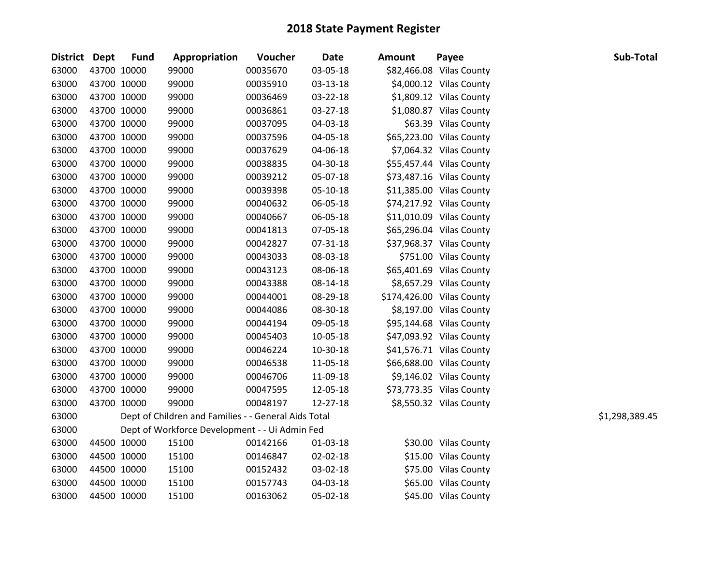| District Dept |             | <b>Fund</b> | Appropriation                                        | Voucher  | <b>Date</b> | <b>Amount</b> | Payee                     | Sub-Total      |
|---------------|-------------|-------------|------------------------------------------------------|----------|-------------|---------------|---------------------------|----------------|
| 63000         | 43700 10000 |             | 99000                                                | 00035670 | 03-05-18    |               | \$82,466.08 Vilas County  |                |
| 63000         |             | 43700 10000 | 99000                                                | 00035910 | 03-13-18    |               | \$4,000.12 Vilas County   |                |
| 63000         | 43700 10000 |             | 99000                                                | 00036469 | 03-22-18    |               | \$1,809.12 Vilas County   |                |
| 63000         | 43700 10000 |             | 99000                                                | 00036861 | 03-27-18    |               | \$1,080.87 Vilas County   |                |
| 63000         | 43700 10000 |             | 99000                                                | 00037095 | 04-03-18    |               | \$63.39 Vilas County      |                |
| 63000         | 43700 10000 |             | 99000                                                | 00037596 | 04-05-18    |               | \$65,223.00 Vilas County  |                |
| 63000         | 43700 10000 |             | 99000                                                | 00037629 | 04-06-18    |               | \$7,064.32 Vilas County   |                |
| 63000         | 43700 10000 |             | 99000                                                | 00038835 | 04-30-18    |               | \$55,457.44 Vilas County  |                |
| 63000         | 43700 10000 |             | 99000                                                | 00039212 | 05-07-18    |               | \$73,487.16 Vilas County  |                |
| 63000         | 43700 10000 |             | 99000                                                | 00039398 | 05-10-18    |               | \$11,385.00 Vilas County  |                |
| 63000         | 43700 10000 |             | 99000                                                | 00040632 | 06-05-18    |               | \$74,217.92 Vilas County  |                |
| 63000         | 43700 10000 |             | 99000                                                | 00040667 | 06-05-18    |               | \$11,010.09 Vilas County  |                |
| 63000         | 43700 10000 |             | 99000                                                | 00041813 | 07-05-18    |               | \$65,296.04 Vilas County  |                |
| 63000         | 43700 10000 |             | 99000                                                | 00042827 | 07-31-18    |               | \$37,968.37 Vilas County  |                |
| 63000         | 43700 10000 |             | 99000                                                | 00043033 | 08-03-18    |               | \$751.00 Vilas County     |                |
| 63000         | 43700 10000 |             | 99000                                                | 00043123 | 08-06-18    |               | \$65,401.69 Vilas County  |                |
| 63000         | 43700 10000 |             | 99000                                                | 00043388 | 08-14-18    |               | \$8,657.29 Vilas County   |                |
| 63000         |             | 43700 10000 | 99000                                                | 00044001 | 08-29-18    |               | \$174,426.00 Vilas County |                |
| 63000         | 43700 10000 |             | 99000                                                | 00044086 | 08-30-18    |               | \$8,197.00 Vilas County   |                |
| 63000         | 43700 10000 |             | 99000                                                | 00044194 | 09-05-18    |               | \$95,144.68 Vilas County  |                |
| 63000         | 43700 10000 |             | 99000                                                | 00045403 | 10-05-18    |               | \$47,093.92 Vilas County  |                |
| 63000         | 43700 10000 |             | 99000                                                | 00046224 | 10-30-18    |               | \$41,576.71 Vilas County  |                |
| 63000         | 43700 10000 |             | 99000                                                | 00046538 | 11-05-18    |               | \$66,688.00 Vilas County  |                |
| 63000         | 43700 10000 |             | 99000                                                | 00046706 | 11-09-18    |               | \$9,146.02 Vilas County   |                |
| 63000         | 43700 10000 |             | 99000                                                | 00047595 | 12-05-18    |               | \$73,773.35 Vilas County  |                |
| 63000         | 43700 10000 |             | 99000                                                | 00048197 | 12-27-18    |               | \$8,550.32 Vilas County   |                |
| 63000         |             |             | Dept of Children and Families - - General Aids Total |          |             |               |                           | \$1,298,389.45 |
| 63000         |             |             | Dept of Workforce Development - - Ui Admin Fed       |          |             |               |                           |                |
| 63000         | 44500 10000 |             | 15100                                                | 00142166 | 01-03-18    |               | \$30.00 Vilas County      |                |
| 63000         | 44500 10000 |             | 15100                                                | 00146847 | 02-02-18    |               | \$15.00 Vilas County      |                |
| 63000         | 44500 10000 |             | 15100                                                | 00152432 | 03-02-18    |               | \$75.00 Vilas County      |                |
| 63000         | 44500 10000 |             | 15100                                                | 00157743 | 04-03-18    |               | \$65.00 Vilas County      |                |
| 63000         | 44500 10000 |             | 15100                                                | 00163062 | 05-02-18    |               | \$45.00 Vilas County      |                |
|               |             |             |                                                      |          |             |               |                           |                |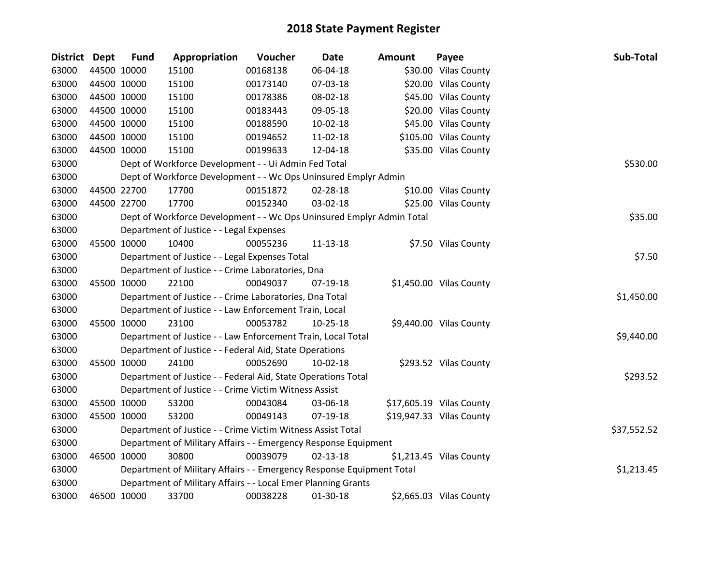| <b>District</b> | <b>Dept</b> | <b>Fund</b> | Appropriation                                                         | Voucher  | <b>Date</b>    | <b>Amount</b> | Payee                    | Sub-Total   |
|-----------------|-------------|-------------|-----------------------------------------------------------------------|----------|----------------|---------------|--------------------------|-------------|
| 63000           |             | 44500 10000 | 15100                                                                 | 00168138 | 06-04-18       |               | \$30.00 Vilas County     |             |
| 63000           | 44500 10000 |             | 15100                                                                 | 00173140 | 07-03-18       |               | \$20.00 Vilas County     |             |
| 63000           |             | 44500 10000 | 15100                                                                 | 00178386 | 08-02-18       |               | \$45.00 Vilas County     |             |
| 63000           | 44500 10000 |             | 15100                                                                 | 00183443 | 09-05-18       |               | \$20.00 Vilas County     |             |
| 63000           |             | 44500 10000 | 15100                                                                 | 00188590 | $10-02-18$     |               | \$45.00 Vilas County     |             |
| 63000           |             | 44500 10000 | 15100                                                                 | 00194652 | 11-02-18       |               | \$105.00 Vilas County    |             |
| 63000           |             | 44500 10000 | 15100                                                                 | 00199633 | 12-04-18       |               | \$35.00 Vilas County     |             |
| 63000           |             |             | Dept of Workforce Development - - Ui Admin Fed Total                  |          |                |               |                          | \$530.00    |
| 63000           |             |             | Dept of Workforce Development - - Wc Ops Uninsured Emplyr Admin       |          |                |               |                          |             |
| 63000           |             | 44500 22700 | 17700                                                                 | 00151872 | 02-28-18       |               | \$10.00 Vilas County     |             |
| 63000           |             | 44500 22700 | 17700                                                                 | 00152340 | 03-02-18       |               | \$25.00 Vilas County     |             |
| 63000           |             |             | Dept of Workforce Development - - Wc Ops Uninsured Emplyr Admin Total |          |                |               |                          | \$35.00     |
| 63000           |             |             | Department of Justice - - Legal Expenses                              |          |                |               |                          |             |
| 63000           |             | 45500 10000 | 10400                                                                 | 00055236 | 11-13-18       |               | \$7.50 Vilas County      |             |
| 63000           |             |             | Department of Justice - - Legal Expenses Total                        |          |                |               |                          | \$7.50      |
| 63000           |             |             | Department of Justice - - Crime Laboratories, Dna                     |          |                |               |                          |             |
| 63000           |             | 45500 10000 | 22100                                                                 | 00049037 | 07-19-18       |               | \$1,450.00 Vilas County  |             |
| 63000           |             |             | Department of Justice - - Crime Laboratories, Dna Total               |          |                |               |                          | \$1,450.00  |
| 63000           |             |             | Department of Justice - - Law Enforcement Train, Local                |          |                |               |                          |             |
| 63000           |             | 45500 10000 | 23100                                                                 | 00053782 | $10 - 25 - 18$ |               | \$9,440.00 Vilas County  |             |
| 63000           |             |             | Department of Justice - - Law Enforcement Train, Local Total          |          |                |               |                          | \$9,440.00  |
| 63000           |             |             | Department of Justice - - Federal Aid, State Operations               |          |                |               |                          |             |
| 63000           |             | 45500 10000 | 24100                                                                 | 00052690 | 10-02-18       |               | \$293.52 Vilas County    |             |
| 63000           |             |             | Department of Justice - - Federal Aid, State Operations Total         |          |                |               |                          | \$293.52    |
| 63000           |             |             | Department of Justice - - Crime Victim Witness Assist                 |          |                |               |                          |             |
| 63000           |             | 45500 10000 | 53200                                                                 | 00043084 | 03-06-18       |               | \$17,605.19 Vilas County |             |
| 63000           |             | 45500 10000 | 53200                                                                 | 00049143 | 07-19-18       |               | \$19,947.33 Vilas County |             |
| 63000           |             |             | Department of Justice - - Crime Victim Witness Assist Total           |          |                |               |                          | \$37,552.52 |
| 63000           |             |             | Department of Military Affairs - - Emergency Response Equipment       |          |                |               |                          |             |
| 63000           | 46500 10000 |             | 30800                                                                 | 00039079 | $02 - 13 - 18$ |               | \$1,213.45 Vilas County  |             |
| 63000           |             |             | Department of Military Affairs - - Emergency Response Equipment Total |          |                |               |                          | \$1,213.45  |
| 63000           |             |             | Department of Military Affairs - - Local Emer Planning Grants         |          |                |               |                          |             |
| 63000           | 46500 10000 |             | 33700                                                                 | 00038228 | 01-30-18       |               | \$2,665.03 Vilas County  |             |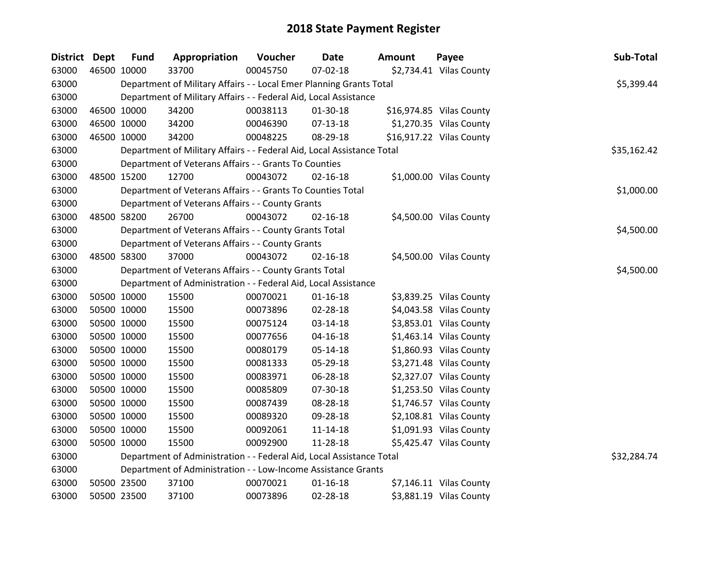| District Dept |             | <b>Fund</b> | Appropriation                                                          | Voucher  | <b>Date</b>    | Amount | Payee                    | Sub-Total   |
|---------------|-------------|-------------|------------------------------------------------------------------------|----------|----------------|--------|--------------------------|-------------|
| 63000         |             | 46500 10000 | 33700                                                                  | 00045750 | 07-02-18       |        | \$2,734.41 Vilas County  |             |
| 63000         |             |             | Department of Military Affairs - - Local Emer Planning Grants Total    |          |                |        |                          | \$5,399.44  |
| 63000         |             |             | Department of Military Affairs - - Federal Aid, Local Assistance       |          |                |        |                          |             |
| 63000         |             | 46500 10000 | 34200                                                                  | 00038113 | 01-30-18       |        | \$16,974.85 Vilas County |             |
| 63000         | 46500 10000 |             | 34200                                                                  | 00046390 | 07-13-18       |        | \$1,270.35 Vilas County  |             |
| 63000         |             | 46500 10000 | 34200                                                                  | 00048225 | 08-29-18       |        | \$16,917.22 Vilas County |             |
| 63000         |             |             | Department of Military Affairs - - Federal Aid, Local Assistance Total |          |                |        |                          | \$35,162.42 |
| 63000         |             |             | Department of Veterans Affairs - - Grants To Counties                  |          |                |        |                          |             |
| 63000         |             | 48500 15200 | 12700                                                                  | 00043072 | $02 - 16 - 18$ |        | \$1,000.00 Vilas County  |             |
| 63000         |             |             | Department of Veterans Affairs - - Grants To Counties Total            |          |                |        |                          | \$1,000.00  |
| 63000         |             |             | Department of Veterans Affairs - - County Grants                       |          |                |        |                          |             |
| 63000         |             | 48500 58200 | 26700                                                                  | 00043072 | $02 - 16 - 18$ |        | \$4,500.00 Vilas County  |             |
| 63000         |             |             | Department of Veterans Affairs - - County Grants Total                 |          |                |        |                          | \$4,500.00  |
| 63000         |             |             | Department of Veterans Affairs - - County Grants                       |          |                |        |                          |             |
| 63000         |             | 48500 58300 | 37000                                                                  | 00043072 | $02 - 16 - 18$ |        | \$4,500.00 Vilas County  |             |
| 63000         |             |             | Department of Veterans Affairs - - County Grants Total                 |          |                |        |                          | \$4,500.00  |
| 63000         |             |             | Department of Administration - - Federal Aid, Local Assistance         |          |                |        |                          |             |
| 63000         |             | 50500 10000 | 15500                                                                  | 00070021 | $01 - 16 - 18$ |        | \$3,839.25 Vilas County  |             |
| 63000         |             | 50500 10000 | 15500                                                                  | 00073896 | 02-28-18       |        | \$4,043.58 Vilas County  |             |
| 63000         |             | 50500 10000 | 15500                                                                  | 00075124 | 03-14-18       |        | \$3,853.01 Vilas County  |             |
| 63000         |             | 50500 10000 | 15500                                                                  | 00077656 | 04-16-18       |        | \$1,463.14 Vilas County  |             |
| 63000         |             | 50500 10000 | 15500                                                                  | 00080179 | 05-14-18       |        | \$1,860.93 Vilas County  |             |
| 63000         |             | 50500 10000 | 15500                                                                  | 00081333 | 05-29-18       |        | \$3,271.48 Vilas County  |             |
| 63000         |             | 50500 10000 | 15500                                                                  | 00083971 | 06-28-18       |        | \$2,327.07 Vilas County  |             |
| 63000         |             | 50500 10000 | 15500                                                                  | 00085809 | 07-30-18       |        | \$1,253.50 Vilas County  |             |
| 63000         |             | 50500 10000 | 15500                                                                  | 00087439 | 08-28-18       |        | \$1,746.57 Vilas County  |             |
| 63000         |             | 50500 10000 | 15500                                                                  | 00089320 | 09-28-18       |        | \$2,108.81 Vilas County  |             |
| 63000         |             | 50500 10000 | 15500                                                                  | 00092061 | 11-14-18       |        | \$1,091.93 Vilas County  |             |
| 63000         |             | 50500 10000 | 15500                                                                  | 00092900 | 11-28-18       |        | \$5,425.47 Vilas County  |             |
| 63000         |             |             | Department of Administration - - Federal Aid, Local Assistance Total   |          |                |        |                          | \$32,284.74 |
| 63000         |             |             | Department of Administration - - Low-Income Assistance Grants          |          |                |        |                          |             |
| 63000         |             | 50500 23500 | 37100                                                                  | 00070021 | $01 - 16 - 18$ |        | \$7,146.11 Vilas County  |             |
| 63000         |             | 50500 23500 | 37100                                                                  | 00073896 | 02-28-18       |        | \$3,881.19 Vilas County  |             |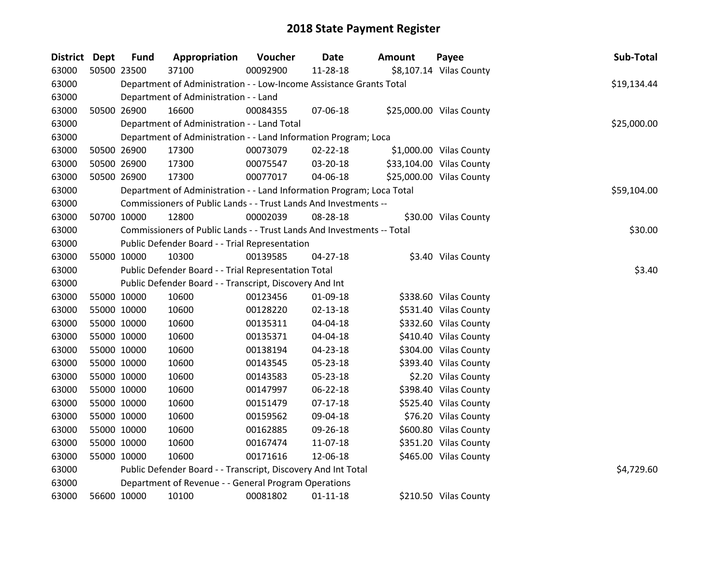| <b>District Dept</b> |             | <b>Fund</b>                                          | Appropriation                                                          | Voucher  | Date           | <b>Amount</b> | Payee                    | Sub-Total   |
|----------------------|-------------|------------------------------------------------------|------------------------------------------------------------------------|----------|----------------|---------------|--------------------------|-------------|
| 63000                | 50500 23500 |                                                      | 37100                                                                  | 00092900 | 11-28-18       |               | \$8,107.14 Vilas County  |             |
| 63000                |             |                                                      | Department of Administration - - Low-Income Assistance Grants Total    |          |                |               |                          | \$19,134.44 |
| 63000                |             |                                                      | Department of Administration - - Land                                  |          |                |               |                          |             |
| 63000                | 50500 26900 |                                                      | 16600                                                                  | 00084355 | 07-06-18       |               | \$25,000.00 Vilas County |             |
| 63000                |             |                                                      | Department of Administration - - Land Total                            |          |                |               |                          | \$25,000.00 |
| 63000                |             |                                                      | Department of Administration - - Land Information Program; Loca        |          |                |               |                          |             |
| 63000                | 50500 26900 |                                                      | 17300                                                                  | 00073079 | 02-22-18       |               | \$1,000.00 Vilas County  |             |
| 63000                | 50500 26900 |                                                      | 17300                                                                  | 00075547 | 03-20-18       |               | \$33,104.00 Vilas County |             |
| 63000                | 50500 26900 |                                                      | 17300                                                                  | 00077017 | 04-06-18       |               | \$25,000.00 Vilas County |             |
| 63000                |             |                                                      | Department of Administration - - Land Information Program; Loca Total  |          |                |               |                          | \$59,104.00 |
| 63000                |             |                                                      | Commissioners of Public Lands - - Trust Lands And Investments --       |          |                |               |                          |             |
| 63000                | 50700 10000 |                                                      | 12800                                                                  | 00002039 | 08-28-18       |               | \$30.00 Vilas County     |             |
| 63000                |             |                                                      | Commissioners of Public Lands - - Trust Lands And Investments -- Total |          |                |               |                          | \$30.00     |
| 63000                |             |                                                      | Public Defender Board - - Trial Representation                         |          |                |               |                          |             |
| 63000                | 55000 10000 |                                                      | 10300                                                                  | 00139585 | 04-27-18       |               | \$3.40 Vilas County      |             |
| 63000                |             | Public Defender Board - - Trial Representation Total |                                                                        | \$3.40   |                |               |                          |             |
| 63000                |             |                                                      | Public Defender Board - - Transcript, Discovery And Int                |          |                |               |                          |             |
| 63000                | 55000 10000 |                                                      | 10600                                                                  | 00123456 | 01-09-18       |               | \$338.60 Vilas County    |             |
| 63000                | 55000 10000 |                                                      | 10600                                                                  | 00128220 | $02 - 13 - 18$ |               | \$531.40 Vilas County    |             |
| 63000                | 55000 10000 |                                                      | 10600                                                                  | 00135311 | 04-04-18       |               | \$332.60 Vilas County    |             |
| 63000                | 55000 10000 |                                                      | 10600                                                                  | 00135371 | 04-04-18       |               | \$410.40 Vilas County    |             |
| 63000                | 55000 10000 |                                                      | 10600                                                                  | 00138194 | 04-23-18       |               | \$304.00 Vilas County    |             |
| 63000                | 55000 10000 |                                                      | 10600                                                                  | 00143545 | 05-23-18       |               | \$393.40 Vilas County    |             |
| 63000                | 55000 10000 |                                                      | 10600                                                                  | 00143583 | 05-23-18       |               | \$2.20 Vilas County      |             |
| 63000                | 55000 10000 |                                                      | 10600                                                                  | 00147997 | 06-22-18       |               | \$398.40 Vilas County    |             |
| 63000                | 55000 10000 |                                                      | 10600                                                                  | 00151479 | $07-17-18$     |               | \$525.40 Vilas County    |             |
| 63000                | 55000 10000 |                                                      | 10600                                                                  | 00159562 | 09-04-18       |               | \$76.20 Vilas County     |             |
| 63000                | 55000 10000 |                                                      | 10600                                                                  | 00162885 | 09-26-18       |               | \$600.80 Vilas County    |             |
| 63000                | 55000 10000 |                                                      | 10600                                                                  | 00167474 | 11-07-18       |               | \$351.20 Vilas County    |             |
| 63000                | 55000 10000 |                                                      | 10600                                                                  | 00171616 | 12-06-18       |               | \$465.00 Vilas County    |             |
| 63000                |             |                                                      | Public Defender Board - - Transcript, Discovery And Int Total          |          |                |               |                          | \$4,729.60  |
| 63000                |             |                                                      | Department of Revenue - - General Program Operations                   |          |                |               |                          |             |
| 63000                | 56600 10000 |                                                      | 10100                                                                  | 00081802 | $01 - 11 - 18$ |               | \$210.50 Vilas County    |             |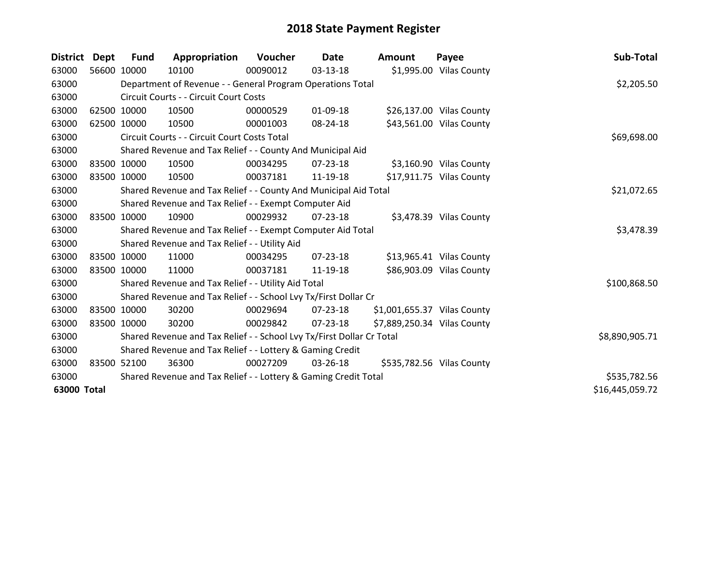| <b>District</b> | <b>Dept</b> | Fund        | Appropriation                                                         | Voucher  | Date       | <b>Amount</b>               | Payee                     | Sub-Total       |
|-----------------|-------------|-------------|-----------------------------------------------------------------------|----------|------------|-----------------------------|---------------------------|-----------------|
| 63000           |             | 56600 10000 | 10100                                                                 | 00090012 | $03-13-18$ |                             | \$1,995.00 Vilas County   |                 |
| 63000           |             |             | Department of Revenue - - General Program Operations Total            |          |            |                             |                           | \$2,205.50      |
| 63000           |             |             | Circuit Courts - - Circuit Court Costs                                |          |            |                             |                           |                 |
| 63000           |             | 62500 10000 | 10500                                                                 | 00000529 | 01-09-18   |                             | \$26,137.00 Vilas County  |                 |
| 63000           |             | 62500 10000 | 10500                                                                 | 00001003 | 08-24-18   |                             | \$43,561.00 Vilas County  |                 |
| 63000           |             |             | Circuit Courts - - Circuit Court Costs Total                          |          |            |                             |                           | \$69,698.00     |
| 63000           |             |             | Shared Revenue and Tax Relief - - County And Municipal Aid            |          |            |                             |                           |                 |
| 63000           |             | 83500 10000 | 10500                                                                 | 00034295 | 07-23-18   |                             | \$3,160.90 Vilas County   |                 |
| 63000           | 83500 10000 |             | 10500                                                                 | 00037181 | 11-19-18   |                             | \$17,911.75 Vilas County  |                 |
| 63000           |             |             | Shared Revenue and Tax Relief - - County And Municipal Aid Total      |          |            |                             |                           | \$21,072.65     |
| 63000           |             |             | Shared Revenue and Tax Relief - - Exempt Computer Aid                 |          |            |                             |                           |                 |
| 63000           |             | 83500 10000 | 10900                                                                 | 00029932 | 07-23-18   |                             | \$3,478.39 Vilas County   |                 |
| 63000           |             |             | Shared Revenue and Tax Relief - - Exempt Computer Aid Total           |          |            |                             |                           | \$3,478.39      |
| 63000           |             |             | Shared Revenue and Tax Relief - - Utility Aid                         |          |            |                             |                           |                 |
| 63000           |             | 83500 10000 | 11000                                                                 | 00034295 | 07-23-18   |                             | \$13,965.41 Vilas County  |                 |
| 63000           | 83500 10000 |             | 11000                                                                 | 00037181 | 11-19-18   |                             | \$86,903.09 Vilas County  |                 |
| 63000           |             |             | Shared Revenue and Tax Relief - - Utility Aid Total                   |          |            |                             |                           | \$100,868.50    |
| 63000           |             |             | Shared Revenue and Tax Relief - - School Lvy Tx/First Dollar Cr       |          |            |                             |                           |                 |
| 63000           | 83500 10000 |             | 30200                                                                 | 00029694 | 07-23-18   | \$1,001,655.37 Vilas County |                           |                 |
| 63000           | 83500 10000 |             | 30200                                                                 | 00029842 | 07-23-18   | \$7,889,250.34 Vilas County |                           |                 |
| 63000           |             |             | Shared Revenue and Tax Relief - - School Lvy Tx/First Dollar Cr Total |          |            |                             |                           | \$8,890,905.71  |
| 63000           |             |             | Shared Revenue and Tax Relief - - Lottery & Gaming Credit             |          |            |                             |                           |                 |
| 63000           |             | 83500 52100 | 36300                                                                 | 00027209 | 03-26-18   |                             | \$535,782.56 Vilas County |                 |
| 63000           |             |             | Shared Revenue and Tax Relief - - Lottery & Gaming Credit Total       |          |            |                             |                           | \$535,782.56    |
| 63000 Total     |             |             |                                                                       |          |            |                             |                           | \$16,445,059.72 |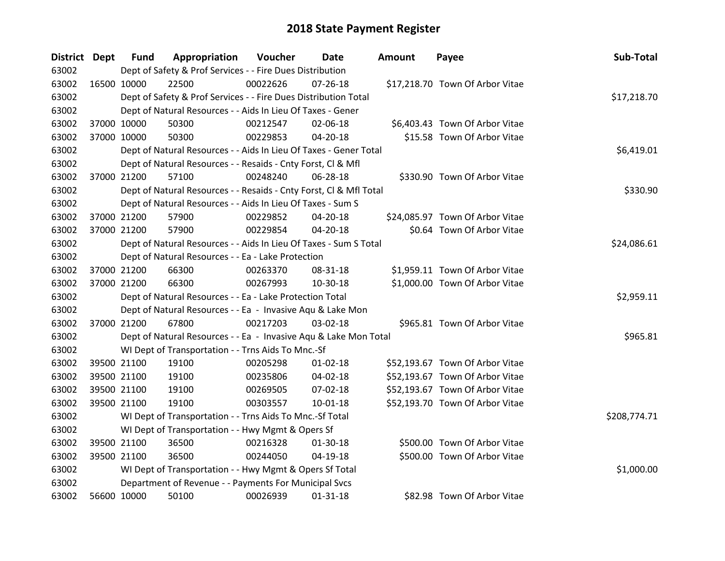| District Dept | <b>Fund</b> | Appropriation                                                      | Voucher  | Date           | <b>Amount</b> | Payee                           | Sub-Total    |
|---------------|-------------|--------------------------------------------------------------------|----------|----------------|---------------|---------------------------------|--------------|
| 63002         |             | Dept of Safety & Prof Services - - Fire Dues Distribution          |          |                |               |                                 |              |
| 63002         | 16500 10000 | 22500                                                              | 00022626 | $07 - 26 - 18$ |               | \$17,218.70 Town Of Arbor Vitae |              |
| 63002         |             | Dept of Safety & Prof Services - - Fire Dues Distribution Total    |          |                |               |                                 | \$17,218.70  |
| 63002         |             | Dept of Natural Resources - - Aids In Lieu Of Taxes - Gener        |          |                |               |                                 |              |
| 63002         | 37000 10000 | 50300                                                              | 00212547 | 02-06-18       |               | \$6,403.43 Town Of Arbor Vitae  |              |
| 63002         | 37000 10000 | 50300                                                              | 00229853 | $04 - 20 - 18$ |               | \$15.58 Town Of Arbor Vitae     |              |
| 63002         |             | Dept of Natural Resources - - Aids In Lieu Of Taxes - Gener Total  |          |                |               |                                 | \$6,419.01   |
| 63002         |             | Dept of Natural Resources - - Resaids - Cnty Forst, CI & Mfl       |          |                |               |                                 |              |
| 63002         | 37000 21200 | 57100                                                              | 00248240 | 06-28-18       |               | \$330.90 Town Of Arbor Vitae    |              |
| 63002         |             | Dept of Natural Resources - - Resaids - Cnty Forst, Cl & Mfl Total |          |                |               |                                 | \$330.90     |
| 63002         |             | Dept of Natural Resources - - Aids In Lieu Of Taxes - Sum S        |          |                |               |                                 |              |
| 63002         | 37000 21200 | 57900                                                              | 00229852 | 04-20-18       |               | \$24,085.97 Town Of Arbor Vitae |              |
| 63002         | 37000 21200 | 57900                                                              | 00229854 | 04-20-18       |               | \$0.64 Town Of Arbor Vitae      |              |
| 63002         |             | Dept of Natural Resources - - Aids In Lieu Of Taxes - Sum S Total  |          |                |               |                                 | \$24,086.61  |
| 63002         |             | Dept of Natural Resources - - Ea - Lake Protection                 |          |                |               |                                 |              |
| 63002         | 37000 21200 | 66300                                                              | 00263370 | 08-31-18       |               | \$1,959.11 Town Of Arbor Vitae  |              |
| 63002         | 37000 21200 | 66300                                                              | 00267993 | 10-30-18       |               | \$1,000.00 Town Of Arbor Vitae  |              |
| 63002         |             | Dept of Natural Resources - - Ea - Lake Protection Total           |          |                |               |                                 | \$2,959.11   |
| 63002         |             | Dept of Natural Resources - - Ea - Invasive Aqu & Lake Mon         |          |                |               |                                 |              |
| 63002         | 37000 21200 | 67800                                                              | 00217203 | 03-02-18       |               | \$965.81 Town Of Arbor Vitae    |              |
| 63002         |             | Dept of Natural Resources - - Ea - Invasive Aqu & Lake Mon Total   |          |                |               |                                 | \$965.81     |
| 63002         |             | WI Dept of Transportation - - Trns Aids To Mnc.-Sf                 |          |                |               |                                 |              |
| 63002         | 39500 21100 | 19100                                                              | 00205298 | $01 - 02 - 18$ |               | \$52,193.67 Town Of Arbor Vitae |              |
| 63002         | 39500 21100 | 19100                                                              | 00235806 | 04-02-18       |               | \$52,193.67 Town Of Arbor Vitae |              |
| 63002         | 39500 21100 | 19100                                                              | 00269505 | 07-02-18       |               | \$52,193.67 Town Of Arbor Vitae |              |
| 63002         | 39500 21100 | 19100                                                              | 00303557 | $10 - 01 - 18$ |               | \$52,193.70 Town Of Arbor Vitae |              |
| 63002         |             | WI Dept of Transportation - - Trns Aids To Mnc.-Sf Total           |          |                |               |                                 | \$208,774.71 |
| 63002         |             | WI Dept of Transportation - - Hwy Mgmt & Opers Sf                  |          |                |               |                                 |              |
| 63002         | 39500 21100 | 36500                                                              | 00216328 | 01-30-18       |               | \$500.00 Town Of Arbor Vitae    |              |
| 63002         | 39500 21100 | 36500                                                              | 00244050 | 04-19-18       |               | \$500.00 Town Of Arbor Vitae    |              |
| 63002         |             | WI Dept of Transportation - - Hwy Mgmt & Opers Sf Total            |          |                |               |                                 | \$1,000.00   |
| 63002         |             | Department of Revenue - - Payments For Municipal Svcs              |          |                |               |                                 |              |
| 63002         | 56600 10000 | 50100                                                              | 00026939 | $01 - 31 - 18$ |               | \$82.98 Town Of Arbor Vitae     |              |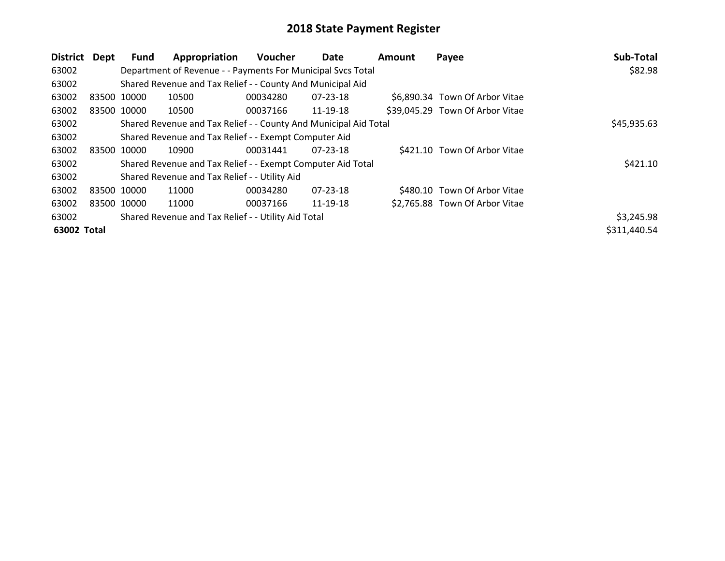| District    | Dept        | Fund        | Appropriation                                                    | <b>Voucher</b> | Date     | Amount | Payee                           | Sub-Total    |
|-------------|-------------|-------------|------------------------------------------------------------------|----------------|----------|--------|---------------------------------|--------------|
| 63002       |             |             | Department of Revenue - - Payments For Municipal Svcs Total      |                |          |        |                                 | \$82.98      |
| 63002       |             |             | Shared Revenue and Tax Relief - - County And Municipal Aid       |                |          |        |                                 |              |
| 63002       |             | 83500 10000 | 10500                                                            | 00034280       | 07-23-18 |        | \$6,890.34 Town Of Arbor Vitae  |              |
| 63002       |             | 83500 10000 | 10500                                                            | 00037166       | 11-19-18 |        | \$39,045.29 Town Of Arbor Vitae |              |
| 63002       |             |             | Shared Revenue and Tax Relief - - County And Municipal Aid Total |                |          |        |                                 | \$45,935.63  |
| 63002       |             |             | Shared Revenue and Tax Relief - - Exempt Computer Aid            |                |          |        |                                 |              |
| 63002       |             | 83500 10000 | 10900                                                            | 00031441       | 07-23-18 |        | \$421.10 Town Of Arbor Vitae    |              |
| 63002       |             |             | Shared Revenue and Tax Relief - - Exempt Computer Aid Total      |                |          |        |                                 | \$421.10     |
| 63002       |             |             | Shared Revenue and Tax Relief - - Utility Aid                    |                |          |        |                                 |              |
| 63002       | 83500 10000 |             | 11000                                                            | 00034280       | 07-23-18 |        | \$480.10 Town Of Arbor Vitae    |              |
| 63002       |             | 83500 10000 | 11000                                                            | 00037166       | 11-19-18 |        | \$2,765.88 Town Of Arbor Vitae  |              |
| 63002       |             |             | Shared Revenue and Tax Relief - - Utility Aid Total              |                |          |        |                                 | \$3,245.98   |
| 63002 Total |             |             |                                                                  |                |          |        |                                 | \$311,440.54 |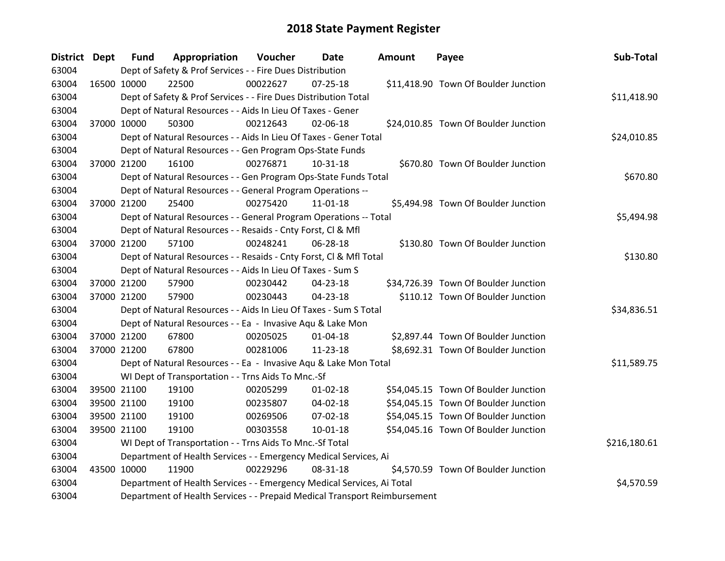| <b>District Dept</b> |             | <b>Fund</b>                                                      | Appropriation                                                             | Voucher  | Date           | <b>Amount</b> | Payee                                | Sub-Total    |  |
|----------------------|-------------|------------------------------------------------------------------|---------------------------------------------------------------------------|----------|----------------|---------------|--------------------------------------|--------------|--|
| 63004                |             |                                                                  | Dept of Safety & Prof Services - - Fire Dues Distribution                 |          |                |               |                                      |              |  |
| 63004                | 16500 10000 |                                                                  | 22500                                                                     | 00022627 | 07-25-18       |               | \$11,418.90 Town Of Boulder Junction |              |  |
| 63004                |             |                                                                  | Dept of Safety & Prof Services - - Fire Dues Distribution Total           |          |                |               |                                      | \$11,418.90  |  |
| 63004                |             |                                                                  | Dept of Natural Resources - - Aids In Lieu Of Taxes - Gener               |          |                |               |                                      |              |  |
| 63004                | 37000 10000 |                                                                  | 50300                                                                     | 00212643 | 02-06-18       |               | \$24,010.85 Town Of Boulder Junction |              |  |
| 63004                |             |                                                                  | Dept of Natural Resources - - Aids In Lieu Of Taxes - Gener Total         |          |                |               |                                      | \$24,010.85  |  |
| 63004                |             |                                                                  | Dept of Natural Resources - - Gen Program Ops-State Funds                 |          |                |               |                                      |              |  |
| 63004                |             | 37000 21200                                                      | 16100                                                                     | 00276871 | $10 - 31 - 18$ |               | \$670.80 Town Of Boulder Junction    |              |  |
| 63004                |             |                                                                  | Dept of Natural Resources - - Gen Program Ops-State Funds Total           |          |                |               |                                      | \$670.80     |  |
| 63004                |             |                                                                  | Dept of Natural Resources - - General Program Operations --               |          |                |               |                                      |              |  |
| 63004                |             | 37000 21200                                                      | 25400                                                                     | 00275420 | $11 - 01 - 18$ |               | \$5,494.98 Town Of Boulder Junction  |              |  |
| 63004                |             |                                                                  | Dept of Natural Resources - - General Program Operations -- Total         |          |                |               |                                      | \$5,494.98   |  |
| 63004                |             |                                                                  | Dept of Natural Resources - - Resaids - Cnty Forst, Cl & Mfl              |          |                |               |                                      |              |  |
| 63004                |             | 37000 21200                                                      | 57100                                                                     | 00248241 | 06-28-18       |               | \$130.80 Town Of Boulder Junction    |              |  |
| 63004                |             |                                                                  | Dept of Natural Resources - - Resaids - Cnty Forst, Cl & Mfl Total        |          |                |               |                                      |              |  |
| 63004                |             |                                                                  | Dept of Natural Resources - - Aids In Lieu Of Taxes - Sum S               |          |                |               |                                      |              |  |
| 63004                |             | 37000 21200                                                      | 57900                                                                     | 00230442 | 04-23-18       |               | \$34,726.39 Town Of Boulder Junction |              |  |
| 63004                |             | 37000 21200                                                      | 57900                                                                     | 00230443 | 04-23-18       |               | \$110.12 Town Of Boulder Junction    |              |  |
| 63004                |             |                                                                  | Dept of Natural Resources - - Aids In Lieu Of Taxes - Sum S Total         |          |                |               |                                      | \$34,836.51  |  |
| 63004                |             |                                                                  | Dept of Natural Resources - - Ea - Invasive Aqu & Lake Mon                |          |                |               |                                      |              |  |
| 63004                |             | 37000 21200                                                      | 67800                                                                     | 00205025 | $01 - 04 - 18$ |               | \$2,897.44 Town Of Boulder Junction  |              |  |
| 63004                | 37000 21200 |                                                                  | 67800                                                                     | 00281006 | $11 - 23 - 18$ |               | \$8,692.31 Town Of Boulder Junction  |              |  |
| 63004                |             |                                                                  | Dept of Natural Resources - - Ea - Invasive Aqu & Lake Mon Total          |          |                |               |                                      | \$11,589.75  |  |
| 63004                |             |                                                                  | WI Dept of Transportation - - Trns Aids To Mnc.-Sf                        |          |                |               |                                      |              |  |
| 63004                |             | 39500 21100                                                      | 19100                                                                     | 00205299 | $01 - 02 - 18$ |               | \$54,045.15 Town Of Boulder Junction |              |  |
| 63004                |             | 39500 21100                                                      | 19100                                                                     | 00235807 | 04-02-18       |               | \$54,045.15 Town Of Boulder Junction |              |  |
| 63004                | 39500 21100 |                                                                  | 19100                                                                     | 00269506 | 07-02-18       |               | \$54,045.15 Town Of Boulder Junction |              |  |
| 63004                |             | 39500 21100                                                      | 19100                                                                     | 00303558 | $10 - 01 - 18$ |               | \$54,045.16 Town Of Boulder Junction |              |  |
| 63004                |             |                                                                  | WI Dept of Transportation - - Trns Aids To Mnc.-Sf Total                  |          |                |               |                                      | \$216,180.61 |  |
| 63004                |             | Department of Health Services - - Emergency Medical Services, Ai |                                                                           |          |                |               |                                      |              |  |
| 63004                | 43500 10000 |                                                                  | 11900                                                                     | 00229296 | 08-31-18       |               | \$4,570.59 Town Of Boulder Junction  |              |  |
| 63004                |             |                                                                  | Department of Health Services - - Emergency Medical Services, Ai Total    |          |                |               |                                      | \$4,570.59   |  |
| 63004                |             |                                                                  | Department of Health Services - - Prepaid Medical Transport Reimbursement |          |                |               |                                      |              |  |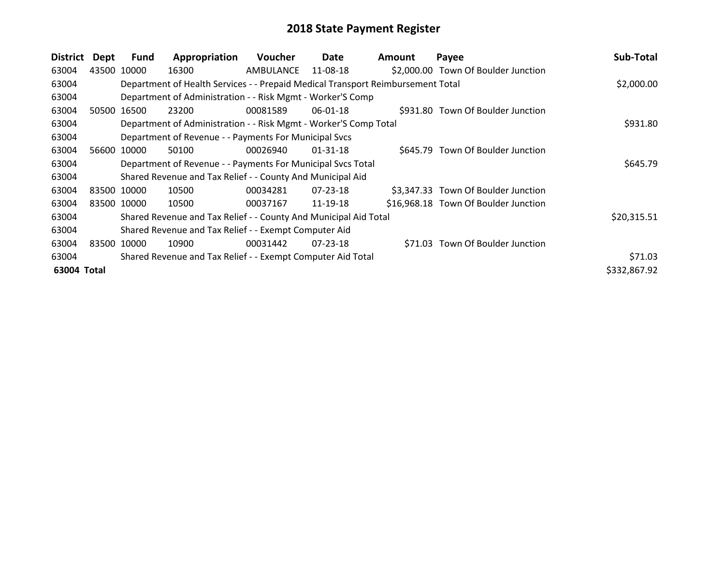| <b>District</b> | Dept        | Fund        | Appropriation                                                                   | <b>Voucher</b> | Date           | <b>Amount</b> | Payee                                | Sub-Total    |
|-----------------|-------------|-------------|---------------------------------------------------------------------------------|----------------|----------------|---------------|--------------------------------------|--------------|
| 63004           | 43500       | 10000       | 16300                                                                           | AMBULANCE      | 11-08-18       |               | \$2,000.00 Town Of Boulder Junction  |              |
| 63004           |             |             | Department of Health Services - - Prepaid Medical Transport Reimbursement Total |                |                |               |                                      | \$2,000.00   |
| 63004           |             |             | Department of Administration - - Risk Mgmt - Worker'S Comp                      |                |                |               |                                      |              |
| 63004           |             | 50500 16500 | 23200                                                                           | 00081589       | 06-01-18       |               | \$931.80 Town Of Boulder Junction    |              |
| 63004           |             |             | Department of Administration - - Risk Mgmt - Worker'S Comp Total                |                |                |               |                                      | \$931.80     |
| 63004           |             |             | Department of Revenue - - Payments For Municipal Svcs                           |                |                |               |                                      |              |
| 63004           | 56600 10000 |             | 50100                                                                           | 00026940       | $01 - 31 - 18$ |               | \$645.79 Town Of Boulder Junction    |              |
| 63004           |             |             | Department of Revenue - - Payments For Municipal Svcs Total                     |                |                |               |                                      | \$645.79     |
| 63004           |             |             | Shared Revenue and Tax Relief - - County And Municipal Aid                      |                |                |               |                                      |              |
| 63004           | 83500 10000 |             | 10500                                                                           | 00034281       | 07-23-18       |               | \$3,347.33 Town Of Boulder Junction  |              |
| 63004           | 83500 10000 |             | 10500                                                                           | 00037167       | 11-19-18       |               | \$16,968.18 Town Of Boulder Junction |              |
| 63004           |             |             | Shared Revenue and Tax Relief - - County And Municipal Aid Total                |                |                |               |                                      | \$20,315.51  |
| 63004           |             |             | Shared Revenue and Tax Relief - - Exempt Computer Aid                           |                |                |               |                                      |              |
| 63004           | 83500       | 10000       | 10900                                                                           | 00031442       | 07-23-18       |               | \$71.03 Town Of Boulder Junction     |              |
| 63004           |             |             | Shared Revenue and Tax Relief - - Exempt Computer Aid Total                     |                |                |               |                                      | \$71.03      |
| 63004 Total     |             |             |                                                                                 |                |                |               |                                      | \$332,867.92 |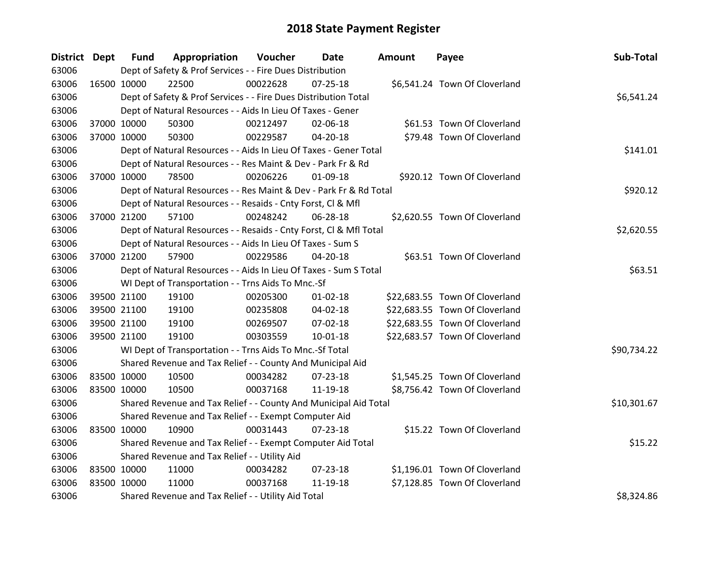| District Dept |             | <b>Fund</b> | Appropriation                                                      | Voucher  | Date           | <b>Amount</b> | Payee                          | Sub-Total   |
|---------------|-------------|-------------|--------------------------------------------------------------------|----------|----------------|---------------|--------------------------------|-------------|
| 63006         |             |             | Dept of Safety & Prof Services - - Fire Dues Distribution          |          |                |               |                                |             |
| 63006         | 16500 10000 |             | 22500                                                              | 00022628 | $07 - 25 - 18$ |               | \$6,541.24 Town Of Cloverland  |             |
| 63006         |             |             | Dept of Safety & Prof Services - - Fire Dues Distribution Total    |          |                |               |                                | \$6,541.24  |
| 63006         |             |             | Dept of Natural Resources - - Aids In Lieu Of Taxes - Gener        |          |                |               |                                |             |
| 63006         | 37000 10000 |             | 50300                                                              | 00212497 | 02-06-18       |               | \$61.53 Town Of Cloverland     |             |
| 63006         | 37000 10000 |             | 50300                                                              | 00229587 | $04 - 20 - 18$ |               | \$79.48 Town Of Cloverland     |             |
| 63006         |             |             | Dept of Natural Resources - - Aids In Lieu Of Taxes - Gener Total  |          |                |               |                                | \$141.01    |
| 63006         |             |             | Dept of Natural Resources - - Res Maint & Dev - Park Fr & Rd       |          |                |               |                                |             |
| 63006         | 37000 10000 |             | 78500                                                              | 00206226 | 01-09-18       |               | \$920.12 Town Of Cloverland    |             |
| 63006         |             |             | Dept of Natural Resources - - Res Maint & Dev - Park Fr & Rd Total |          |                |               |                                | \$920.12    |
| 63006         |             |             | Dept of Natural Resources - - Resaids - Cnty Forst, Cl & Mfl       |          |                |               |                                |             |
| 63006         | 37000 21200 |             | 57100                                                              | 00248242 | 06-28-18       |               | \$2,620.55 Town Of Cloverland  |             |
| 63006         |             |             | Dept of Natural Resources - - Resaids - Cnty Forst, CI & Mfl Total |          |                |               |                                | \$2,620.55  |
| 63006         |             |             | Dept of Natural Resources - - Aids In Lieu Of Taxes - Sum S        |          |                |               |                                |             |
| 63006         | 37000 21200 |             | 57900                                                              | 00229586 | 04-20-18       |               | \$63.51 Town Of Cloverland     |             |
| 63006         |             |             | Dept of Natural Resources - - Aids In Lieu Of Taxes - Sum S Total  |          |                |               |                                | \$63.51     |
| 63006         |             |             | WI Dept of Transportation - - Trns Aids To Mnc.-Sf                 |          |                |               |                                |             |
| 63006         | 39500 21100 |             | 19100                                                              | 00205300 | $01 - 02 - 18$ |               | \$22,683.55 Town Of Cloverland |             |
| 63006         | 39500 21100 |             | 19100                                                              | 00235808 | 04-02-18       |               | \$22,683.55 Town Of Cloverland |             |
| 63006         | 39500 21100 |             | 19100                                                              | 00269507 | 07-02-18       |               | \$22,683.55 Town Of Cloverland |             |
| 63006         | 39500 21100 |             | 19100                                                              | 00303559 | 10-01-18       |               | \$22,683.57 Town Of Cloverland |             |
| 63006         |             |             | WI Dept of Transportation - - Trns Aids To Mnc.-Sf Total           |          |                |               |                                | \$90,734.22 |
| 63006         |             |             | Shared Revenue and Tax Relief - - County And Municipal Aid         |          |                |               |                                |             |
| 63006         | 83500 10000 |             | 10500                                                              | 00034282 | 07-23-18       |               | \$1,545.25 Town Of Cloverland  |             |
| 63006         | 83500 10000 |             | 10500                                                              | 00037168 | 11-19-18       |               | \$8,756.42 Town Of Cloverland  |             |
| 63006         |             |             | Shared Revenue and Tax Relief - - County And Municipal Aid Total   |          |                |               |                                | \$10,301.67 |
| 63006         |             |             | Shared Revenue and Tax Relief - - Exempt Computer Aid              |          |                |               |                                |             |
| 63006         | 83500 10000 |             | 10900                                                              | 00031443 | $07 - 23 - 18$ |               | \$15.22 Town Of Cloverland     |             |
| 63006         |             |             | Shared Revenue and Tax Relief - - Exempt Computer Aid Total        |          |                |               |                                | \$15.22     |
| 63006         |             |             | Shared Revenue and Tax Relief - - Utility Aid                      |          |                |               |                                |             |
| 63006         | 83500 10000 |             | 11000                                                              | 00034282 | 07-23-18       |               | \$1,196.01 Town Of Cloverland  |             |
| 63006         | 83500 10000 |             | 11000                                                              | 00037168 | 11-19-18       |               | \$7,128.85 Town Of Cloverland  |             |
| 63006         |             |             | Shared Revenue and Tax Relief - - Utility Aid Total                |          |                |               |                                | \$8,324.86  |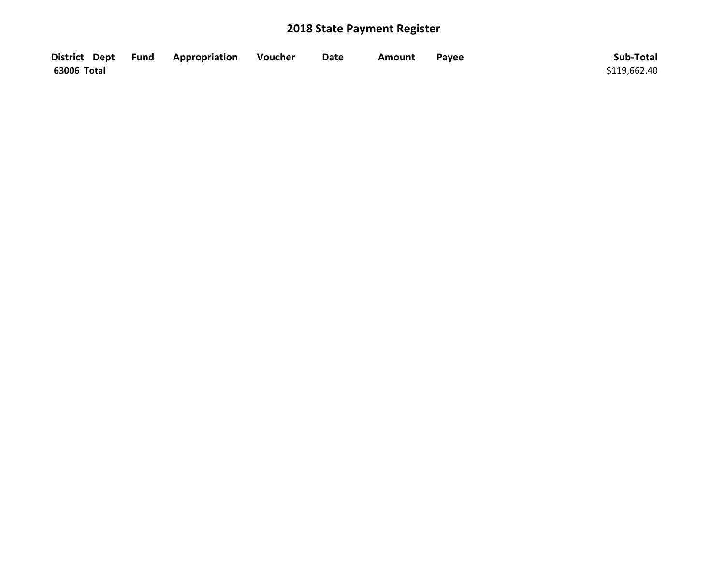|             | District Dept Fund Appropriation | Voucher | <b>Date</b> | Amount | Payee | Sub-Total    |
|-------------|----------------------------------|---------|-------------|--------|-------|--------------|
| 63006 Total |                                  |         |             |        |       | \$119,662.40 |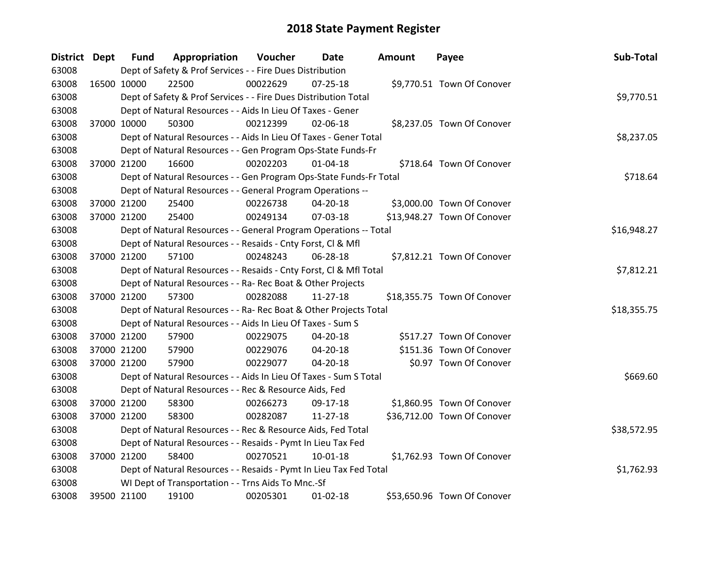| District Dept |             | <b>Fund</b> | Appropriation                                                      | Voucher  | Date           | Amount | Payee                       | Sub-Total   |
|---------------|-------------|-------------|--------------------------------------------------------------------|----------|----------------|--------|-----------------------------|-------------|
| 63008         |             |             | Dept of Safety & Prof Services - - Fire Dues Distribution          |          |                |        |                             |             |
| 63008         | 16500 10000 |             | 22500                                                              | 00022629 | $07 - 25 - 18$ |        | \$9,770.51 Town Of Conover  |             |
| 63008         |             |             | Dept of Safety & Prof Services - - Fire Dues Distribution Total    |          |                |        |                             | \$9,770.51  |
| 63008         |             |             | Dept of Natural Resources - - Aids In Lieu Of Taxes - Gener        |          |                |        |                             |             |
| 63008         | 37000 10000 |             | 50300                                                              | 00212399 | 02-06-18       |        | \$8,237.05 Town Of Conover  |             |
| 63008         |             |             | Dept of Natural Resources - - Aids In Lieu Of Taxes - Gener Total  |          |                |        |                             | \$8,237.05  |
| 63008         |             |             | Dept of Natural Resources - - Gen Program Ops-State Funds-Fr       |          |                |        |                             |             |
| 63008         |             | 37000 21200 | 16600                                                              | 00202203 | $01 - 04 - 18$ |        | \$718.64 Town Of Conover    |             |
| 63008         |             |             | Dept of Natural Resources - - Gen Program Ops-State Funds-Fr Total |          |                |        |                             | \$718.64    |
| 63008         |             |             | Dept of Natural Resources - - General Program Operations --        |          |                |        |                             |             |
| 63008         |             | 37000 21200 | 25400                                                              | 00226738 | 04-20-18       |        | \$3,000.00 Town Of Conover  |             |
| 63008         |             | 37000 21200 | 25400                                                              | 00249134 | 07-03-18       |        | \$13,948.27 Town Of Conover |             |
| 63008         |             |             | Dept of Natural Resources - - General Program Operations -- Total  |          |                |        |                             | \$16,948.27 |
| 63008         |             |             | Dept of Natural Resources - - Resaids - Cnty Forst, Cl & Mfl       |          |                |        |                             |             |
| 63008         | 37000 21200 |             | 57100                                                              | 00248243 | 06-28-18       |        | \$7,812.21 Town Of Conover  |             |
| 63008         |             |             | Dept of Natural Resources - - Resaids - Cnty Forst, CI & Mfl Total |          |                |        |                             | \$7,812.21  |
| 63008         |             |             | Dept of Natural Resources - - Ra- Rec Boat & Other Projects        |          |                |        |                             |             |
| 63008         |             | 37000 21200 | 57300                                                              | 00282088 | $11 - 27 - 18$ |        | \$18,355.75 Town Of Conover |             |
| 63008         |             |             | Dept of Natural Resources - - Ra- Rec Boat & Other Projects Total  |          |                |        |                             | \$18,355.75 |
| 63008         |             |             | Dept of Natural Resources - - Aids In Lieu Of Taxes - Sum S        |          |                |        |                             |             |
| 63008         |             | 37000 21200 | 57900                                                              | 00229075 | 04-20-18       |        | \$517.27 Town Of Conover    |             |
| 63008         |             | 37000 21200 | 57900                                                              | 00229076 | 04-20-18       |        | \$151.36 Town Of Conover    |             |
| 63008         |             | 37000 21200 | 57900                                                              | 00229077 | 04-20-18       |        | \$0.97 Town Of Conover      |             |
| 63008         |             |             | Dept of Natural Resources - - Aids In Lieu Of Taxes - Sum S Total  |          |                |        |                             | \$669.60    |
| 63008         |             |             | Dept of Natural Resources - - Rec & Resource Aids, Fed             |          |                |        |                             |             |
| 63008         |             | 37000 21200 | 58300                                                              | 00266273 | 09-17-18       |        | \$1,860.95 Town Of Conover  |             |
| 63008         |             | 37000 21200 | 58300                                                              | 00282087 | 11-27-18       |        | \$36,712.00 Town Of Conover |             |
| 63008         |             |             | Dept of Natural Resources - - Rec & Resource Aids, Fed Total       |          |                |        |                             | \$38,572.95 |
| 63008         |             |             | Dept of Natural Resources - - Resaids - Pymt In Lieu Tax Fed       |          |                |        |                             |             |
| 63008         |             | 37000 21200 | 58400                                                              | 00270521 | $10 - 01 - 18$ |        | \$1,762.93 Town Of Conover  |             |
| 63008         |             |             | Dept of Natural Resources - - Resaids - Pymt In Lieu Tax Fed Total |          |                |        |                             | \$1,762.93  |
| 63008         |             |             | WI Dept of Transportation - - Trns Aids To Mnc.-Sf                 |          |                |        |                             |             |
| 63008         | 39500 21100 |             | 19100                                                              | 00205301 | $01-02-18$     |        | \$53,650.96 Town Of Conover |             |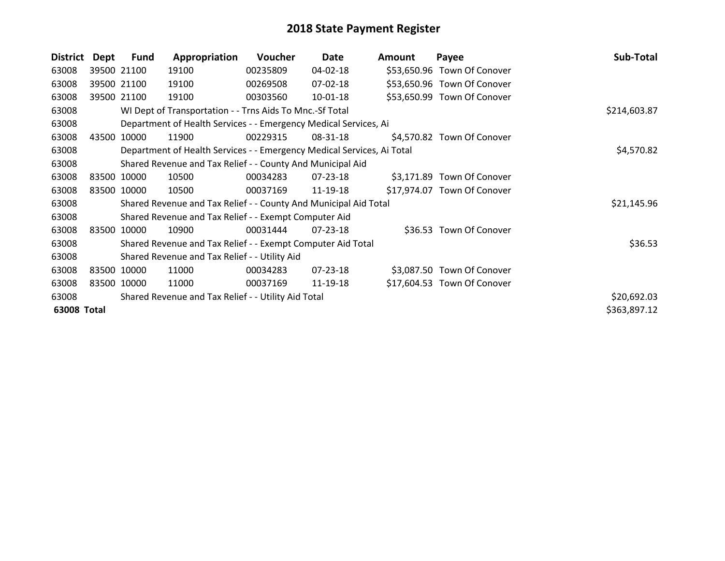| District    | Dept  | Fund        | Appropriation                                                          | Voucher  | Date           | <b>Amount</b> | Payee                       | Sub-Total    |
|-------------|-------|-------------|------------------------------------------------------------------------|----------|----------------|---------------|-----------------------------|--------------|
| 63008       |       | 39500 21100 | 19100                                                                  | 00235809 | 04-02-18       |               | \$53,650.96 Town Of Conover |              |
| 63008       |       | 39500 21100 | 19100                                                                  | 00269508 | 07-02-18       |               | \$53,650.96 Town Of Conover |              |
| 63008       |       | 39500 21100 | 19100                                                                  | 00303560 | $10-01-18$     |               | \$53,650.99 Town Of Conover |              |
| 63008       |       |             | WI Dept of Transportation - - Trns Aids To Mnc.-Sf Total               |          |                |               |                             | \$214,603.87 |
| 63008       |       |             | Department of Health Services - - Emergency Medical Services, Ai       |          |                |               |                             |              |
| 63008       | 43500 | 10000       | 11900                                                                  | 00229315 | 08-31-18       |               | \$4,570.82 Town Of Conover  |              |
| 63008       |       |             | Department of Health Services - - Emergency Medical Services, Ai Total |          |                |               |                             | \$4,570.82   |
| 63008       |       |             | Shared Revenue and Tax Relief - - County And Municipal Aid             |          |                |               |                             |              |
| 63008       |       | 83500 10000 | 10500                                                                  | 00034283 | 07-23-18       |               | \$3,171.89 Town Of Conover  |              |
| 63008       |       | 83500 10000 | 10500                                                                  | 00037169 | 11-19-18       |               | \$17,974.07 Town Of Conover |              |
| 63008       |       |             | Shared Revenue and Tax Relief - - County And Municipal Aid Total       |          |                |               |                             | \$21,145.96  |
| 63008       |       |             | Shared Revenue and Tax Relief - - Exempt Computer Aid                  |          |                |               |                             |              |
| 63008       |       | 83500 10000 | 10900                                                                  | 00031444 | $07 - 23 - 18$ |               | \$36.53 Town Of Conover     |              |
| 63008       |       |             | Shared Revenue and Tax Relief - - Exempt Computer Aid Total            |          |                |               |                             | \$36.53      |
| 63008       |       |             | Shared Revenue and Tax Relief - - Utility Aid                          |          |                |               |                             |              |
| 63008       |       | 83500 10000 | 11000                                                                  | 00034283 | 07-23-18       |               | \$3,087.50 Town Of Conover  |              |
| 63008       |       | 83500 10000 | 11000                                                                  | 00037169 | 11-19-18       |               | \$17,604.53 Town Of Conover |              |
| 63008       |       |             | Shared Revenue and Tax Relief - - Utility Aid Total                    |          |                |               |                             | \$20,692.03  |
| 63008 Total |       |             |                                                                        |          |                |               |                             | \$363,897.12 |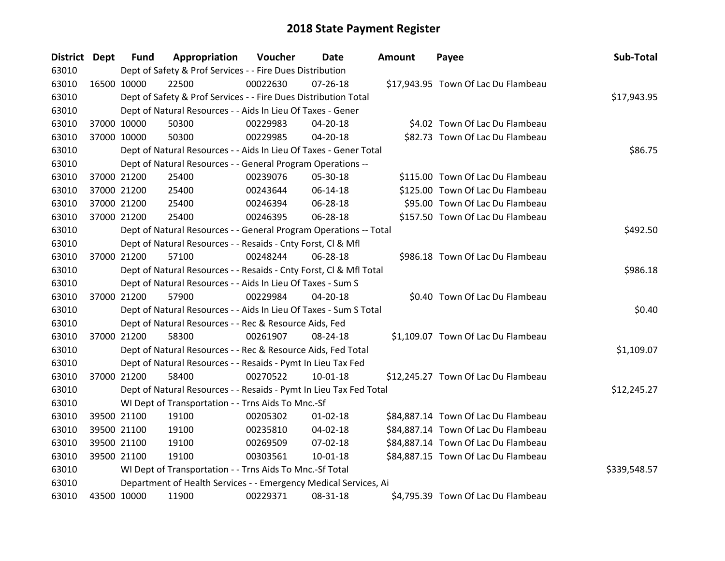| District Dept |             | <b>Fund</b> | Appropriation                                                      | Voucher  | Date           | Amount | Payee                               | Sub-Total    |
|---------------|-------------|-------------|--------------------------------------------------------------------|----------|----------------|--------|-------------------------------------|--------------|
| 63010         |             |             | Dept of Safety & Prof Services - - Fire Dues Distribution          |          |                |        |                                     |              |
| 63010         | 16500 10000 |             | 22500                                                              | 00022630 | $07 - 26 - 18$ |        | \$17,943.95 Town Of Lac Du Flambeau |              |
| 63010         |             |             | Dept of Safety & Prof Services - - Fire Dues Distribution Total    |          |                |        |                                     | \$17,943.95  |
| 63010         |             |             | Dept of Natural Resources - - Aids In Lieu Of Taxes - Gener        |          |                |        |                                     |              |
| 63010         |             | 37000 10000 | 50300                                                              | 00229983 | 04-20-18       |        | \$4.02 Town Of Lac Du Flambeau      |              |
| 63010         |             | 37000 10000 | 50300                                                              | 00229985 | 04-20-18       |        | \$82.73 Town Of Lac Du Flambeau     |              |
| 63010         |             |             | Dept of Natural Resources - - Aids In Lieu Of Taxes - Gener Total  |          |                |        |                                     | \$86.75      |
| 63010         |             |             | Dept of Natural Resources - - General Program Operations --        |          |                |        |                                     |              |
| 63010         |             | 37000 21200 | 25400                                                              | 00239076 | 05-30-18       |        | \$115.00 Town Of Lac Du Flambeau    |              |
| 63010         |             | 37000 21200 | 25400                                                              | 00243644 | 06-14-18       |        | \$125.00 Town Of Lac Du Flambeau    |              |
| 63010         |             | 37000 21200 | 25400                                                              | 00246394 | 06-28-18       |        | \$95.00 Town Of Lac Du Flambeau     |              |
| 63010         |             | 37000 21200 | 25400                                                              | 00246395 | 06-28-18       |        | \$157.50 Town Of Lac Du Flambeau    |              |
| 63010         |             |             | Dept of Natural Resources - - General Program Operations -- Total  |          |                |        |                                     | \$492.50     |
| 63010         |             |             | Dept of Natural Resources - - Resaids - Cnty Forst, Cl & Mfl       |          |                |        |                                     |              |
| 63010         |             | 37000 21200 | 57100                                                              | 00248244 | 06-28-18       |        | \$986.18 Town Of Lac Du Flambeau    |              |
| 63010         |             |             | Dept of Natural Resources - - Resaids - Cnty Forst, CI & Mfl Total |          |                |        |                                     | \$986.18     |
| 63010         |             |             | Dept of Natural Resources - - Aids In Lieu Of Taxes - Sum S        |          |                |        |                                     |              |
| 63010         |             | 37000 21200 | 57900                                                              | 00229984 | 04-20-18       |        | \$0.40 Town Of Lac Du Flambeau      |              |
| 63010         |             |             | Dept of Natural Resources - - Aids In Lieu Of Taxes - Sum S Total  |          |                |        |                                     | \$0.40       |
| 63010         |             |             | Dept of Natural Resources - - Rec & Resource Aids, Fed             |          |                |        |                                     |              |
| 63010         |             | 37000 21200 | 58300                                                              | 00261907 | 08-24-18       |        | \$1,109.07 Town Of Lac Du Flambeau  |              |
| 63010         |             |             | Dept of Natural Resources - - Rec & Resource Aids, Fed Total       |          |                |        |                                     | \$1,109.07   |
| 63010         |             |             | Dept of Natural Resources - - Resaids - Pymt In Lieu Tax Fed       |          |                |        |                                     |              |
| 63010         |             | 37000 21200 | 58400                                                              | 00270522 | 10-01-18       |        | \$12,245.27 Town Of Lac Du Flambeau |              |
| 63010         |             |             | Dept of Natural Resources - - Resaids - Pymt In Lieu Tax Fed Total |          |                |        |                                     | \$12,245.27  |
| 63010         |             |             | WI Dept of Transportation - - Trns Aids To Mnc.-Sf                 |          |                |        |                                     |              |
| 63010         |             | 39500 21100 | 19100                                                              | 00205302 | $01 - 02 - 18$ |        | \$84,887.14 Town Of Lac Du Flambeau |              |
| 63010         |             | 39500 21100 | 19100                                                              | 00235810 | $04 - 02 - 18$ |        | \$84,887.14 Town Of Lac Du Flambeau |              |
| 63010         |             | 39500 21100 | 19100                                                              | 00269509 | 07-02-18       |        | \$84,887.14 Town Of Lac Du Flambeau |              |
| 63010         |             | 39500 21100 | 19100                                                              | 00303561 | 10-01-18       |        | \$84,887.15 Town Of Lac Du Flambeau |              |
| 63010         |             |             | WI Dept of Transportation - - Trns Aids To Mnc.-Sf Total           |          |                |        |                                     | \$339,548.57 |
| 63010         |             |             | Department of Health Services - - Emergency Medical Services, Ai   |          |                |        |                                     |              |
| 63010         | 43500 10000 |             | 11900                                                              | 00229371 | 08-31-18       |        | \$4,795.39 Town Of Lac Du Flambeau  |              |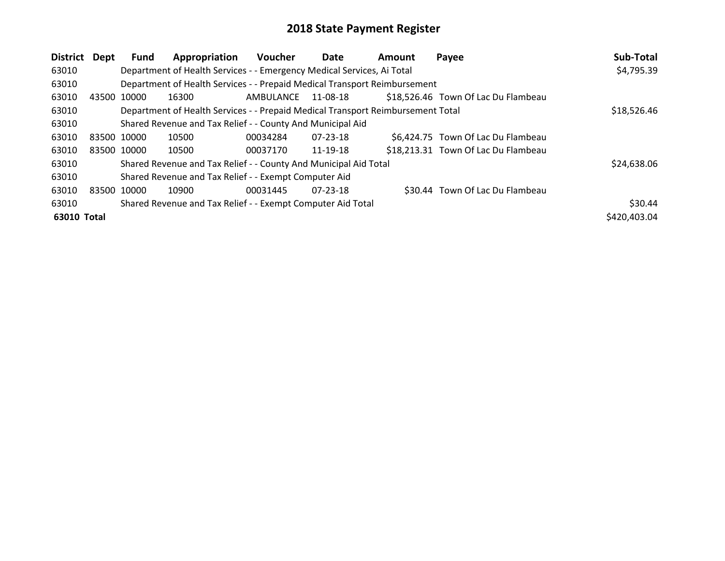| <b>District</b> | Dept        | Fund  | Appropriation                                                                   | <b>Voucher</b> | Date           | <b>Amount</b> | Payee                               | Sub-Total    |
|-----------------|-------------|-------|---------------------------------------------------------------------------------|----------------|----------------|---------------|-------------------------------------|--------------|
| 63010           |             |       | Department of Health Services - - Emergency Medical Services, Ai Total          |                |                |               |                                     | \$4,795.39   |
| 63010           |             |       | Department of Health Services - - Prepaid Medical Transport Reimbursement       |                |                |               |                                     |              |
| 63010           | 43500       | 10000 | 16300                                                                           | AMBULANCE      | 11-08-18       |               | \$18,526.46 Town Of Lac Du Flambeau |              |
| 63010           |             |       | Department of Health Services - - Prepaid Medical Transport Reimbursement Total |                |                |               |                                     | \$18,526.46  |
| 63010           |             |       | Shared Revenue and Tax Relief - - County And Municipal Aid                      |                |                |               |                                     |              |
| 63010           | 83500 10000 |       | 10500                                                                           | 00034284       | $07 - 23 - 18$ |               | \$6,424.75 Town Of Lac Du Flambeau  |              |
| 63010           | 83500 10000 |       | 10500                                                                           | 00037170       | 11-19-18       |               | \$18,213.31 Town Of Lac Du Flambeau |              |
| 63010           |             |       | Shared Revenue and Tax Relief - - County And Municipal Aid Total                |                |                |               |                                     | \$24,638.06  |
| 63010           |             |       | Shared Revenue and Tax Relief - - Exempt Computer Aid                           |                |                |               |                                     |              |
| 63010           | 83500 10000 |       | 10900                                                                           | 00031445       | 07-23-18       |               | \$30.44 Town Of Lac Du Flambeau     |              |
| 63010           |             |       | Shared Revenue and Tax Relief - - Exempt Computer Aid Total                     |                |                |               |                                     | \$30.44      |
| 63010 Total     |             |       |                                                                                 |                |                |               |                                     | \$420,403.04 |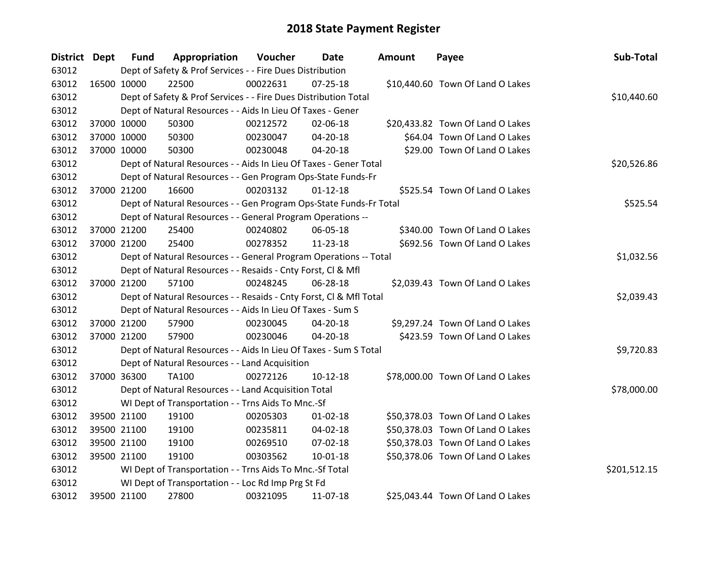| District Dept |             | <b>Fund</b> | Appropriation                                                      | Voucher  | Date           | Amount | Payee                            | Sub-Total    |
|---------------|-------------|-------------|--------------------------------------------------------------------|----------|----------------|--------|----------------------------------|--------------|
| 63012         |             |             | Dept of Safety & Prof Services - - Fire Dues Distribution          |          |                |        |                                  |              |
| 63012         | 16500 10000 |             | 22500                                                              | 00022631 | $07 - 25 - 18$ |        | \$10,440.60 Town Of Land O Lakes |              |
| 63012         |             |             | Dept of Safety & Prof Services - - Fire Dues Distribution Total    |          |                |        |                                  | \$10,440.60  |
| 63012         |             |             | Dept of Natural Resources - - Aids In Lieu Of Taxes - Gener        |          |                |        |                                  |              |
| 63012         | 37000 10000 |             | 50300                                                              | 00212572 | 02-06-18       |        | \$20,433.82 Town Of Land O Lakes |              |
| 63012         | 37000 10000 |             | 50300                                                              | 00230047 | 04-20-18       |        | \$64.04 Town Of Land O Lakes     |              |
| 63012         | 37000 10000 |             | 50300                                                              | 00230048 | 04-20-18       |        | \$29.00 Town Of Land O Lakes     |              |
| 63012         |             |             | Dept of Natural Resources - - Aids In Lieu Of Taxes - Gener Total  |          |                |        |                                  | \$20,526.86  |
| 63012         |             |             | Dept of Natural Resources - - Gen Program Ops-State Funds-Fr       |          |                |        |                                  |              |
| 63012         | 37000 21200 |             | 16600                                                              | 00203132 | $01 - 12 - 18$ |        | \$525.54 Town Of Land O Lakes    |              |
| 63012         |             |             | Dept of Natural Resources - - Gen Program Ops-State Funds-Fr Total |          |                |        |                                  | \$525.54     |
| 63012         |             |             | Dept of Natural Resources - - General Program Operations --        |          |                |        |                                  |              |
| 63012         | 37000 21200 |             | 25400                                                              | 00240802 | 06-05-18       |        | \$340.00 Town Of Land O Lakes    |              |
| 63012         | 37000 21200 |             | 25400                                                              | 00278352 | 11-23-18       |        | \$692.56 Town Of Land O Lakes    |              |
| 63012         |             |             | Dept of Natural Resources - - General Program Operations -- Total  |          |                |        |                                  | \$1,032.56   |
| 63012         |             |             | Dept of Natural Resources - - Resaids - Cnty Forst, Cl & Mfl       |          |                |        |                                  |              |
| 63012         | 37000 21200 |             | 57100                                                              | 00248245 | 06-28-18       |        | \$2,039.43 Town Of Land O Lakes  |              |
| 63012         |             |             | Dept of Natural Resources - - Resaids - Cnty Forst, Cl & Mfl Total |          |                |        |                                  | \$2,039.43   |
| 63012         |             |             | Dept of Natural Resources - - Aids In Lieu Of Taxes - Sum S        |          |                |        |                                  |              |
| 63012         | 37000 21200 |             | 57900                                                              | 00230045 | 04-20-18       |        | \$9,297.24 Town Of Land O Lakes  |              |
| 63012         | 37000 21200 |             | 57900                                                              | 00230046 | $04 - 20 - 18$ |        | \$423.59 Town Of Land O Lakes    |              |
| 63012         |             |             | Dept of Natural Resources - - Aids In Lieu Of Taxes - Sum S Total  |          |                |        |                                  | \$9,720.83   |
| 63012         |             |             | Dept of Natural Resources - - Land Acquisition                     |          |                |        |                                  |              |
| 63012         | 37000 36300 |             | <b>TA100</b>                                                       | 00272126 | $10-12-18$     |        | \$78,000.00 Town Of Land O Lakes |              |
| 63012         |             |             | Dept of Natural Resources - - Land Acquisition Total               |          |                |        |                                  | \$78,000.00  |
| 63012         |             |             | WI Dept of Transportation - - Trns Aids To Mnc.-Sf                 |          |                |        |                                  |              |
| 63012         | 39500 21100 |             | 19100                                                              | 00205303 | $01 - 02 - 18$ |        | \$50,378.03 Town Of Land O Lakes |              |
| 63012         | 39500 21100 |             | 19100                                                              | 00235811 | $04 - 02 - 18$ |        | \$50,378.03 Town Of Land O Lakes |              |
| 63012         | 39500 21100 |             | 19100                                                              | 00269510 | 07-02-18       |        | \$50,378.03 Town Of Land O Lakes |              |
| 63012         | 39500 21100 |             | 19100                                                              | 00303562 | $10 - 01 - 18$ |        | \$50,378.06 Town Of Land O Lakes |              |
| 63012         |             |             | WI Dept of Transportation - - Trns Aids To Mnc.-Sf Total           |          |                |        |                                  | \$201,512.15 |
| 63012         |             |             | WI Dept of Transportation - - Loc Rd Imp Prg St Fd                 |          |                |        |                                  |              |
| 63012         |             | 39500 21100 | 27800                                                              | 00321095 | 11-07-18       |        | \$25,043.44 Town Of Land O Lakes |              |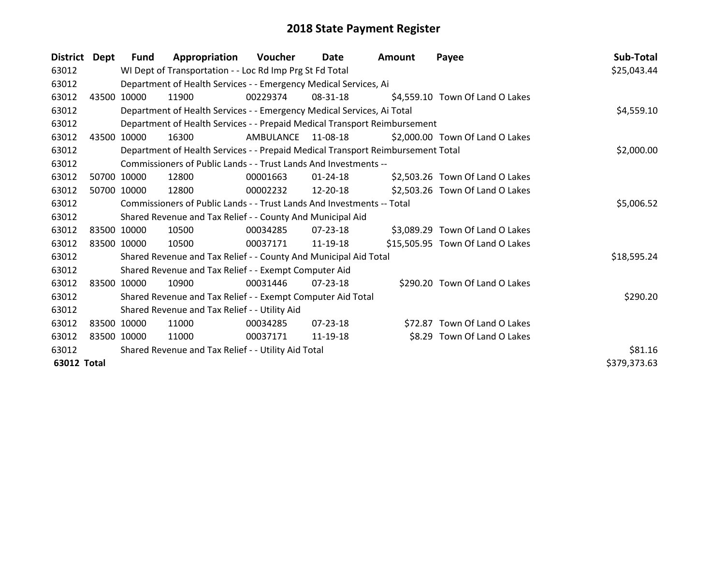| District Dept      |              | <b>Fund</b>                                         | Appropriation                                                                   | Voucher   | Date           | <b>Amount</b> | Payee                            | Sub-Total   |  |  |
|--------------------|--------------|-----------------------------------------------------|---------------------------------------------------------------------------------|-----------|----------------|---------------|----------------------------------|-------------|--|--|
| 63012              |              |                                                     | WI Dept of Transportation - - Loc Rd Imp Prg St Fd Total                        |           |                |               |                                  | \$25,043.44 |  |  |
| 63012              |              |                                                     | Department of Health Services - - Emergency Medical Services, Ai                |           |                |               |                                  |             |  |  |
| 63012              | 43500        | 10000                                               | 11900                                                                           | 00229374  | 08-31-18       |               | \$4,559.10 Town Of Land O Lakes  |             |  |  |
| 63012              |              |                                                     | Department of Health Services - - Emergency Medical Services, Ai Total          |           |                |               |                                  | \$4,559.10  |  |  |
| 63012              |              |                                                     | Department of Health Services - - Prepaid Medical Transport Reimbursement       |           |                |               |                                  |             |  |  |
| 63012              | 43500        | 10000                                               | 16300                                                                           | AMBULANCE | 11-08-18       |               | \$2,000.00 Town Of Land O Lakes  |             |  |  |
| 63012              |              |                                                     | Department of Health Services - - Prepaid Medical Transport Reimbursement Total |           |                |               |                                  | \$2,000.00  |  |  |
| 63012              |              |                                                     | Commissioners of Public Lands - - Trust Lands And Investments --                |           |                |               |                                  |             |  |  |
| 63012              |              | 50700 10000                                         | 12800                                                                           | 00001663  | $01 - 24 - 18$ |               | \$2,503.26 Town Of Land O Lakes  |             |  |  |
| 63012              |              | 50700 10000                                         | 12800                                                                           | 00002232  | 12-20-18       |               | \$2,503.26 Town Of Land O Lakes  |             |  |  |
| 63012              |              |                                                     | Commissioners of Public Lands - - Trust Lands And Investments -- Total          |           |                |               |                                  |             |  |  |
| 63012              |              |                                                     | Shared Revenue and Tax Relief - - County And Municipal Aid                      |           |                |               |                                  |             |  |  |
| 63012              |              | 83500 10000                                         | 10500                                                                           | 00034285  | 07-23-18       |               | \$3,089.29 Town Of Land O Lakes  |             |  |  |
| 63012              |              | 83500 10000                                         | 10500                                                                           | 00037171  | 11-19-18       |               | \$15,505.95 Town Of Land O Lakes |             |  |  |
| 63012              |              |                                                     | Shared Revenue and Tax Relief - - County And Municipal Aid Total                |           |                |               |                                  | \$18,595.24 |  |  |
| 63012              |              |                                                     | Shared Revenue and Tax Relief - - Exempt Computer Aid                           |           |                |               |                                  |             |  |  |
| 63012              |              | 83500 10000                                         | 10900                                                                           | 00031446  | $07 - 23 - 18$ |               | \$290.20 Town Of Land O Lakes    |             |  |  |
| 63012              |              |                                                     | Shared Revenue and Tax Relief - - Exempt Computer Aid Total                     |           |                |               |                                  | \$290.20    |  |  |
| 63012              |              |                                                     | Shared Revenue and Tax Relief - - Utility Aid                                   |           |                |               |                                  |             |  |  |
| 63012              |              | 83500 10000                                         | 11000                                                                           | 00034285  | $07 - 23 - 18$ |               | \$72.87 Town Of Land O Lakes     |             |  |  |
| 63012              |              | 83500 10000                                         | 11000                                                                           | 00037171  | 11-19-18       |               | \$8.29 Town Of Land O Lakes      |             |  |  |
| 63012              |              | Shared Revenue and Tax Relief - - Utility Aid Total | \$81.16                                                                         |           |                |               |                                  |             |  |  |
| <b>63012 Total</b> | \$379,373.63 |                                                     |                                                                                 |           |                |               |                                  |             |  |  |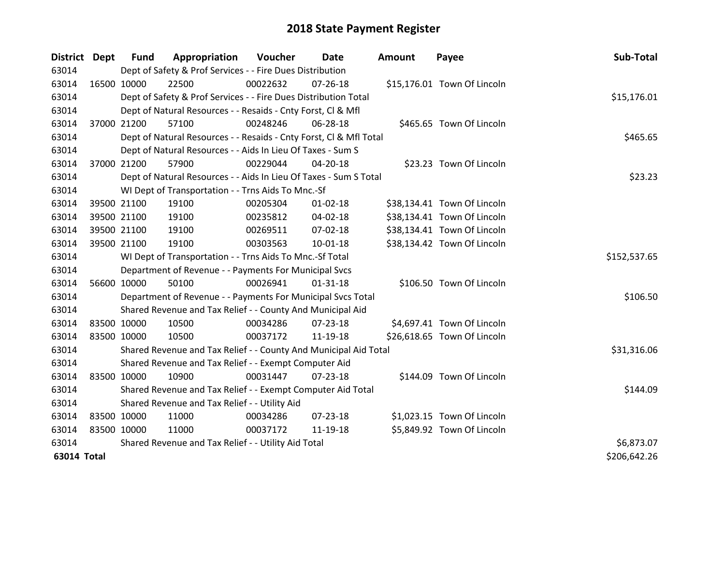| <b>District Dept</b> |             | <b>Fund</b> | Appropriation                                                      | Voucher  | Date           | <b>Amount</b> | Payee                       | Sub-Total    |
|----------------------|-------------|-------------|--------------------------------------------------------------------|----------|----------------|---------------|-----------------------------|--------------|
| 63014                |             |             | Dept of Safety & Prof Services - - Fire Dues Distribution          |          |                |               |                             |              |
| 63014                | 16500 10000 |             | 22500                                                              | 00022632 | $07 - 26 - 18$ |               | \$15,176.01 Town Of Lincoln |              |
| 63014                |             |             | Dept of Safety & Prof Services - - Fire Dues Distribution Total    |          |                |               |                             | \$15,176.01  |
| 63014                |             |             | Dept of Natural Resources - - Resaids - Cnty Forst, CI & Mfl       |          |                |               |                             |              |
| 63014                |             | 37000 21200 | 57100                                                              | 00248246 | 06-28-18       |               | \$465.65 Town Of Lincoln    |              |
| 63014                |             |             | Dept of Natural Resources - - Resaids - Cnty Forst, CI & Mfl Total |          |                |               |                             | \$465.65     |
| 63014                |             |             | Dept of Natural Resources - - Aids In Lieu Of Taxes - Sum S        |          |                |               |                             |              |
| 63014                |             | 37000 21200 | 57900                                                              | 00229044 | 04-20-18       |               | \$23.23 Town Of Lincoln     |              |
| 63014                |             |             | Dept of Natural Resources - - Aids In Lieu Of Taxes - Sum S Total  |          |                |               |                             | \$23.23      |
| 63014                |             |             | WI Dept of Transportation - - Trns Aids To Mnc.-Sf                 |          |                |               |                             |              |
| 63014                |             | 39500 21100 | 19100                                                              | 00205304 | $01 - 02 - 18$ |               | \$38,134.41 Town Of Lincoln |              |
| 63014                |             | 39500 21100 | 19100                                                              | 00235812 | 04-02-18       |               | \$38,134.41 Town Of Lincoln |              |
| 63014                |             | 39500 21100 | 19100                                                              | 00269511 | 07-02-18       |               | \$38,134.41 Town Of Lincoln |              |
| 63014                |             | 39500 21100 | 19100                                                              | 00303563 | $10 - 01 - 18$ |               | \$38,134.42 Town Of Lincoln |              |
| 63014                |             |             | WI Dept of Transportation - - Trns Aids To Mnc.-Sf Total           |          |                |               |                             | \$152,537.65 |
| 63014                |             |             | Department of Revenue - - Payments For Municipal Svcs              |          |                |               |                             |              |
| 63014                |             | 56600 10000 | 50100                                                              | 00026941 | $01 - 31 - 18$ |               | \$106.50 Town Of Lincoln    |              |
| 63014                |             |             | Department of Revenue - - Payments For Municipal Svcs Total        |          |                |               |                             | \$106.50     |
| 63014                |             |             | Shared Revenue and Tax Relief - - County And Municipal Aid         |          |                |               |                             |              |
| 63014                | 83500 10000 |             | 10500                                                              | 00034286 | $07 - 23 - 18$ |               | \$4,697.41 Town Of Lincoln  |              |
| 63014                | 83500 10000 |             | 10500                                                              | 00037172 | 11-19-18       |               | \$26,618.65 Town Of Lincoln |              |
| 63014                |             |             | Shared Revenue and Tax Relief - - County And Municipal Aid Total   |          |                |               |                             | \$31,316.06  |
| 63014                |             |             | Shared Revenue and Tax Relief - - Exempt Computer Aid              |          |                |               |                             |              |
| 63014                | 83500 10000 |             | 10900                                                              | 00031447 | 07-23-18       |               | \$144.09 Town Of Lincoln    |              |
| 63014                |             |             | Shared Revenue and Tax Relief - - Exempt Computer Aid Total        |          |                |               |                             | \$144.09     |
| 63014                |             |             | Shared Revenue and Tax Relief - - Utility Aid                      |          |                |               |                             |              |
| 63014                | 83500 10000 |             | 11000                                                              | 00034286 | $07 - 23 - 18$ |               | \$1,023.15 Town Of Lincoln  |              |
| 63014                | 83500 10000 |             | 11000                                                              | 00037172 | 11-19-18       |               | \$5,849.92 Town Of Lincoln  |              |
| 63014                |             |             | Shared Revenue and Tax Relief - - Utility Aid Total                |          |                |               |                             | \$6,873.07   |
| <b>63014 Total</b>   |             |             |                                                                    |          |                |               |                             | \$206,642.26 |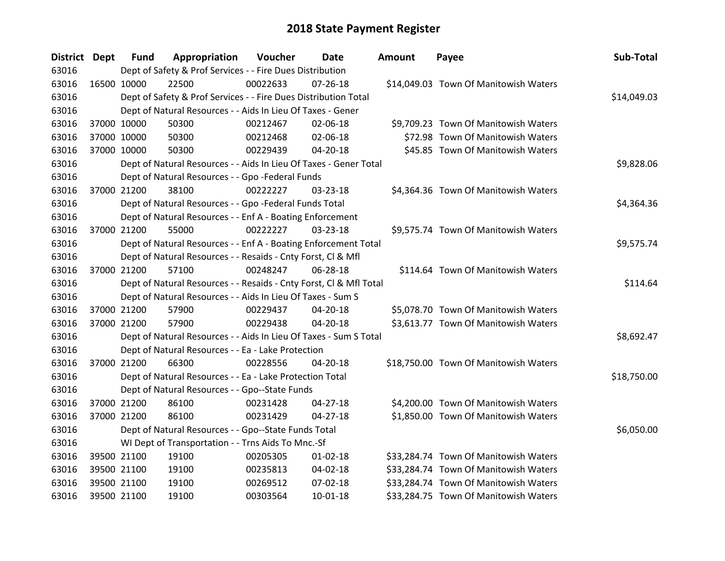| District Dept |             | <b>Fund</b> | Appropriation                                                      | Voucher  | Date           | <b>Amount</b> | Payee                                 | Sub-Total   |  |  |
|---------------|-------------|-------------|--------------------------------------------------------------------|----------|----------------|---------------|---------------------------------------|-------------|--|--|
| 63016         |             |             | Dept of Safety & Prof Services - - Fire Dues Distribution          |          |                |               |                                       |             |  |  |
| 63016         | 16500 10000 |             | 22500                                                              | 00022633 | $07 - 26 - 18$ |               | \$14,049.03 Town Of Manitowish Waters |             |  |  |
| 63016         |             |             | Dept of Safety & Prof Services - - Fire Dues Distribution Total    |          |                |               |                                       | \$14,049.03 |  |  |
| 63016         |             |             | Dept of Natural Resources - - Aids In Lieu Of Taxes - Gener        |          |                |               |                                       |             |  |  |
| 63016         | 37000 10000 |             | 50300                                                              | 00212467 | 02-06-18       |               | \$9,709.23 Town Of Manitowish Waters  |             |  |  |
| 63016         | 37000 10000 |             | 50300                                                              | 00212468 | 02-06-18       |               | \$72.98 Town Of Manitowish Waters     |             |  |  |
| 63016         | 37000 10000 |             | 50300                                                              | 00229439 | 04-20-18       |               | \$45.85 Town Of Manitowish Waters     |             |  |  |
| 63016         |             |             | Dept of Natural Resources - - Aids In Lieu Of Taxes - Gener Total  |          |                |               |                                       | \$9,828.06  |  |  |
| 63016         |             |             | Dept of Natural Resources - - Gpo -Federal Funds                   |          |                |               |                                       |             |  |  |
| 63016         | 37000 21200 |             | 38100                                                              | 00222227 | 03-23-18       |               | \$4,364.36 Town Of Manitowish Waters  |             |  |  |
| 63016         |             |             | Dept of Natural Resources - - Gpo -Federal Funds Total             |          |                |               |                                       | \$4,364.36  |  |  |
| 63016         |             |             | Dept of Natural Resources - - Enf A - Boating Enforcement          |          |                |               |                                       |             |  |  |
| 63016         | 37000 21200 |             | 55000                                                              | 00222227 | 03-23-18       |               | \$9,575.74 Town Of Manitowish Waters  |             |  |  |
| 63016         |             |             | Dept of Natural Resources - - Enf A - Boating Enforcement Total    |          |                |               |                                       | \$9,575.74  |  |  |
| 63016         |             |             | Dept of Natural Resources - - Resaids - Cnty Forst, Cl & Mfl       |          |                |               |                                       |             |  |  |
| 63016         | 37000 21200 |             | 57100                                                              | 00248247 | 06-28-18       |               | \$114.64 Town Of Manitowish Waters    |             |  |  |
| 63016         |             |             | Dept of Natural Resources - - Resaids - Cnty Forst, Cl & Mfl Total |          |                |               |                                       | \$114.64    |  |  |
| 63016         |             |             | Dept of Natural Resources - - Aids In Lieu Of Taxes - Sum S        |          |                |               |                                       |             |  |  |
| 63016         | 37000 21200 |             | 57900                                                              | 00229437 | 04-20-18       |               | \$5,078.70 Town Of Manitowish Waters  |             |  |  |
| 63016         | 37000 21200 |             | 57900                                                              | 00229438 | 04-20-18       |               | \$3,613.77 Town Of Manitowish Waters  |             |  |  |
| 63016         |             |             | Dept of Natural Resources - - Aids In Lieu Of Taxes - Sum S Total  |          |                |               |                                       | \$8,692.47  |  |  |
| 63016         |             |             | Dept of Natural Resources - - Ea - Lake Protection                 |          |                |               |                                       |             |  |  |
| 63016         | 37000 21200 |             | 66300                                                              | 00228556 | $04 - 20 - 18$ |               | \$18,750.00 Town Of Manitowish Waters |             |  |  |
| 63016         |             |             | Dept of Natural Resources - - Ea - Lake Protection Total           |          |                |               |                                       | \$18,750.00 |  |  |
| 63016         |             |             | Dept of Natural Resources - - Gpo--State Funds                     |          |                |               |                                       |             |  |  |
| 63016         | 37000 21200 |             | 86100                                                              | 00231428 | $04 - 27 - 18$ |               | \$4,200.00 Town Of Manitowish Waters  |             |  |  |
| 63016         | 37000 21200 |             | 86100                                                              | 00231429 | $04 - 27 - 18$ |               | \$1,850.00 Town Of Manitowish Waters  |             |  |  |
| 63016         |             |             | Dept of Natural Resources - - Gpo--State Funds Total               |          |                |               |                                       | \$6,050.00  |  |  |
| 63016         |             |             | WI Dept of Transportation - - Trns Aids To Mnc.-Sf                 |          |                |               |                                       |             |  |  |
| 63016         | 39500 21100 |             | 19100                                                              | 00205305 | $01 - 02 - 18$ |               | \$33,284.74 Town Of Manitowish Waters |             |  |  |
| 63016         | 39500 21100 |             | 19100                                                              | 00235813 | 04-02-18       |               | \$33,284.74 Town Of Manitowish Waters |             |  |  |
| 63016         | 39500 21100 |             | 19100                                                              | 00269512 | 07-02-18       |               | \$33,284.74 Town Of Manitowish Waters |             |  |  |
| 63016         | 39500 21100 |             | 19100                                                              | 00303564 | 10-01-18       |               | \$33,284.75 Town Of Manitowish Waters |             |  |  |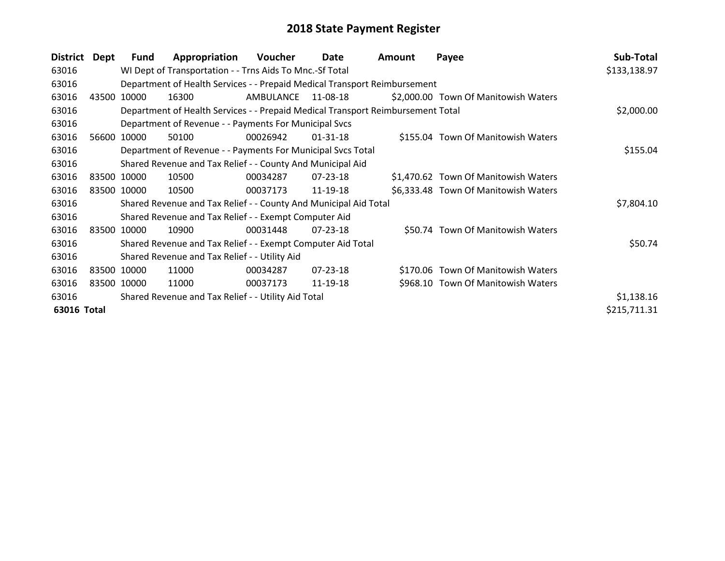| <b>District</b> | <b>Dept</b> | <b>Fund</b>                                         | Appropriation                                                    | <b>Voucher</b> | Date           | Amount                                                                          | Payee                                | Sub-Total    |
|-----------------|-------------|-----------------------------------------------------|------------------------------------------------------------------|----------------|----------------|---------------------------------------------------------------------------------|--------------------------------------|--------------|
| 63016           |             |                                                     | WI Dept of Transportation - - Trns Aids To Mnc.-Sf Total         |                |                |                                                                                 |                                      | \$133,138.97 |
| 63016           |             |                                                     |                                                                  |                |                | Department of Health Services - - Prepaid Medical Transport Reimbursement       |                                      |              |
| 63016           | 43500       | 10000                                               | 16300                                                            | AMBULANCE      | 11-08-18       |                                                                                 | \$2,000.00 Town Of Manitowish Waters |              |
| 63016           |             |                                                     |                                                                  |                |                | Department of Health Services - - Prepaid Medical Transport Reimbursement Total |                                      | \$2,000.00   |
| 63016           |             |                                                     | Department of Revenue - - Payments For Municipal Svcs            |                |                |                                                                                 |                                      |              |
| 63016           |             | 56600 10000                                         | 50100                                                            | 00026942       | $01 - 31 - 18$ |                                                                                 | \$155.04 Town Of Manitowish Waters   |              |
| 63016           |             |                                                     | Department of Revenue - - Payments For Municipal Svcs Total      |                |                |                                                                                 |                                      | \$155.04     |
| 63016           |             |                                                     | Shared Revenue and Tax Relief - - County And Municipal Aid       |                |                |                                                                                 |                                      |              |
| 63016           |             | 83500 10000                                         | 10500                                                            | 00034287       | $07 - 23 - 18$ |                                                                                 | \$1,470.62 Town Of Manitowish Waters |              |
| 63016           |             | 83500 10000                                         | 10500                                                            | 00037173       | 11-19-18       |                                                                                 | \$6,333.48 Town Of Manitowish Waters |              |
| 63016           |             |                                                     | Shared Revenue and Tax Relief - - County And Municipal Aid Total |                |                |                                                                                 |                                      | \$7,804.10   |
| 63016           |             |                                                     | Shared Revenue and Tax Relief - - Exempt Computer Aid            |                |                |                                                                                 |                                      |              |
| 63016           |             | 83500 10000                                         | 10900                                                            | 00031448       | 07-23-18       |                                                                                 | \$50.74 Town Of Manitowish Waters    |              |
| 63016           |             |                                                     | Shared Revenue and Tax Relief - - Exempt Computer Aid Total      |                |                |                                                                                 |                                      | \$50.74      |
| 63016           |             |                                                     | Shared Revenue and Tax Relief - - Utility Aid                    |                |                |                                                                                 |                                      |              |
| 63016           | 83500 10000 |                                                     | 11000                                                            | 00034287       | $07 - 23 - 18$ |                                                                                 | \$170.06 Town Of Manitowish Waters   |              |
| 63016           |             | 83500 10000                                         | 11000                                                            | 00037173       | 11-19-18       |                                                                                 | \$968.10 Town Of Manitowish Waters   |              |
| 63016           |             | Shared Revenue and Tax Relief - - Utility Aid Total | \$1,138.16                                                       |                |                |                                                                                 |                                      |              |
| 63016 Total     |             |                                                     |                                                                  |                |                |                                                                                 |                                      | \$215,711.31 |
|                 |             |                                                     |                                                                  |                |                |                                                                                 |                                      |              |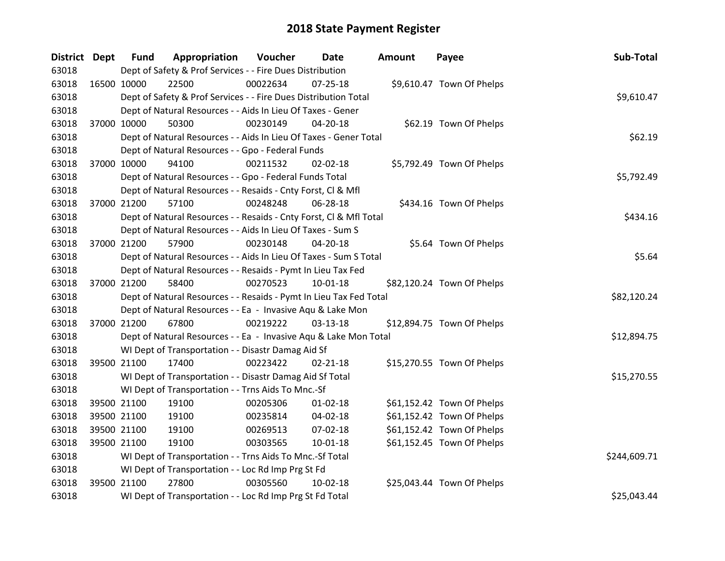| <b>District Dept</b> |             | <b>Fund</b> | Appropriation                                                      | Voucher  | Date           | <b>Amount</b> | Payee                      | Sub-Total    |
|----------------------|-------------|-------------|--------------------------------------------------------------------|----------|----------------|---------------|----------------------------|--------------|
| 63018                |             |             | Dept of Safety & Prof Services - - Fire Dues Distribution          |          |                |               |                            |              |
| 63018                | 16500 10000 |             | 22500                                                              | 00022634 | $07 - 25 - 18$ |               | \$9,610.47 Town Of Phelps  |              |
| 63018                |             |             | Dept of Safety & Prof Services - - Fire Dues Distribution Total    |          |                |               |                            | \$9,610.47   |
| 63018                |             |             | Dept of Natural Resources - - Aids In Lieu Of Taxes - Gener        |          |                |               |                            |              |
| 63018                | 37000 10000 |             | 50300                                                              | 00230149 | 04-20-18       |               | \$62.19 Town Of Phelps     |              |
| 63018                |             |             | Dept of Natural Resources - - Aids In Lieu Of Taxes - Gener Total  |          |                |               |                            | \$62.19      |
| 63018                |             |             | Dept of Natural Resources - - Gpo - Federal Funds                  |          |                |               |                            |              |
| 63018                | 37000 10000 |             | 94100                                                              | 00211532 | 02-02-18       |               | \$5,792.49 Town Of Phelps  |              |
| 63018                |             |             | Dept of Natural Resources - - Gpo - Federal Funds Total            |          |                |               |                            | \$5,792.49   |
| 63018                |             |             | Dept of Natural Resources - - Resaids - Cnty Forst, CI & Mfl       |          |                |               |                            |              |
| 63018                | 37000 21200 |             | 57100                                                              | 00248248 | 06-28-18       |               | \$434.16 Town Of Phelps    |              |
| 63018                |             |             | Dept of Natural Resources - - Resaids - Cnty Forst, Cl & Mfl Total |          |                |               |                            | \$434.16     |
| 63018                |             |             | Dept of Natural Resources - - Aids In Lieu Of Taxes - Sum S        |          |                |               |                            |              |
| 63018                | 37000 21200 |             | 57900                                                              | 00230148 | 04-20-18       |               | \$5.64 Town Of Phelps      |              |
| 63018                |             |             | Dept of Natural Resources - - Aids In Lieu Of Taxes - Sum S Total  |          |                |               |                            | \$5.64       |
| 63018                |             |             | Dept of Natural Resources - - Resaids - Pymt In Lieu Tax Fed       |          |                |               |                            |              |
| 63018                | 37000 21200 |             | 58400                                                              | 00270523 | $10 - 01 - 18$ |               | \$82,120.24 Town Of Phelps |              |
| 63018                |             |             | Dept of Natural Resources - - Resaids - Pymt In Lieu Tax Fed Total |          |                |               |                            | \$82,120.24  |
| 63018                |             |             | Dept of Natural Resources - - Ea - Invasive Aqu & Lake Mon         |          |                |               |                            |              |
| 63018                | 37000 21200 |             | 67800                                                              | 00219222 | $03 - 13 - 18$ |               | \$12,894.75 Town Of Phelps |              |
| 63018                |             |             | Dept of Natural Resources - - Ea - Invasive Aqu & Lake Mon Total   |          |                |               |                            | \$12,894.75  |
| 63018                |             |             | WI Dept of Transportation - - Disastr Damag Aid Sf                 |          |                |               |                            |              |
| 63018                | 39500 21100 |             | 17400                                                              | 00223422 | $02 - 21 - 18$ |               | \$15,270.55 Town Of Phelps |              |
| 63018                |             |             | WI Dept of Transportation - - Disastr Damag Aid Sf Total           |          |                |               |                            | \$15,270.55  |
| 63018                |             |             | WI Dept of Transportation - - Trns Aids To Mnc.-Sf                 |          |                |               |                            |              |
| 63018                | 39500 21100 |             | 19100                                                              | 00205306 | $01 - 02 - 18$ |               | \$61,152.42 Town Of Phelps |              |
| 63018                | 39500 21100 |             | 19100                                                              | 00235814 | 04-02-18       |               | \$61,152.42 Town Of Phelps |              |
| 63018                | 39500 21100 |             | 19100                                                              | 00269513 | 07-02-18       |               | \$61,152.42 Town Of Phelps |              |
| 63018                | 39500 21100 |             | 19100                                                              | 00303565 | 10-01-18       |               | \$61,152.45 Town Of Phelps |              |
| 63018                |             |             | WI Dept of Transportation - - Trns Aids To Mnc.-Sf Total           |          |                |               |                            | \$244,609.71 |
| 63018                |             |             | WI Dept of Transportation - - Loc Rd Imp Prg St Fd                 |          |                |               |                            |              |
| 63018                | 39500 21100 |             | 27800                                                              | 00305560 | 10-02-18       |               | \$25,043.44 Town Of Phelps |              |
| 63018                |             |             | WI Dept of Transportation - - Loc Rd Imp Prg St Fd Total           |          |                |               |                            | \$25,043.44  |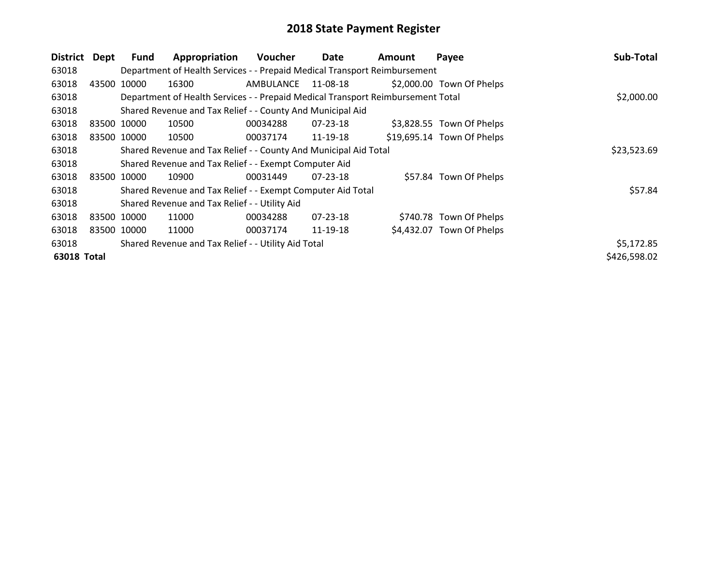| <b>District</b>    | Dept        | Fund                                                | Appropriation                                                                   | Voucher     | Date           | Amount | Payee                      | Sub-Total    |
|--------------------|-------------|-----------------------------------------------------|---------------------------------------------------------------------------------|-------------|----------------|--------|----------------------------|--------------|
| 63018              |             |                                                     | Department of Health Services - - Prepaid Medical Transport Reimbursement       |             |                |        |                            |              |
| 63018              | 43500 10000 |                                                     | 16300                                                                           | AMBULANCE   | 11-08-18       |        | \$2,000.00 Town Of Phelps  |              |
| 63018              |             |                                                     | Department of Health Services - - Prepaid Medical Transport Reimbursement Total |             |                |        |                            | \$2,000.00   |
| 63018              |             |                                                     | Shared Revenue and Tax Relief - - County And Municipal Aid                      |             |                |        |                            |              |
| 63018              | 83500 10000 |                                                     | 10500                                                                           | 00034288    | $07 - 23 - 18$ |        | \$3,828.55 Town Of Phelps  |              |
| 63018              | 83500 10000 |                                                     | 10500                                                                           | 00037174    | 11-19-18       |        | \$19,695.14 Town Of Phelps |              |
| 63018              |             |                                                     | Shared Revenue and Tax Relief - - County And Municipal Aid Total                | \$23,523.69 |                |        |                            |              |
| 63018              |             |                                                     | Shared Revenue and Tax Relief - - Exempt Computer Aid                           |             |                |        |                            |              |
| 63018              | 83500       | 10000                                               | 10900                                                                           | 00031449    | 07-23-18       |        | \$57.84 Town Of Phelps     |              |
| 63018              |             |                                                     | Shared Revenue and Tax Relief - - Exempt Computer Aid Total                     |             |                |        |                            | \$57.84      |
| 63018              |             |                                                     | Shared Revenue and Tax Relief - - Utility Aid                                   |             |                |        |                            |              |
| 63018              | 83500 10000 |                                                     | 11000                                                                           | 00034288    | 07-23-18       |        | \$740.78 Town Of Phelps    |              |
| 63018              | 83500 10000 |                                                     | 11000                                                                           | 00037174    | 11-19-18       |        | \$4,432.07 Town Of Phelps  |              |
| 63018              |             | Shared Revenue and Tax Relief - - Utility Aid Total | \$5,172.85                                                                      |             |                |        |                            |              |
| <b>63018 Total</b> |             |                                                     |                                                                                 |             |                |        |                            | \$426,598.02 |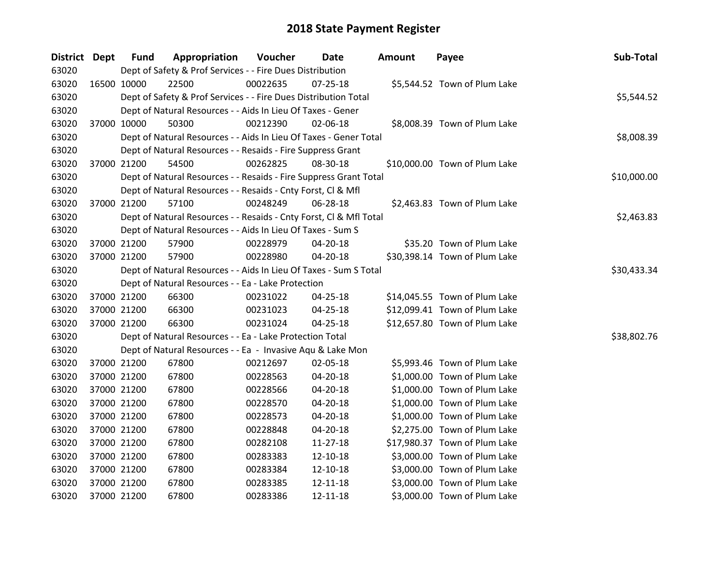| District Dept |             | <b>Fund</b> | Appropriation                                                      | Voucher  | Date           | <b>Amount</b> | Payee                         | Sub-Total   |
|---------------|-------------|-------------|--------------------------------------------------------------------|----------|----------------|---------------|-------------------------------|-------------|
| 63020         |             |             | Dept of Safety & Prof Services - - Fire Dues Distribution          |          |                |               |                               |             |
| 63020         | 16500 10000 |             | 22500                                                              | 00022635 | $07 - 25 - 18$ |               | \$5,544.52 Town of Plum Lake  |             |
| 63020         |             |             | Dept of Safety & Prof Services - - Fire Dues Distribution Total    |          |                |               |                               | \$5,544.52  |
| 63020         |             |             | Dept of Natural Resources - - Aids In Lieu Of Taxes - Gener        |          |                |               |                               |             |
| 63020         |             | 37000 10000 | 50300                                                              | 00212390 | $02 - 06 - 18$ |               | \$8,008.39 Town of Plum Lake  |             |
| 63020         |             |             | Dept of Natural Resources - - Aids In Lieu Of Taxes - Gener Total  |          |                |               |                               | \$8,008.39  |
| 63020         |             |             | Dept of Natural Resources - - Resaids - Fire Suppress Grant        |          |                |               |                               |             |
| 63020         |             | 37000 21200 | 54500                                                              | 00262825 | 08-30-18       |               | \$10,000.00 Town of Plum Lake |             |
| 63020         |             |             | Dept of Natural Resources - - Resaids - Fire Suppress Grant Total  |          |                |               |                               | \$10,000.00 |
| 63020         |             |             | Dept of Natural Resources - - Resaids - Cnty Forst, CI & Mfl       |          |                |               |                               |             |
| 63020         |             | 37000 21200 | 57100                                                              | 00248249 | 06-28-18       |               | \$2,463.83 Town of Plum Lake  |             |
| 63020         |             |             | Dept of Natural Resources - - Resaids - Cnty Forst, Cl & Mfl Total |          |                |               |                               | \$2,463.83  |
| 63020         |             |             | Dept of Natural Resources - - Aids In Lieu Of Taxes - Sum S        |          |                |               |                               |             |
| 63020         |             | 37000 21200 | 57900                                                              | 00228979 | 04-20-18       |               | \$35.20 Town of Plum Lake     |             |
| 63020         |             | 37000 21200 | 57900                                                              | 00228980 | 04-20-18       |               | \$30,398.14 Town of Plum Lake |             |
| 63020         |             |             | Dept of Natural Resources - - Aids In Lieu Of Taxes - Sum S Total  |          |                |               |                               | \$30,433.34 |
| 63020         |             |             | Dept of Natural Resources - - Ea - Lake Protection                 |          |                |               |                               |             |
| 63020         |             | 37000 21200 | 66300                                                              | 00231022 | 04-25-18       |               | \$14,045.55 Town of Plum Lake |             |
| 63020         |             | 37000 21200 | 66300                                                              | 00231023 | 04-25-18       |               | \$12,099.41 Town of Plum Lake |             |
| 63020         |             | 37000 21200 | 66300                                                              | 00231024 | 04-25-18       |               | \$12,657.80 Town of Plum Lake |             |
| 63020         |             |             | Dept of Natural Resources - - Ea - Lake Protection Total           |          |                |               |                               | \$38,802.76 |
| 63020         |             |             | Dept of Natural Resources - - Ea - Invasive Aqu & Lake Mon         |          |                |               |                               |             |
| 63020         |             | 37000 21200 | 67800                                                              | 00212697 | 02-05-18       |               | \$5,993.46 Town of Plum Lake  |             |
| 63020         |             | 37000 21200 | 67800                                                              | 00228563 | 04-20-18       |               | \$1,000.00 Town of Plum Lake  |             |
| 63020         |             | 37000 21200 | 67800                                                              | 00228566 | 04-20-18       |               | \$1,000.00 Town of Plum Lake  |             |
| 63020         |             | 37000 21200 | 67800                                                              | 00228570 | 04-20-18       |               | \$1,000.00 Town of Plum Lake  |             |
| 63020         |             | 37000 21200 | 67800                                                              | 00228573 | 04-20-18       |               | \$1,000.00 Town of Plum Lake  |             |
| 63020         |             | 37000 21200 | 67800                                                              | 00228848 | 04-20-18       |               | \$2,275.00 Town of Plum Lake  |             |
| 63020         |             | 37000 21200 | 67800                                                              | 00282108 | 11-27-18       |               | \$17,980.37 Town of Plum Lake |             |
| 63020         | 37000 21200 |             | 67800                                                              | 00283383 | 12-10-18       |               | \$3,000.00 Town of Plum Lake  |             |
| 63020         |             | 37000 21200 | 67800                                                              | 00283384 | 12-10-18       |               | \$3,000.00 Town of Plum Lake  |             |
| 63020         |             | 37000 21200 | 67800                                                              | 00283385 | 12-11-18       |               | \$3,000.00 Town of Plum Lake  |             |
| 63020         | 37000 21200 |             | 67800                                                              | 00283386 | 12-11-18       |               | \$3,000.00 Town of Plum Lake  |             |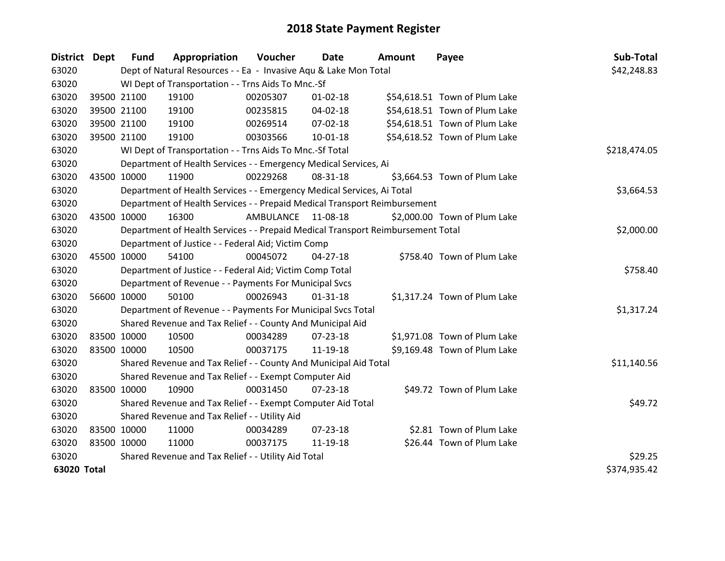| District Dept |             | <b>Fund</b> | Appropriation                                                                   | Voucher            | Date           | <b>Amount</b> | Payee                         | Sub-Total    |
|---------------|-------------|-------------|---------------------------------------------------------------------------------|--------------------|----------------|---------------|-------------------------------|--------------|
| 63020         |             |             | Dept of Natural Resources - - Ea - Invasive Aqu & Lake Mon Total                |                    |                |               |                               | \$42,248.83  |
| 63020         |             |             | WI Dept of Transportation - - Trns Aids To Mnc.-Sf                              |                    |                |               |                               |              |
| 63020         |             | 39500 21100 | 19100                                                                           | 00205307           | $01 - 02 - 18$ |               | \$54,618.51 Town of Plum Lake |              |
| 63020         |             | 39500 21100 | 19100                                                                           | 00235815           | 04-02-18       |               | \$54,618.51 Town of Plum Lake |              |
| 63020         |             | 39500 21100 | 19100                                                                           | 00269514           | $07 - 02 - 18$ |               | \$54,618.51 Town of Plum Lake |              |
| 63020         |             | 39500 21100 | 19100                                                                           | 00303566           | 10-01-18       |               | \$54,618.52 Town of Plum Lake |              |
| 63020         |             |             | WI Dept of Transportation - - Trns Aids To Mnc.-Sf Total                        |                    | \$218,474.05   |               |                               |              |
| 63020         |             |             | Department of Health Services - - Emergency Medical Services, Ai                |                    |                |               |                               |              |
| 63020         | 43500 10000 |             | 11900                                                                           | 00229268           | 08-31-18       |               | \$3,664.53 Town of Plum Lake  |              |
| 63020         |             |             | Department of Health Services - - Emergency Medical Services, Ai Total          |                    |                |               |                               | \$3,664.53   |
| 63020         |             |             | Department of Health Services - - Prepaid Medical Transport Reimbursement       |                    |                |               |                               |              |
| 63020         | 43500 10000 |             | 16300                                                                           | AMBULANCE 11-08-18 |                |               | \$2,000.00 Town of Plum Lake  |              |
| 63020         |             |             | Department of Health Services - - Prepaid Medical Transport Reimbursement Total |                    |                |               |                               | \$2,000.00   |
| 63020         |             |             | Department of Justice - - Federal Aid; Victim Comp                              |                    |                |               |                               |              |
| 63020         | 45500 10000 |             | 54100                                                                           | 00045072           | $04 - 27 - 18$ |               | \$758.40 Town of Plum Lake    |              |
| 63020         |             |             | Department of Justice - - Federal Aid; Victim Comp Total                        |                    |                |               |                               | \$758.40     |
| 63020         |             |             | Department of Revenue - - Payments For Municipal Svcs                           |                    |                |               |                               |              |
| 63020         | 56600 10000 |             | 50100                                                                           | 00026943           | $01 - 31 - 18$ |               | \$1,317.24 Town of Plum Lake  |              |
| 63020         |             |             | Department of Revenue - - Payments For Municipal Svcs Total                     |                    |                |               |                               | \$1,317.24   |
| 63020         |             |             | Shared Revenue and Tax Relief - - County And Municipal Aid                      |                    |                |               |                               |              |
| 63020         | 83500 10000 |             | 10500                                                                           | 00034289           | 07-23-18       |               | \$1,971.08 Town of Plum Lake  |              |
| 63020         | 83500 10000 |             | 10500                                                                           | 00037175           | 11-19-18       |               | \$9,169.48 Town of Plum Lake  |              |
| 63020         |             |             | Shared Revenue and Tax Relief - - County And Municipal Aid Total                |                    |                |               |                               | \$11,140.56  |
| 63020         |             |             | Shared Revenue and Tax Relief - - Exempt Computer Aid                           |                    |                |               |                               |              |
| 63020         | 83500 10000 |             | 10900                                                                           | 00031450           | $07 - 23 - 18$ |               | \$49.72 Town of Plum Lake     |              |
| 63020         |             |             | Shared Revenue and Tax Relief - - Exempt Computer Aid Total                     |                    |                |               |                               | \$49.72      |
| 63020         |             |             | Shared Revenue and Tax Relief - - Utility Aid                                   |                    |                |               |                               |              |
| 63020         | 83500 10000 |             | 11000                                                                           | 00034289           | 07-23-18       |               | \$2.81 Town of Plum Lake      |              |
| 63020         | 83500 10000 |             | 11000                                                                           | 00037175           | 11-19-18       |               | \$26.44 Town of Plum Lake     |              |
| 63020         |             |             | Shared Revenue and Tax Relief - - Utility Aid Total                             |                    |                |               |                               | \$29.25      |
| 63020 Total   |             |             |                                                                                 |                    |                |               |                               | \$374,935.42 |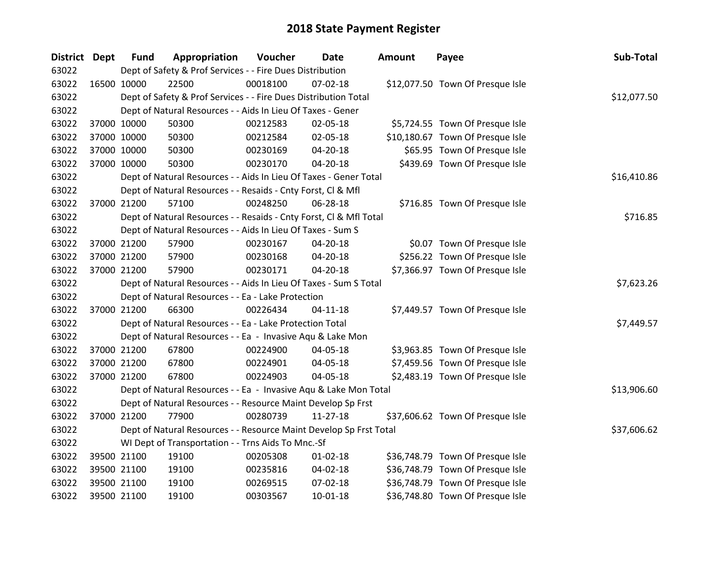| District Dept | <b>Fund</b> | Appropriation                                                      | Voucher  | Date           | <b>Amount</b> | Payee                            | Sub-Total   |
|---------------|-------------|--------------------------------------------------------------------|----------|----------------|---------------|----------------------------------|-------------|
| 63022         |             | Dept of Safety & Prof Services - - Fire Dues Distribution          |          |                |               |                                  |             |
| 63022         | 16500 10000 | 22500                                                              | 00018100 | $07 - 02 - 18$ |               | \$12,077.50 Town Of Presque Isle |             |
| 63022         |             | Dept of Safety & Prof Services - - Fire Dues Distribution Total    |          |                |               |                                  | \$12,077.50 |
| 63022         |             | Dept of Natural Resources - - Aids In Lieu Of Taxes - Gener        |          |                |               |                                  |             |
| 63022         | 37000 10000 | 50300                                                              | 00212583 | 02-05-18       |               | \$5,724.55 Town Of Presque Isle  |             |
| 63022         | 37000 10000 | 50300                                                              | 00212584 | 02-05-18       |               | \$10,180.67 Town Of Presque Isle |             |
| 63022         | 37000 10000 | 50300                                                              | 00230169 | 04-20-18       |               | \$65.95 Town Of Presque Isle     |             |
| 63022         | 37000 10000 | 50300                                                              | 00230170 | 04-20-18       |               | \$439.69 Town Of Presque Isle    |             |
| 63022         |             | Dept of Natural Resources - - Aids In Lieu Of Taxes - Gener Total  |          | \$16,410.86    |               |                                  |             |
| 63022         |             | Dept of Natural Resources - - Resaids - Cnty Forst, Cl & Mfl       |          |                |               |                                  |             |
| 63022         | 37000 21200 | 57100                                                              | 00248250 | 06-28-18       |               | \$716.85 Town Of Presque Isle    |             |
| 63022         |             | Dept of Natural Resources - - Resaids - Cnty Forst, Cl & Mfl Total |          |                |               |                                  | \$716.85    |
| 63022         |             | Dept of Natural Resources - - Aids In Lieu Of Taxes - Sum S        |          |                |               |                                  |             |
| 63022         | 37000 21200 | 57900                                                              | 00230167 | 04-20-18       |               | \$0.07 Town Of Presque Isle      |             |
| 63022         | 37000 21200 | 57900                                                              | 00230168 | 04-20-18       |               | \$256.22 Town Of Presque Isle    |             |
| 63022         | 37000 21200 | 57900                                                              | 00230171 | 04-20-18       |               | \$7,366.97 Town Of Presque Isle  |             |
| 63022         |             | Dept of Natural Resources - - Aids In Lieu Of Taxes - Sum S Total  |          |                |               |                                  | \$7,623.26  |
| 63022         |             | Dept of Natural Resources - - Ea - Lake Protection                 |          |                |               |                                  |             |
| 63022         | 37000 21200 | 66300                                                              | 00226434 | $04 - 11 - 18$ |               | \$7,449.57 Town Of Presque Isle  |             |
| 63022         |             | Dept of Natural Resources - - Ea - Lake Protection Total           |          |                |               |                                  | \$7,449.57  |
| 63022         |             | Dept of Natural Resources - - Ea - Invasive Aqu & Lake Mon         |          |                |               |                                  |             |
| 63022         | 37000 21200 | 67800                                                              | 00224900 | 04-05-18       |               | \$3,963.85 Town Of Presque Isle  |             |
| 63022         | 37000 21200 | 67800                                                              | 00224901 | 04-05-18       |               | \$7,459.56 Town Of Presque Isle  |             |
| 63022         | 37000 21200 | 67800                                                              | 00224903 | 04-05-18       |               | \$2,483.19 Town Of Presque Isle  |             |
| 63022         |             | Dept of Natural Resources - - Ea - Invasive Aqu & Lake Mon Total   |          |                |               |                                  | \$13,906.60 |
| 63022         |             | Dept of Natural Resources - - Resource Maint Develop Sp Frst       |          |                |               |                                  |             |
| 63022         | 37000 21200 | 77900                                                              | 00280739 | 11-27-18       |               | \$37,606.62 Town Of Presque Isle |             |
| 63022         |             | Dept of Natural Resources - - Resource Maint Develop Sp Frst Total |          |                |               |                                  | \$37,606.62 |
| 63022         |             | WI Dept of Transportation - - Trns Aids To Mnc.-Sf                 |          |                |               |                                  |             |
| 63022         | 39500 21100 | 19100                                                              | 00205308 | $01 - 02 - 18$ |               | \$36,748.79 Town Of Presque Isle |             |
| 63022         | 39500 21100 | 19100                                                              | 00235816 | 04-02-18       |               | \$36,748.79 Town Of Presque Isle |             |
| 63022         | 39500 21100 | 19100                                                              | 00269515 | 07-02-18       |               | \$36,748.79 Town Of Presque Isle |             |
| 63022         | 39500 21100 | 19100                                                              | 00303567 | $10-01-18$     |               | \$36,748.80 Town Of Presque Isle |             |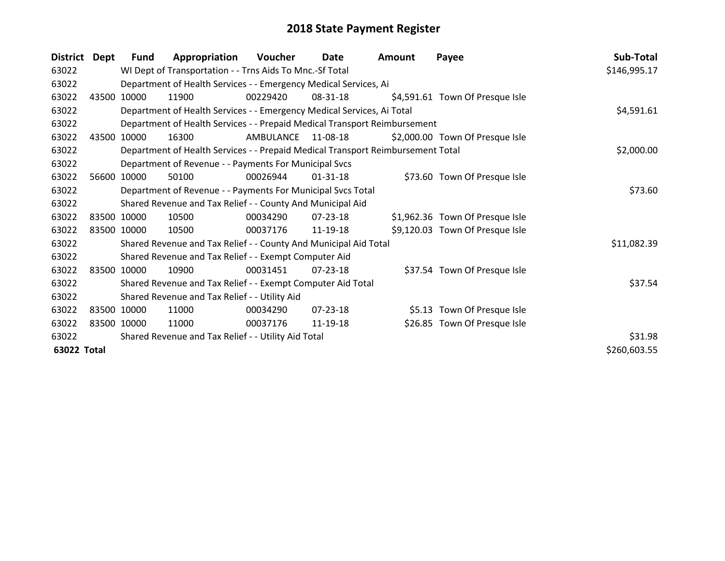| <b>District</b> | Dept  | Fund                                                | Appropriation                                                                   | Voucher   | Date           | <b>Amount</b> | Payee                           | Sub-Total    |
|-----------------|-------|-----------------------------------------------------|---------------------------------------------------------------------------------|-----------|----------------|---------------|---------------------------------|--------------|
| 63022           |       |                                                     | WI Dept of Transportation - - Trns Aids To Mnc.-Sf Total                        |           |                |               |                                 | \$146,995.17 |
| 63022           |       |                                                     | Department of Health Services - - Emergency Medical Services, Ai                |           |                |               |                                 |              |
| 63022           | 43500 | 10000                                               | 11900                                                                           | 00229420  | 08-31-18       |               | \$4,591.61 Town Of Presque Isle |              |
| 63022           |       |                                                     | Department of Health Services - - Emergency Medical Services, Ai Total          |           |                |               |                                 | \$4,591.61   |
| 63022           |       |                                                     | Department of Health Services - - Prepaid Medical Transport Reimbursement       |           |                |               |                                 |              |
| 63022           | 43500 | 10000                                               | 16300                                                                           | AMBULANCE | 11-08-18       |               | \$2,000.00 Town Of Presque Isle |              |
| 63022           |       |                                                     | Department of Health Services - - Prepaid Medical Transport Reimbursement Total |           |                |               |                                 | \$2,000.00   |
| 63022           |       |                                                     | Department of Revenue - - Payments For Municipal Svcs                           |           |                |               |                                 |              |
| 63022           |       | 56600 10000                                         | 50100                                                                           | 00026944  | $01 - 31 - 18$ |               | \$73.60 Town Of Presque Isle    |              |
| 63022           |       |                                                     | Department of Revenue - - Payments For Municipal Svcs Total                     |           |                |               |                                 | \$73.60      |
| 63022           |       |                                                     | Shared Revenue and Tax Relief - - County And Municipal Aid                      |           |                |               |                                 |              |
| 63022           |       | 83500 10000                                         | 10500                                                                           | 00034290  | $07 - 23 - 18$ |               | \$1,962.36 Town Of Presque Isle |              |
| 63022           |       | 83500 10000                                         | 10500                                                                           | 00037176  | 11-19-18       |               | \$9,120.03 Town Of Presque Isle |              |
| 63022           |       |                                                     | Shared Revenue and Tax Relief - - County And Municipal Aid Total                |           |                |               |                                 | \$11,082.39  |
| 63022           |       |                                                     | Shared Revenue and Tax Relief - - Exempt Computer Aid                           |           |                |               |                                 |              |
| 63022           |       | 83500 10000                                         | 10900                                                                           | 00031451  | $07 - 23 - 18$ |               | \$37.54 Town Of Presque Isle    |              |
| 63022           |       |                                                     | Shared Revenue and Tax Relief - - Exempt Computer Aid Total                     |           |                |               |                                 | \$37.54      |
| 63022           |       |                                                     | Shared Revenue and Tax Relief - - Utility Aid                                   |           |                |               |                                 |              |
| 63022           |       | 83500 10000                                         | 11000                                                                           | 00034290  | $07 - 23 - 18$ |               | \$5.13 Town Of Presque Isle     |              |
| 63022           |       | 83500 10000                                         | 11000                                                                           | 00037176  | 11-19-18       |               | \$26.85 Town Of Presque Isle    |              |
| 63022           |       | Shared Revenue and Tax Relief - - Utility Aid Total | \$31.98                                                                         |           |                |               |                                 |              |
| 63022 Total     |       |                                                     |                                                                                 |           |                |               |                                 | \$260,603.55 |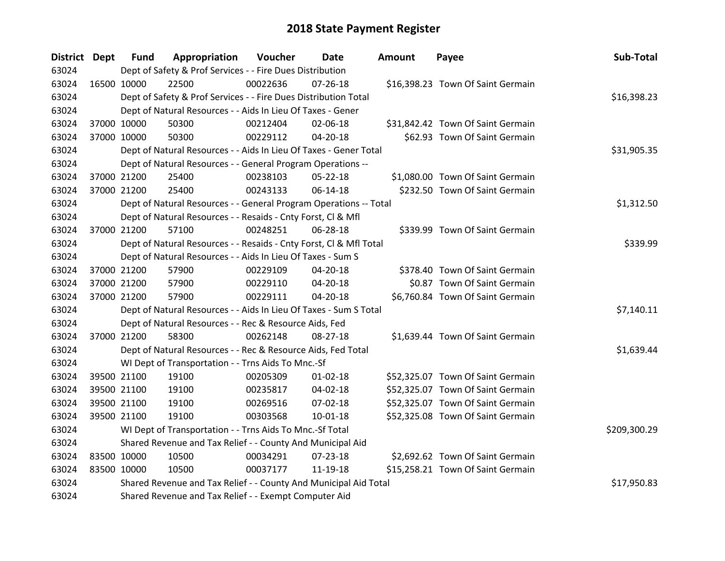| District Dept |             | <b>Fund</b>                                                | Appropriation                                                      | Voucher  | <b>Date</b>    | Amount | Payee                             | Sub-Total    |
|---------------|-------------|------------------------------------------------------------|--------------------------------------------------------------------|----------|----------------|--------|-----------------------------------|--------------|
| 63024         |             |                                                            | Dept of Safety & Prof Services - - Fire Dues Distribution          |          |                |        |                                   |              |
| 63024         | 16500 10000 |                                                            | 22500                                                              | 00022636 | $07 - 26 - 18$ |        | \$16,398.23 Town Of Saint Germain |              |
| 63024         |             |                                                            | Dept of Safety & Prof Services - - Fire Dues Distribution Total    |          |                |        |                                   | \$16,398.23  |
| 63024         |             |                                                            | Dept of Natural Resources - - Aids In Lieu Of Taxes - Gener        |          |                |        |                                   |              |
| 63024         | 37000 10000 |                                                            | 50300                                                              | 00212404 | 02-06-18       |        | \$31,842.42 Town Of Saint Germain |              |
| 63024         | 37000 10000 |                                                            | 50300                                                              | 00229112 | 04-20-18       |        | \$62.93 Town Of Saint Germain     |              |
| 63024         |             |                                                            | Dept of Natural Resources - - Aids In Lieu Of Taxes - Gener Total  |          |                |        |                                   | \$31,905.35  |
| 63024         |             |                                                            | Dept of Natural Resources - - General Program Operations --        |          |                |        |                                   |              |
| 63024         | 37000 21200 |                                                            | 25400                                                              | 00238103 | $05 - 22 - 18$ |        | \$1,080.00 Town Of Saint Germain  |              |
| 63024         | 37000 21200 |                                                            | 25400                                                              | 00243133 | 06-14-18       |        | \$232.50 Town Of Saint Germain    |              |
| 63024         |             |                                                            | Dept of Natural Resources - - General Program Operations -- Total  |          |                |        |                                   | \$1,312.50   |
| 63024         |             |                                                            | Dept of Natural Resources - - Resaids - Cnty Forst, Cl & Mfl       |          |                |        |                                   |              |
| 63024         | 37000 21200 |                                                            | 57100                                                              | 00248251 | 06-28-18       |        | \$339.99 Town Of Saint Germain    |              |
| 63024         |             |                                                            | Dept of Natural Resources - - Resaids - Cnty Forst, Cl & Mfl Total |          |                |        |                                   | \$339.99     |
| 63024         |             |                                                            | Dept of Natural Resources - - Aids In Lieu Of Taxes - Sum S        |          |                |        |                                   |              |
| 63024         | 37000 21200 |                                                            | 57900                                                              | 00229109 | 04-20-18       |        | \$378.40 Town Of Saint Germain    |              |
| 63024         | 37000 21200 |                                                            | 57900                                                              | 00229110 | 04-20-18       |        | \$0.87 Town Of Saint Germain      |              |
| 63024         | 37000 21200 |                                                            | 57900                                                              | 00229111 | $04 - 20 - 18$ |        | \$6,760.84 Town Of Saint Germain  |              |
| 63024         |             |                                                            | Dept of Natural Resources - - Aids In Lieu Of Taxes - Sum S Total  |          |                |        |                                   | \$7,140.11   |
| 63024         |             |                                                            | Dept of Natural Resources - - Rec & Resource Aids, Fed             |          |                |        |                                   |              |
| 63024         | 37000 21200 |                                                            | 58300                                                              | 00262148 | 08-27-18       |        | \$1,639.44 Town Of Saint Germain  |              |
| 63024         |             |                                                            | Dept of Natural Resources - - Rec & Resource Aids, Fed Total       |          |                |        |                                   | \$1,639.44   |
| 63024         |             |                                                            | WI Dept of Transportation - - Trns Aids To Mnc.-Sf                 |          |                |        |                                   |              |
| 63024         | 39500 21100 |                                                            | 19100                                                              | 00205309 | $01 - 02 - 18$ |        | \$52,325.07 Town Of Saint Germain |              |
| 63024         |             | 39500 21100                                                | 19100                                                              | 00235817 | 04-02-18       |        | \$52,325.07 Town Of Saint Germain |              |
| 63024         |             | 39500 21100                                                | 19100                                                              | 00269516 | 07-02-18       |        | \$52,325.07 Town Of Saint Germain |              |
| 63024         | 39500 21100 |                                                            | 19100                                                              | 00303568 | $10 - 01 - 18$ |        | \$52,325.08 Town Of Saint Germain |              |
| 63024         |             |                                                            | WI Dept of Transportation - - Trns Aids To Mnc.-Sf Total           |          |                |        |                                   | \$209,300.29 |
| 63024         |             | Shared Revenue and Tax Relief - - County And Municipal Aid |                                                                    |          |                |        |                                   |              |
| 63024         | 83500 10000 |                                                            | 10500                                                              | 00034291 | 07-23-18       |        | \$2,692.62 Town Of Saint Germain  |              |
| 63024         | 83500 10000 |                                                            | 10500                                                              | 00037177 | 11-19-18       |        | \$15,258.21 Town Of Saint Germain |              |
| 63024         |             |                                                            | Shared Revenue and Tax Relief - - County And Municipal Aid Total   |          |                |        |                                   | \$17,950.83  |
| 63024         |             |                                                            | Shared Revenue and Tax Relief - - Exempt Computer Aid              |          |                |        |                                   |              |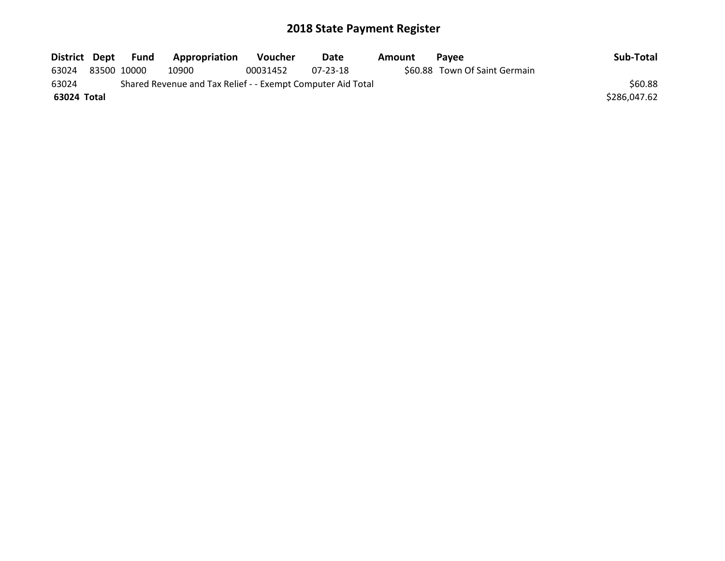| District Dept |                                                             | Fund | Appropriation | <b>Voucher</b> | Date     | Amount | <b>Pavee</b>                  | Sub-Total    |  |
|---------------|-------------------------------------------------------------|------|---------------|----------------|----------|--------|-------------------------------|--------------|--|
| 63024         | 83500 10000                                                 |      | 10900         | 00031452       | 07-23-18 |        | \$60.88 Town Of Saint Germain |              |  |
| 63024         | Shared Revenue and Tax Relief - - Exempt Computer Aid Total |      |               |                |          |        |                               |              |  |
| 63024 Total   |                                                             |      |               |                |          |        |                               | \$286,047.62 |  |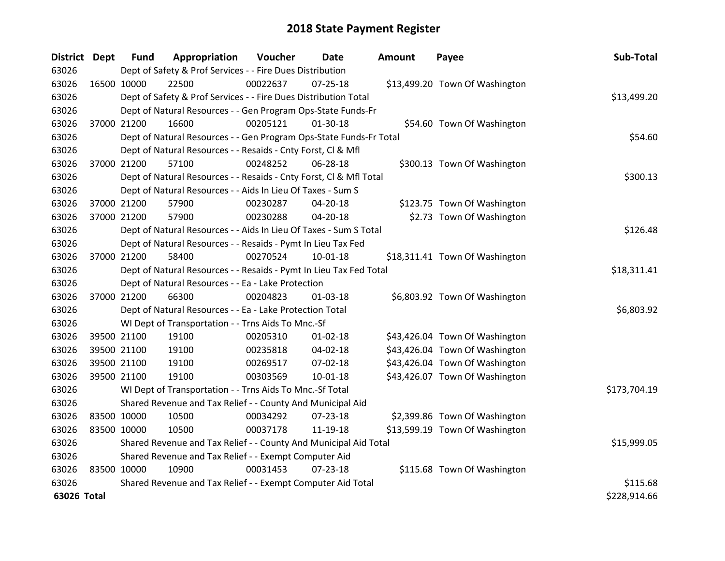| <b>District</b> | <b>Dept</b> | <b>Fund</b> | Appropriation                                                      | Voucher  | Date           | <b>Amount</b> | Payee                          | Sub-Total    |
|-----------------|-------------|-------------|--------------------------------------------------------------------|----------|----------------|---------------|--------------------------------|--------------|
| 63026           |             |             | Dept of Safety & Prof Services - - Fire Dues Distribution          |          |                |               |                                |              |
| 63026           | 16500 10000 |             | 22500                                                              | 00022637 | $07 - 25 - 18$ |               | \$13,499.20 Town Of Washington |              |
| 63026           |             |             | Dept of Safety & Prof Services - - Fire Dues Distribution Total    |          |                |               |                                | \$13,499.20  |
| 63026           |             |             | Dept of Natural Resources - - Gen Program Ops-State Funds-Fr       |          |                |               |                                |              |
| 63026           |             | 37000 21200 | 16600                                                              | 00205121 | $01 - 30 - 18$ |               | \$54.60 Town Of Washington     |              |
| 63026           |             |             | Dept of Natural Resources - - Gen Program Ops-State Funds-Fr Total |          |                |               |                                | \$54.60      |
| 63026           |             |             | Dept of Natural Resources - - Resaids - Cnty Forst, Cl & Mfl       |          |                |               |                                |              |
| 63026           | 37000 21200 |             | 57100                                                              | 00248252 | 06-28-18       |               | \$300.13 Town Of Washington    |              |
| 63026           |             |             | Dept of Natural Resources - - Resaids - Cnty Forst, CI & Mfl Total |          |                |               |                                | \$300.13     |
| 63026           |             |             | Dept of Natural Resources - - Aids In Lieu Of Taxes - Sum S        |          |                |               |                                |              |
| 63026           | 37000 21200 |             | 57900                                                              | 00230287 | 04-20-18       |               | \$123.75 Town Of Washington    |              |
| 63026           | 37000 21200 |             | 57900                                                              | 00230288 | 04-20-18       |               | \$2.73 Town Of Washington      |              |
| 63026           |             |             | Dept of Natural Resources - - Aids In Lieu Of Taxes - Sum S Total  |          |                |               |                                | \$126.48     |
| 63026           |             |             | Dept of Natural Resources - - Resaids - Pymt In Lieu Tax Fed       |          |                |               |                                |              |
| 63026           |             | 37000 21200 | 58400                                                              | 00270524 | $10 - 01 - 18$ |               | \$18,311.41 Town Of Washington |              |
| 63026           |             |             | Dept of Natural Resources - - Resaids - Pymt In Lieu Tax Fed Total |          |                |               |                                | \$18,311.41  |
| 63026           |             |             | Dept of Natural Resources - - Ea - Lake Protection                 |          |                |               |                                |              |
| 63026           | 37000 21200 |             | 66300                                                              | 00204823 | $01 - 03 - 18$ |               | \$6,803.92 Town Of Washington  |              |
| 63026           |             |             | Dept of Natural Resources - - Ea - Lake Protection Total           |          |                |               |                                | \$6,803.92   |
| 63026           |             |             | WI Dept of Transportation - - Trns Aids To Mnc.-Sf                 |          |                |               |                                |              |
| 63026           |             | 39500 21100 | 19100                                                              | 00205310 | $01 - 02 - 18$ |               | \$43,426.04 Town Of Washington |              |
| 63026           |             | 39500 21100 | 19100                                                              | 00235818 | 04-02-18       |               | \$43,426.04 Town Of Washington |              |
| 63026           |             | 39500 21100 | 19100                                                              | 00269517 | 07-02-18       |               | \$43,426.04 Town Of Washington |              |
| 63026           |             | 39500 21100 | 19100                                                              | 00303569 | $10 - 01 - 18$ |               | \$43,426.07 Town Of Washington |              |
| 63026           |             |             | WI Dept of Transportation - - Trns Aids To Mnc.-Sf Total           |          |                |               |                                | \$173,704.19 |
| 63026           |             |             | Shared Revenue and Tax Relief - - County And Municipal Aid         |          |                |               |                                |              |
| 63026           | 83500 10000 |             | 10500                                                              | 00034292 | 07-23-18       |               | \$2,399.86 Town Of Washington  |              |
| 63026           | 83500 10000 |             | 10500                                                              | 00037178 | 11-19-18       |               | \$13,599.19 Town Of Washington |              |
| 63026           |             |             | Shared Revenue and Tax Relief - - County And Municipal Aid Total   |          |                |               |                                | \$15,999.05  |
| 63026           |             |             | Shared Revenue and Tax Relief - - Exempt Computer Aid              |          |                |               |                                |              |
| 63026           | 83500 10000 |             | 10900                                                              | 00031453 | $07 - 23 - 18$ |               | \$115.68 Town Of Washington    |              |
| 63026           |             |             | Shared Revenue and Tax Relief - - Exempt Computer Aid Total        |          |                |               |                                | \$115.68     |
| 63026 Total     |             |             |                                                                    |          |                |               |                                | \$228,914.66 |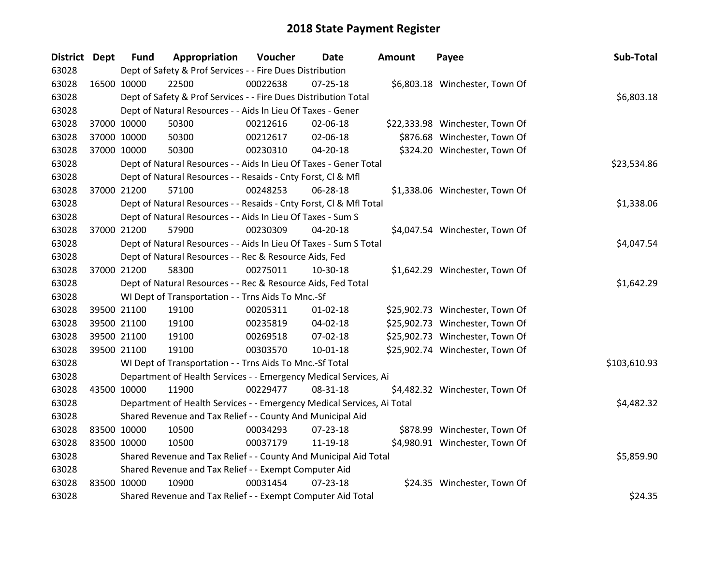| District Dept |             | <b>Fund</b>                                                      | Appropriation                                                          | Voucher  | Date           | <b>Amount</b> | Payee                           | Sub-Total    |
|---------------|-------------|------------------------------------------------------------------|------------------------------------------------------------------------|----------|----------------|---------------|---------------------------------|--------------|
| 63028         |             |                                                                  | Dept of Safety & Prof Services - - Fire Dues Distribution              |          |                |               |                                 |              |
| 63028         | 16500 10000 |                                                                  | 22500                                                                  | 00022638 | $07 - 25 - 18$ |               | \$6,803.18 Winchester, Town Of  |              |
| 63028         |             |                                                                  | Dept of Safety & Prof Services - - Fire Dues Distribution Total        |          |                |               |                                 | \$6,803.18   |
| 63028         |             |                                                                  | Dept of Natural Resources - - Aids In Lieu Of Taxes - Gener            |          |                |               |                                 |              |
| 63028         |             | 37000 10000                                                      | 50300                                                                  | 00212616 | 02-06-18       |               | \$22,333.98 Winchester, Town Of |              |
| 63028         |             | 37000 10000                                                      | 50300                                                                  | 00212617 | 02-06-18       |               | \$876.68 Winchester, Town Of    |              |
| 63028         |             | 37000 10000                                                      | 50300                                                                  | 00230310 | 04-20-18       |               | \$324.20 Winchester, Town Of    |              |
| 63028         |             |                                                                  | Dept of Natural Resources - - Aids In Lieu Of Taxes - Gener Total      |          |                |               |                                 | \$23,534.86  |
| 63028         |             |                                                                  | Dept of Natural Resources - - Resaids - Cnty Forst, Cl & Mfl           |          |                |               |                                 |              |
| 63028         |             | 37000 21200                                                      | 57100                                                                  | 00248253 | 06-28-18       |               | \$1,338.06 Winchester, Town Of  |              |
| 63028         |             |                                                                  | Dept of Natural Resources - - Resaids - Cnty Forst, Cl & Mfl Total     |          |                |               |                                 | \$1,338.06   |
| 63028         |             |                                                                  | Dept of Natural Resources - - Aids In Lieu Of Taxes - Sum S            |          |                |               |                                 |              |
| 63028         |             | 37000 21200                                                      | 57900                                                                  | 00230309 | 04-20-18       |               | \$4,047.54 Winchester, Town Of  |              |
| 63028         |             |                                                                  | Dept of Natural Resources - - Aids In Lieu Of Taxes - Sum S Total      |          |                |               |                                 | \$4,047.54   |
| 63028         |             |                                                                  | Dept of Natural Resources - - Rec & Resource Aids, Fed                 |          |                |               |                                 |              |
| 63028         | 37000 21200 |                                                                  | 58300                                                                  | 00275011 | 10-30-18       |               | \$1,642.29 Winchester, Town Of  |              |
| 63028         |             |                                                                  | Dept of Natural Resources - - Rec & Resource Aids, Fed Total           |          |                |               |                                 | \$1,642.29   |
| 63028         |             |                                                                  | WI Dept of Transportation - - Trns Aids To Mnc.-Sf                     |          |                |               |                                 |              |
| 63028         | 39500 21100 |                                                                  | 19100                                                                  | 00205311 | $01 - 02 - 18$ |               | \$25,902.73 Winchester, Town Of |              |
| 63028         |             | 39500 21100                                                      | 19100                                                                  | 00235819 | 04-02-18       |               | \$25,902.73 Winchester, Town Of |              |
| 63028         | 39500 21100 |                                                                  | 19100                                                                  | 00269518 | 07-02-18       |               | \$25,902.73 Winchester, Town Of |              |
| 63028         |             | 39500 21100                                                      | 19100                                                                  | 00303570 | 10-01-18       |               | \$25,902.74 Winchester, Town Of |              |
| 63028         |             |                                                                  | WI Dept of Transportation - - Trns Aids To Mnc.-Sf Total               |          |                |               |                                 | \$103,610.93 |
| 63028         |             |                                                                  | Department of Health Services - - Emergency Medical Services, Ai       |          |                |               |                                 |              |
| 63028         | 43500 10000 |                                                                  | 11900                                                                  | 00229477 | 08-31-18       |               | \$4,482.32 Winchester, Town Of  |              |
| 63028         |             |                                                                  | Department of Health Services - - Emergency Medical Services, Ai Total |          |                |               |                                 | \$4,482.32   |
| 63028         |             | Shared Revenue and Tax Relief - - County And Municipal Aid       |                                                                        |          |                |               |                                 |              |
| 63028         | 83500 10000 |                                                                  | 10500                                                                  | 00034293 | $07 - 23 - 18$ |               | \$878.99 Winchester, Town Of    |              |
| 63028         | 83500 10000 |                                                                  | 10500                                                                  | 00037179 | 11-19-18       |               | \$4,980.91 Winchester, Town Of  |              |
| 63028         |             | Shared Revenue and Tax Relief - - County And Municipal Aid Total | \$5,859.90                                                             |          |                |               |                                 |              |
| 63028         |             |                                                                  | Shared Revenue and Tax Relief - - Exempt Computer Aid                  |          |                |               |                                 |              |
| 63028         | 83500 10000 |                                                                  | 10900                                                                  | 00031454 | $07 - 23 - 18$ |               | \$24.35 Winchester, Town Of     |              |
| 63028         |             |                                                                  | Shared Revenue and Tax Relief - - Exempt Computer Aid Total            |          |                |               |                                 | \$24.35      |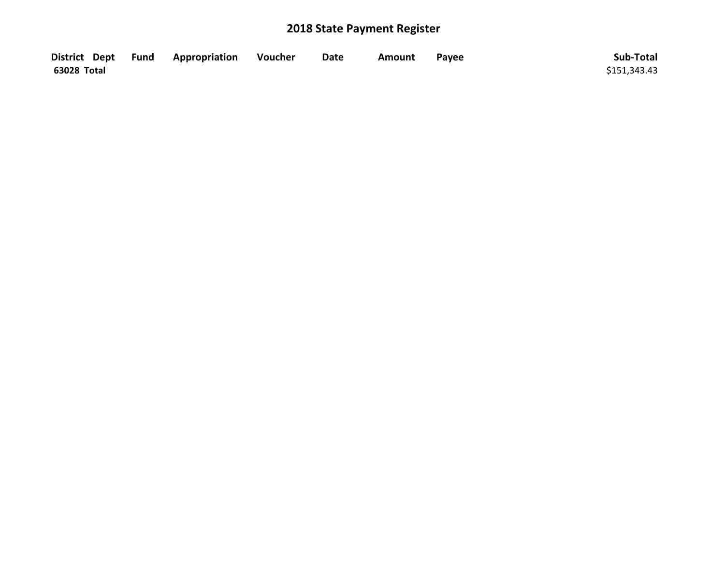|             | District Dept Fund Appropriation | Voucher | <b>Date</b> | Amount | Payee | Sub-Total    |
|-------------|----------------------------------|---------|-------------|--------|-------|--------------|
| 63028 Total |                                  |         |             |        |       | \$151,343.43 |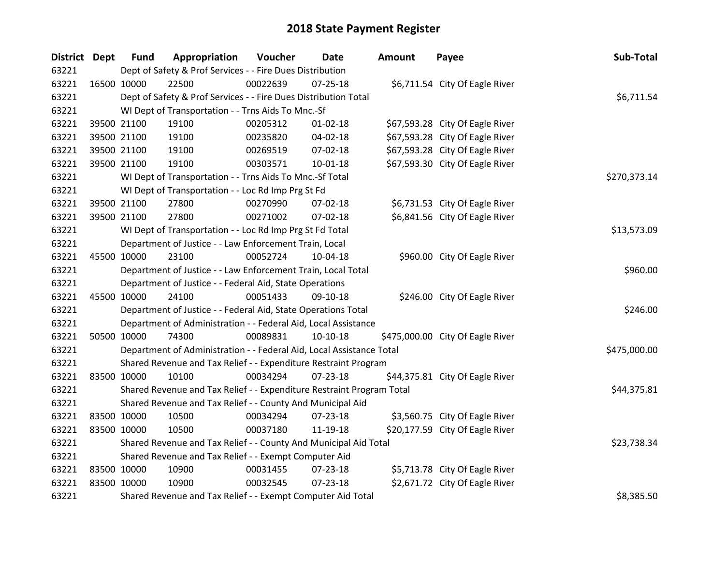| District Dept | <b>Fund</b>                                           | Appropriation                                                         | Voucher  | <b>Date</b>    | <b>Amount</b> | Payee                            | Sub-Total    |
|---------------|-------------------------------------------------------|-----------------------------------------------------------------------|----------|----------------|---------------|----------------------------------|--------------|
| 63221         |                                                       | Dept of Safety & Prof Services - - Fire Dues Distribution             |          |                |               |                                  |              |
| 63221         | 16500 10000                                           | 22500                                                                 | 00022639 | $07 - 25 - 18$ |               | \$6,711.54 City Of Eagle River   |              |
| 63221         |                                                       | Dept of Safety & Prof Services - - Fire Dues Distribution Total       |          |                |               |                                  | \$6,711.54   |
| 63221         |                                                       | WI Dept of Transportation - - Trns Aids To Mnc.-Sf                    |          |                |               |                                  |              |
| 63221         | 39500 21100                                           | 19100                                                                 | 00205312 | $01 - 02 - 18$ |               | \$67,593.28 City Of Eagle River  |              |
| 63221         | 39500 21100                                           | 19100                                                                 | 00235820 | 04-02-18       |               | \$67,593.28 City Of Eagle River  |              |
| 63221         | 39500 21100                                           | 19100                                                                 | 00269519 | 07-02-18       |               | \$67,593.28 City Of Eagle River  |              |
| 63221         | 39500 21100                                           | 19100                                                                 | 00303571 | 10-01-18       |               | \$67,593.30 City Of Eagle River  |              |
| 63221         |                                                       | WI Dept of Transportation - - Trns Aids To Mnc.-Sf Total              |          |                |               |                                  | \$270,373.14 |
| 63221         |                                                       | WI Dept of Transportation - - Loc Rd Imp Prg St Fd                    |          |                |               |                                  |              |
| 63221         | 39500 21100                                           | 27800                                                                 | 00270990 | 07-02-18       |               | \$6,731.53 City Of Eagle River   |              |
| 63221         | 39500 21100                                           | 27800                                                                 | 00271002 | 07-02-18       |               | \$6,841.56 City Of Eagle River   |              |
| 63221         |                                                       | WI Dept of Transportation - - Loc Rd Imp Prg St Fd Total              |          |                |               |                                  | \$13,573.09  |
| 63221         |                                                       | Department of Justice - - Law Enforcement Train, Local                |          |                |               |                                  |              |
| 63221         | 45500 10000                                           | 23100                                                                 | 00052724 | 10-04-18       |               | \$960.00 City Of Eagle River     |              |
| 63221         |                                                       | Department of Justice - - Law Enforcement Train, Local Total          |          |                |               |                                  | \$960.00     |
| 63221         |                                                       | Department of Justice - - Federal Aid, State Operations               |          |                |               |                                  |              |
| 63221         | 45500 10000                                           | 24100                                                                 | 00051433 | 09-10-18       |               | \$246.00 City Of Eagle River     |              |
| 63221         |                                                       | Department of Justice - - Federal Aid, State Operations Total         |          |                |               |                                  | \$246.00     |
| 63221         |                                                       | Department of Administration - - Federal Aid, Local Assistance        |          |                |               |                                  |              |
| 63221         | 50500 10000                                           | 74300                                                                 | 00089831 | 10-10-18       |               | \$475,000.00 City Of Eagle River |              |
| 63221         |                                                       | Department of Administration - - Federal Aid, Local Assistance Total  |          |                |               |                                  | \$475,000.00 |
| 63221         |                                                       | Shared Revenue and Tax Relief - - Expenditure Restraint Program       |          |                |               |                                  |              |
| 63221         | 83500 10000                                           | 10100                                                                 | 00034294 | 07-23-18       |               | \$44,375.81 City Of Eagle River  |              |
| 63221         |                                                       | Shared Revenue and Tax Relief - - Expenditure Restraint Program Total |          |                |               |                                  | \$44,375.81  |
| 63221         |                                                       | Shared Revenue and Tax Relief - - County And Municipal Aid            |          |                |               |                                  |              |
| 63221         | 83500 10000                                           | 10500                                                                 | 00034294 | 07-23-18       |               | \$3,560.75 City Of Eagle River   |              |
| 63221         | 83500 10000                                           | 10500                                                                 | 00037180 | 11-19-18       |               | \$20,177.59 City Of Eagle River  |              |
| 63221         |                                                       | Shared Revenue and Tax Relief - - County And Municipal Aid Total      |          |                |               |                                  | \$23,738.34  |
| 63221         | Shared Revenue and Tax Relief - - Exempt Computer Aid |                                                                       |          |                |               |                                  |              |
| 63221         | 83500 10000                                           | 10900                                                                 | 00031455 | $07 - 23 - 18$ |               | \$5,713.78 City Of Eagle River   |              |
| 63221         | 83500 10000                                           | 10900                                                                 | 00032545 | 07-23-18       |               | \$2,671.72 City Of Eagle River   |              |
| 63221         |                                                       | Shared Revenue and Tax Relief - - Exempt Computer Aid Total           |          |                |               |                                  | \$8,385.50   |